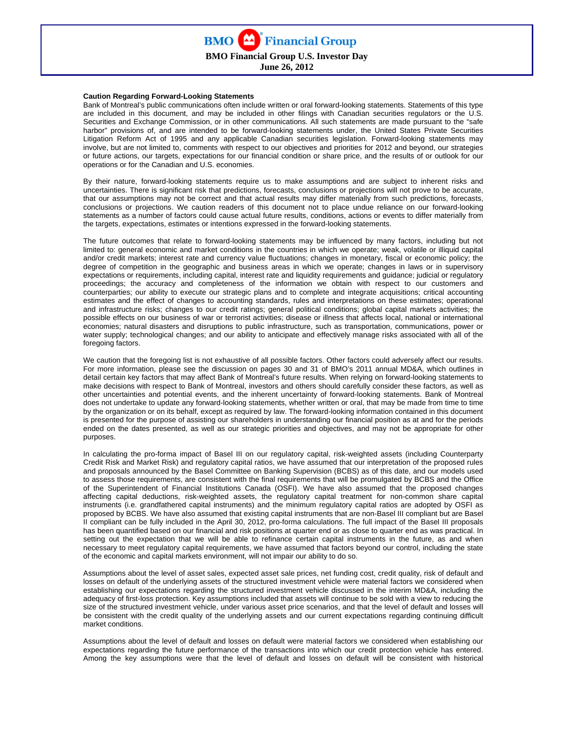**June 26, 2012**

#### **Caution Regarding Forward-Looking Statements**

Bank of Montreal's public communications often include written or oral forward-looking statements. Statements of this type are included in this document, and may be included in other filings with Canadian securities regulators or the U.S. Securities and Exchange Commission, or in other communications. All such statements are made pursuant to the "safe harbor" provisions of, and are intended to be forward-looking statements under, the United States Private Securities Litigation Reform Act of 1995 and any applicable Canadian securities legislation. Forward-looking statements may involve, but are not limited to, comments with respect to our objectives and priorities for 2012 and beyond, our strategies or future actions, our targets, expectations for our financial condition or share price, and the results of or outlook for our operations or for the Canadian and U.S. economies.

By their nature, forward-looking statements require us to make assumptions and are subject to inherent risks and uncertainties. There is significant risk that predictions, forecasts, conclusions or projections will not prove to be accurate, that our assumptions may not be correct and that actual results may differ materially from such predictions, forecasts, conclusions or projections. We caution readers of this document not to place undue reliance on our forward-looking statements as a number of factors could cause actual future results, conditions, actions or events to differ materially from the targets, expectations, estimates or intentions expressed in the forward-looking statements.

The future outcomes that relate to forward-looking statements may be influenced by many factors, including but not limited to: general economic and market conditions in the countries in which we operate; weak, volatile or illiquid capital and/or credit markets; interest rate and currency value fluctuations; changes in monetary, fiscal or economic policy; the degree of competition in the geographic and business areas in which we operate; changes in laws or in supervisory expectations or requirements, including capital, interest rate and liquidity requirements and guidance; judicial or regulatory proceedings; the accuracy and completeness of the information we obtain with respect to our customers and counterparties; our ability to execute our strategic plans and to complete and integrate acquisitions; critical accounting estimates and the effect of changes to accounting standards, rules and interpretations on these estimates; operational and infrastructure risks; changes to our credit ratings; general political conditions; global capital markets activities; the possible effects on our business of war or terrorist activities; disease or illness that affects local, national or international economies; natural disasters and disruptions to public infrastructure, such as transportation, communications, power or water supply; technological changes; and our ability to anticipate and effectively manage risks associated with all of the foregoing factors.

We caution that the foregoing list is not exhaustive of all possible factors. Other factors could adversely affect our results. For more information, please see the discussion on pages 30 and 31 of BMO's 2011 annual MD&A, which outlines in detail certain key factors that may affect Bank of Montreal's future results. When relying on forward-looking statements to make decisions with respect to Bank of Montreal, investors and others should carefully consider these factors, as well as other uncertainties and potential events, and the inherent uncertainty of forward-looking statements. Bank of Montreal does not undertake to update any forward-looking statements, whether written or oral, that may be made from time to time by the organization or on its behalf, except as required by law. The forward-looking information contained in this document is presented for the purpose of assisting our shareholders in understanding our financial position as at and for the periods ended on the dates presented, as well as our strategic priorities and objectives, and may not be appropriate for other purposes.

In calculating the pro-forma impact of Basel III on our regulatory capital, risk-weighted assets (including Counterparty Credit Risk and Market Risk) and regulatory capital ratios, we have assumed that our interpretation of the proposed rules and proposals announced by the Basel Committee on Banking Supervision (BCBS) as of this date, and our models used to assess those requirements, are consistent with the final requirements that will be promulgated by BCBS and the Office of the Superintendent of Financial Institutions Canada (OSFI). We have also assumed that the proposed changes affecting capital deductions, risk-weighted assets, the regulatory capital treatment for non-common share capital instruments (i.e. grandfathered capital instruments) and the minimum regulatory capital ratios are adopted by OSFI as proposed by BCBS. We have also assumed that existing capital instruments that are non-Basel III compliant but are Basel II compliant can be fully included in the April 30, 2012, pro-forma calculations. The full impact of the Basel III proposals has been quantified based on our financial and risk positions at quarter end or as close to quarter end as was practical. In setting out the expectation that we will be able to refinance certain capital instruments in the future, as and when necessary to meet regulatory capital requirements, we have assumed that factors beyond our control, including the state of the economic and capital markets environment, will not impair our ability to do so.

Assumptions about the level of asset sales, expected asset sale prices, net funding cost, credit quality, risk of default and losses on default of the underlying assets of the structured investment vehicle were material factors we considered when establishing our expectations regarding the structured investment vehicle discussed in the interim MD&A, including the adequacy of first-loss protection. Key assumptions included that assets will continue to be sold with a view to reducing the size of the structured investment vehicle, under various asset price scenarios, and that the level of default and losses will be consistent with the credit quality of the underlying assets and our current expectations regarding continuing difficult market conditions.

Assumptions about the level of default and losses on default were material factors we considered when establishing our expectations regarding the future performance of the transactions into which our credit protection vehicle has entered. Among the key assumptions were that the level of default and losses on default will be consistent with historical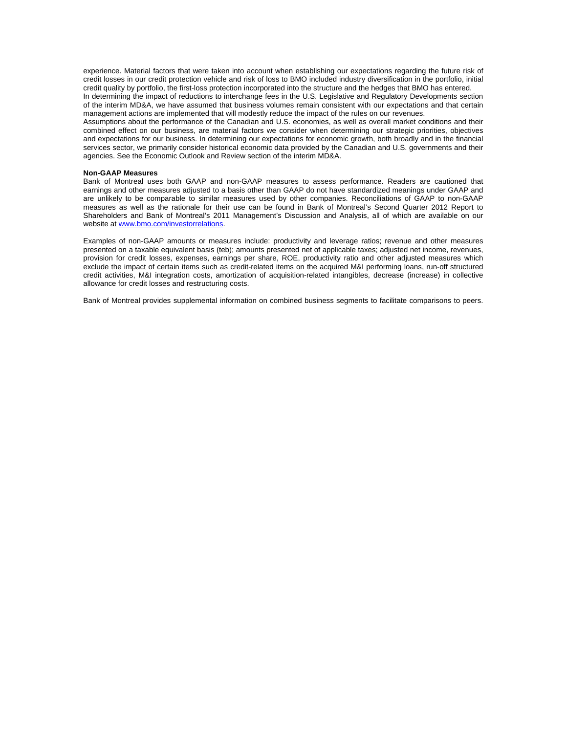experience. Material factors that were taken into account when establishing our expectations regarding the future risk of credit losses in our credit protection vehicle and risk of loss to BMO included industry diversification in the portfolio, initial credit quality by portfolio, the first-loss protection incorporated into the structure and the hedges that BMO has entered.

In determining the impact of reductions to interchange fees in the U.S. Legislative and Regulatory Developments section of the interim MD&A, we have assumed that business volumes remain consistent with our expectations and that certain management actions are implemented that will modestly reduce the impact of the rules on our revenues.

Assumptions about the performance of the Canadian and U.S. economies, as well as overall market conditions and their combined effect on our business, are material factors we consider when determining our strategic priorities, objectives and expectations for our business. In determining our expectations for economic growth, both broadly and in the financial services sector, we primarily consider historical economic data provided by the Canadian and U.S. governments and their agencies. See the Economic Outlook and Review section of the interim MD&A.

#### **Non-GAAP Measures**

Bank of Montreal uses both GAAP and non-GAAP measures to assess performance. Readers are cautioned that earnings and other measures adjusted to a basis other than GAAP do not have standardized meanings under GAAP and are unlikely to be comparable to similar measures used by other companies. Reconciliations of GAAP to non-GAAP measures as well as the rationale for their use can be found in Bank of Montreal's Second Quarter 2012 Report to Shareholders and Bank of Montreal's 2011 Management's Discussion and Analysis, all of which are available on our website at www.bmo.com/investorrelations.

Examples of non-GAAP amounts or measures include: productivity and leverage ratios; revenue and other measures presented on a taxable equivalent basis (teb); amounts presented net of applicable taxes; adjusted net income, revenues, provision for credit losses, expenses, earnings per share, ROE, productivity ratio and other adjusted measures which exclude the impact of certain items such as credit-related items on the acquired M&I performing loans, run-off structured credit activities, M&I integration costs, amortization of acquisition-related intangibles, decrease (increase) in collective allowance for credit losses and restructuring costs.

Bank of Montreal provides supplemental information on combined business segments to facilitate comparisons to peers.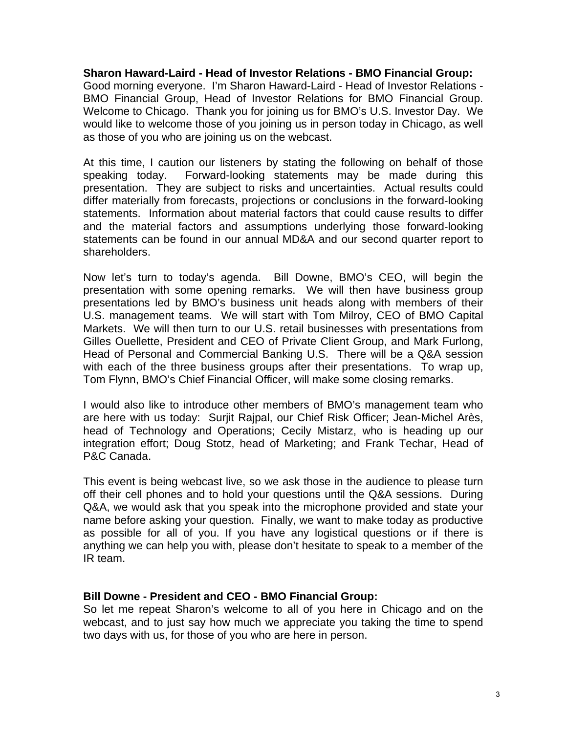#### **Sharon Haward-Laird - Head of Investor Relations - BMO Financial Group:**

Good morning everyone. I'm Sharon Haward-Laird - Head of Investor Relations - BMO Financial Group, Head of Investor Relations for BMO Financial Group. Welcome to Chicago. Thank you for joining us for BMO's U.S. Investor Day. We would like to welcome those of you joining us in person today in Chicago, as well as those of you who are joining us on the webcast.

At this time, I caution our listeners by stating the following on behalf of those speaking today. Forward-looking statements may be made during this presentation. They are subject to risks and uncertainties. Actual results could differ materially from forecasts, projections or conclusions in the forward-looking statements. Information about material factors that could cause results to differ and the material factors and assumptions underlying those forward-looking statements can be found in our annual MD&A and our second quarter report to shareholders.

Now let's turn to today's agenda. Bill Downe, BMO's CEO, will begin the presentation with some opening remarks. We will then have business group presentations led by BMO's business unit heads along with members of their U.S. management teams. We will start with Tom Milroy, CEO of BMO Capital Markets. We will then turn to our U.S. retail businesses with presentations from Gilles Ouellette, President and CEO of Private Client Group, and Mark Furlong, Head of Personal and Commercial Banking U.S. There will be a Q&A session with each of the three business groups after their presentations. To wrap up, Tom Flynn, BMO's Chief Financial Officer, will make some closing remarks.

I would also like to introduce other members of BMO's management team who are here with us today: Surjit Rajpal, our Chief Risk Officer; Jean-Michel Arès, head of Technology and Operations; Cecily Mistarz, who is heading up our integration effort; Doug Stotz, head of Marketing; and Frank Techar, Head of P&C Canada.

This event is being webcast live, so we ask those in the audience to please turn off their cell phones and to hold your questions until the Q&A sessions. During Q&A, we would ask that you speak into the microphone provided and state your name before asking your question. Finally, we want to make today as productive as possible for all of you. If you have any logistical questions or if there is anything we can help you with, please don't hesitate to speak to a member of the IR team.

# **Bill Downe - President and CEO - BMO Financial Group:**

So let me repeat Sharon's welcome to all of you here in Chicago and on the webcast, and to just say how much we appreciate you taking the time to spend two days with us, for those of you who are here in person.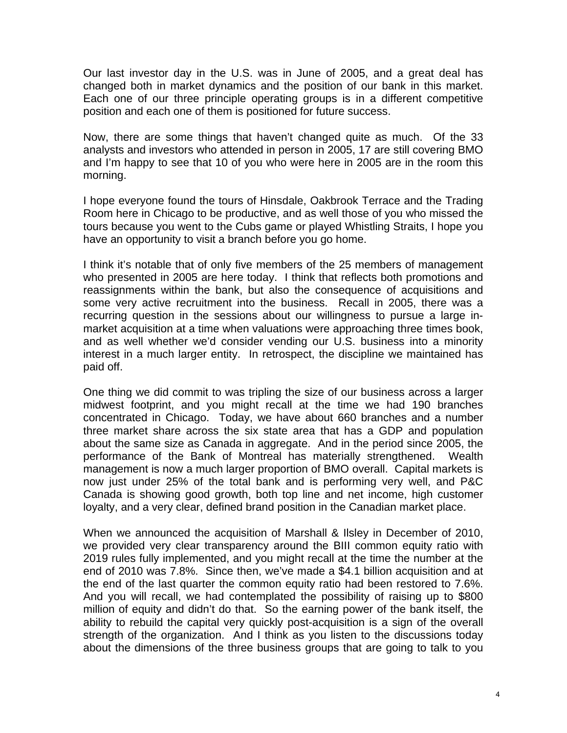Our last investor day in the U.S. was in June of 2005, and a great deal has changed both in market dynamics and the position of our bank in this market. Each one of our three principle operating groups is in a different competitive position and each one of them is positioned for future success.

Now, there are some things that haven't changed quite as much. Of the 33 analysts and investors who attended in person in 2005, 17 are still covering BMO and I'm happy to see that 10 of you who were here in 2005 are in the room this morning.

I hope everyone found the tours of Hinsdale, Oakbrook Terrace and the Trading Room here in Chicago to be productive, and as well those of you who missed the tours because you went to the Cubs game or played Whistling Straits, I hope you have an opportunity to visit a branch before you go home.

I think it's notable that of only five members of the 25 members of management who presented in 2005 are here today. I think that reflects both promotions and reassignments within the bank, but also the consequence of acquisitions and some very active recruitment into the business. Recall in 2005, there was a recurring question in the sessions about our willingness to pursue a large inmarket acquisition at a time when valuations were approaching three times book, and as well whether we'd consider vending our U.S. business into a minority interest in a much larger entity. In retrospect, the discipline we maintained has paid off.

One thing we did commit to was tripling the size of our business across a larger midwest footprint, and you might recall at the time we had 190 branches concentrated in Chicago. Today, we have about 660 branches and a number three market share across the six state area that has a GDP and population about the same size as Canada in aggregate. And in the period since 2005, the performance of the Bank of Montreal has materially strengthened. Wealth management is now a much larger proportion of BMO overall. Capital markets is now just under 25% of the total bank and is performing very well, and P&C Canada is showing good growth, both top line and net income, high customer loyalty, and a very clear, defined brand position in the Canadian market place.

When we announced the acquisition of Marshall & Ilsley in December of 2010, we provided very clear transparency around the BIII common equity ratio with 2019 rules fully implemented, and you might recall at the time the number at the end of 2010 was 7.8%. Since then, we've made a \$4.1 billion acquisition and at the end of the last quarter the common equity ratio had been restored to 7.6%. And you will recall, we had contemplated the possibility of raising up to \$800 million of equity and didn't do that. So the earning power of the bank itself, the ability to rebuild the capital very quickly post-acquisition is a sign of the overall strength of the organization. And I think as you listen to the discussions today about the dimensions of the three business groups that are going to talk to you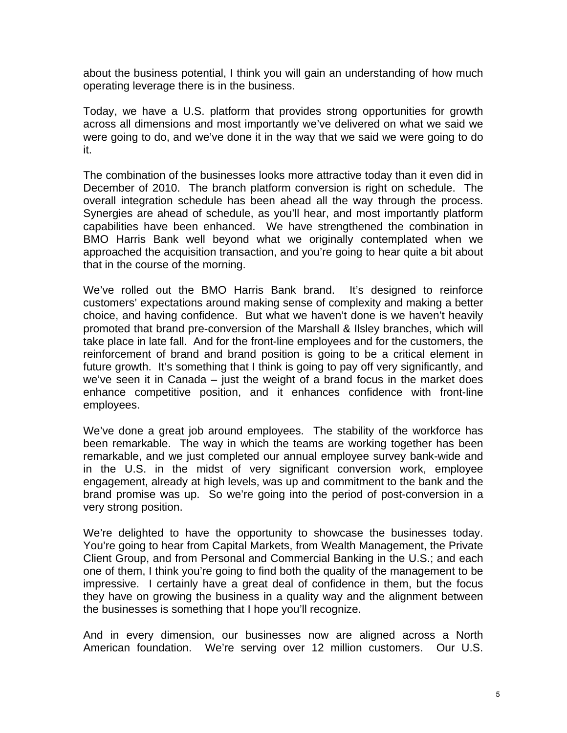about the business potential, I think you will gain an understanding of how much operating leverage there is in the business.

Today, we have a U.S. platform that provides strong opportunities for growth across all dimensions and most importantly we've delivered on what we said we were going to do, and we've done it in the way that we said we were going to do it.

The combination of the businesses looks more attractive today than it even did in December of 2010. The branch platform conversion is right on schedule. The overall integration schedule has been ahead all the way through the process. Synergies are ahead of schedule, as you'll hear, and most importantly platform capabilities have been enhanced. We have strengthened the combination in BMO Harris Bank well beyond what we originally contemplated when we approached the acquisition transaction, and you're going to hear quite a bit about that in the course of the morning.

We've rolled out the BMO Harris Bank brand. It's designed to reinforce customers' expectations around making sense of complexity and making a better choice, and having confidence. But what we haven't done is we haven't heavily promoted that brand pre-conversion of the Marshall & Ilsley branches, which will take place in late fall. And for the front-line employees and for the customers, the reinforcement of brand and brand position is going to be a critical element in future growth. It's something that I think is going to pay off very significantly, and we've seen it in Canada – just the weight of a brand focus in the market does enhance competitive position, and it enhances confidence with front-line employees.

We've done a great job around employees. The stability of the workforce has been remarkable. The way in which the teams are working together has been remarkable, and we just completed our annual employee survey bank-wide and in the U.S. in the midst of very significant conversion work, employee engagement, already at high levels, was up and commitment to the bank and the brand promise was up. So we're going into the period of post-conversion in a very strong position.

We're delighted to have the opportunity to showcase the businesses today. You're going to hear from Capital Markets, from Wealth Management, the Private Client Group, and from Personal and Commercial Banking in the U.S.; and each one of them, I think you're going to find both the quality of the management to be impressive. I certainly have a great deal of confidence in them, but the focus they have on growing the business in a quality way and the alignment between the businesses is something that I hope you'll recognize.

And in every dimension, our businesses now are aligned across a North American foundation. We're serving over 12 million customers. Our U.S.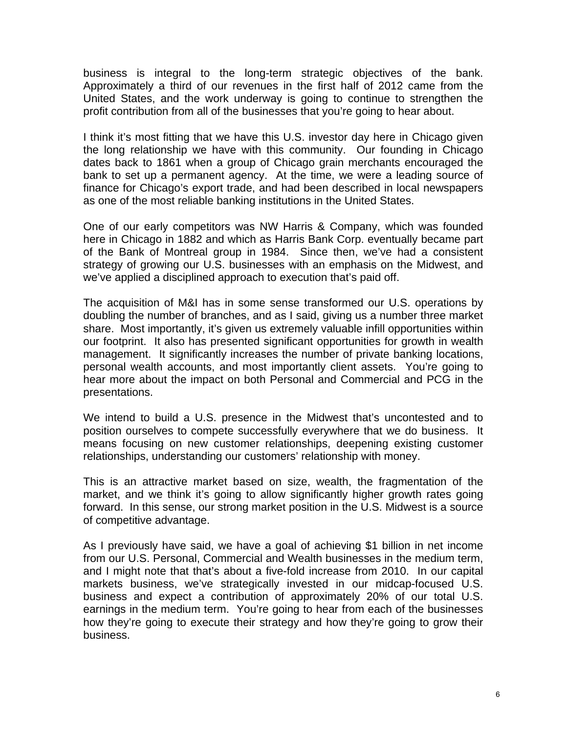business is integral to the long-term strategic objectives of the bank. Approximately a third of our revenues in the first half of 2012 came from the United States, and the work underway is going to continue to strengthen the profit contribution from all of the businesses that you're going to hear about.

I think it's most fitting that we have this U.S. investor day here in Chicago given the long relationship we have with this community. Our founding in Chicago dates back to 1861 when a group of Chicago grain merchants encouraged the bank to set up a permanent agency. At the time, we were a leading source of finance for Chicago's export trade, and had been described in local newspapers as one of the most reliable banking institutions in the United States.

One of our early competitors was NW Harris & Company, which was founded here in Chicago in 1882 and which as Harris Bank Corp. eventually became part of the Bank of Montreal group in 1984. Since then, we've had a consistent strategy of growing our U.S. businesses with an emphasis on the Midwest, and we've applied a disciplined approach to execution that's paid off.

The acquisition of M&I has in some sense transformed our U.S. operations by doubling the number of branches, and as I said, giving us a number three market share. Most importantly, it's given us extremely valuable infill opportunities within our footprint. It also has presented significant opportunities for growth in wealth management. It significantly increases the number of private banking locations, personal wealth accounts, and most importantly client assets. You're going to hear more about the impact on both Personal and Commercial and PCG in the presentations.

We intend to build a U.S. presence in the Midwest that's uncontested and to position ourselves to compete successfully everywhere that we do business. It means focusing on new customer relationships, deepening existing customer relationships, understanding our customers' relationship with money.

This is an attractive market based on size, wealth, the fragmentation of the market, and we think it's going to allow significantly higher growth rates going forward. In this sense, our strong market position in the U.S. Midwest is a source of competitive advantage.

As I previously have said, we have a goal of achieving \$1 billion in net income from our U.S. Personal, Commercial and Wealth businesses in the medium term, and I might note that that's about a five-fold increase from 2010. In our capital markets business, we've strategically invested in our midcap-focused U.S. business and expect a contribution of approximately 20% of our total U.S. earnings in the medium term. You're going to hear from each of the businesses how they're going to execute their strategy and how they're going to grow their business.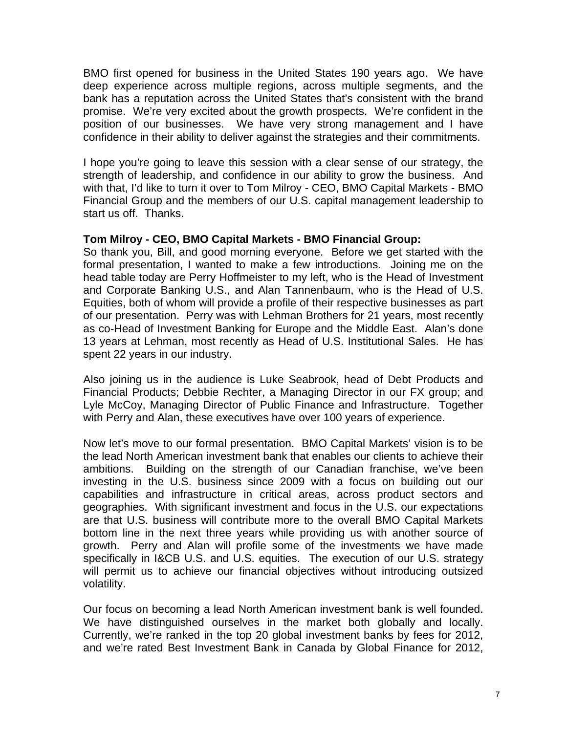BMO first opened for business in the United States 190 years ago. We have deep experience across multiple regions, across multiple segments, and the bank has a reputation across the United States that's consistent with the brand promise. We're very excited about the growth prospects. We're confident in the position of our businesses. We have very strong management and I have confidence in their ability to deliver against the strategies and their commitments.

I hope you're going to leave this session with a clear sense of our strategy, the strength of leadership, and confidence in our ability to grow the business. And with that, I'd like to turn it over to Tom Milroy - CEO, BMO Capital Markets - BMO Financial Group and the members of our U.S. capital management leadership to start us off. Thanks.

# **Tom Milroy - CEO, BMO Capital Markets - BMO Financial Group:**

So thank you, Bill, and good morning everyone. Before we get started with the formal presentation, I wanted to make a few introductions. Joining me on the head table today are Perry Hoffmeister to my left, who is the Head of Investment and Corporate Banking U.S., and Alan Tannenbaum, who is the Head of U.S. Equities, both of whom will provide a profile of their respective businesses as part of our presentation. Perry was with Lehman Brothers for 21 years, most recently as co-Head of Investment Banking for Europe and the Middle East. Alan's done 13 years at Lehman, most recently as Head of U.S. Institutional Sales. He has spent 22 years in our industry.

Also joining us in the audience is Luke Seabrook, head of Debt Products and Financial Products; Debbie Rechter, a Managing Director in our FX group; and Lyle McCoy, Managing Director of Public Finance and Infrastructure. Together with Perry and Alan, these executives have over 100 years of experience.

Now let's move to our formal presentation. BMO Capital Markets' vision is to be the lead North American investment bank that enables our clients to achieve their ambitions. Building on the strength of our Canadian franchise, we've been investing in the U.S. business since 2009 with a focus on building out our capabilities and infrastructure in critical areas, across product sectors and geographies. With significant investment and focus in the U.S. our expectations are that U.S. business will contribute more to the overall BMO Capital Markets bottom line in the next three years while providing us with another source of growth. Perry and Alan will profile some of the investments we have made specifically in I&CB U.S. and U.S. equities. The execution of our U.S. strategy will permit us to achieve our financial objectives without introducing outsized volatility.

Our focus on becoming a lead North American investment bank is well founded. We have distinguished ourselves in the market both globally and locally. Currently, we're ranked in the top 20 global investment banks by fees for 2012, and we're rated Best Investment Bank in Canada by Global Finance for 2012,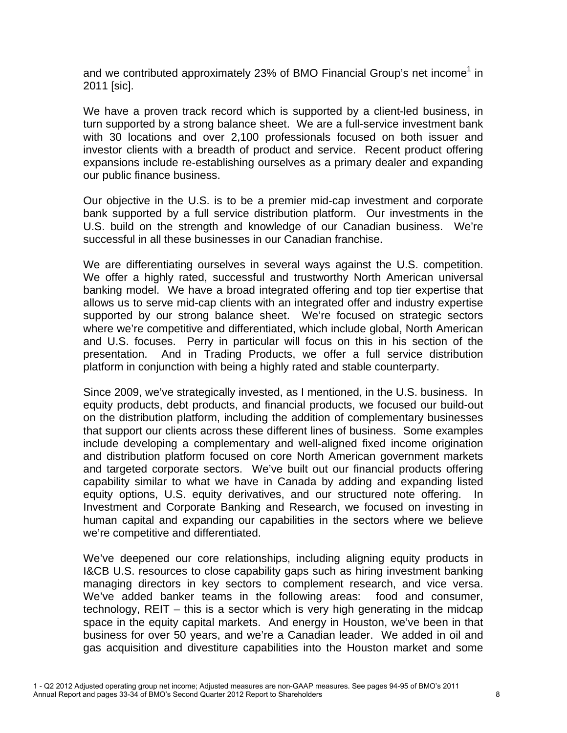and we contributed approximately 23% of BMO Financial Group's net income<sup>1</sup> in 2011 [sic].

We have a proven track record which is supported by a client-led business, in turn supported by a strong balance sheet. We are a full-service investment bank with 30 locations and over 2,100 professionals focused on both issuer and investor clients with a breadth of product and service. Recent product offering expansions include re-establishing ourselves as a primary dealer and expanding our public finance business.

Our objective in the U.S. is to be a premier mid-cap investment and corporate bank supported by a full service distribution platform. Our investments in the U.S. build on the strength and knowledge of our Canadian business. We're successful in all these businesses in our Canadian franchise.

We are differentiating ourselves in several ways against the U.S. competition. We offer a highly rated, successful and trustworthy North American universal banking model. We have a broad integrated offering and top tier expertise that allows us to serve mid-cap clients with an integrated offer and industry expertise supported by our strong balance sheet. We're focused on strategic sectors where we're competitive and differentiated, which include global, North American and U.S. focuses. Perry in particular will focus on this in his section of the presentation. And in Trading Products, we offer a full service distribution platform in conjunction with being a highly rated and stable counterparty.

Since 2009, we've strategically invested, as I mentioned, in the U.S. business. In equity products, debt products, and financial products, we focused our build-out on the distribution platform, including the addition of complementary businesses that support our clients across these different lines of business. Some examples include developing a complementary and well-aligned fixed income origination and distribution platform focused on core North American government markets and targeted corporate sectors. We've built out our financial products offering capability similar to what we have in Canada by adding and expanding listed equity options, U.S. equity derivatives, and our structured note offering. In Investment and Corporate Banking and Research, we focused on investing in human capital and expanding our capabilities in the sectors where we believe we're competitive and differentiated.

We've deepened our core relationships, including aligning equity products in I&CB U.S. resources to close capability gaps such as hiring investment banking managing directors in key sectors to complement research, and vice versa. We've added banker teams in the following areas: food and consumer, technology, REIT – this is a sector which is very high generating in the midcap space in the equity capital markets. And energy in Houston, we've been in that business for over 50 years, and we're a Canadian leader. We added in oil and gas acquisition and divestiture capabilities into the Houston market and some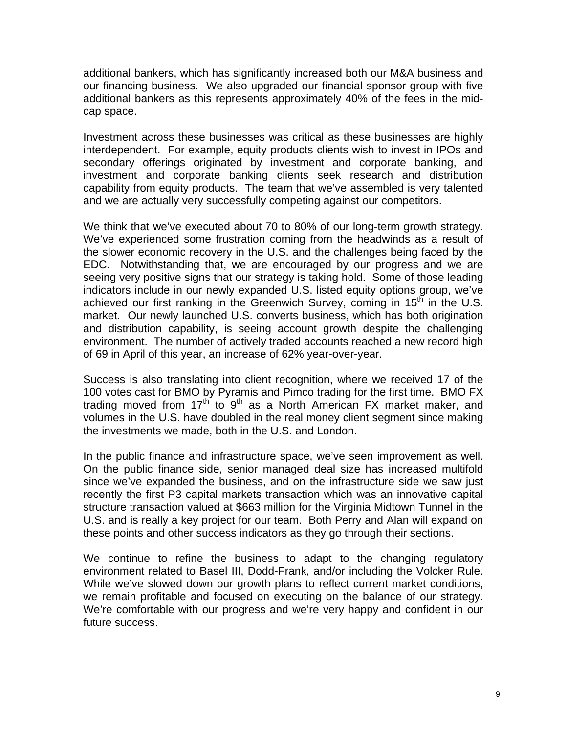additional bankers, which has significantly increased both our M&A business and our financing business. We also upgraded our financial sponsor group with five additional bankers as this represents approximately 40% of the fees in the midcap space.

Investment across these businesses was critical as these businesses are highly interdependent. For example, equity products clients wish to invest in IPOs and secondary offerings originated by investment and corporate banking, and investment and corporate banking clients seek research and distribution capability from equity products. The team that we've assembled is very talented and we are actually very successfully competing against our competitors.

We think that we've executed about 70 to 80% of our long-term growth strategy. We've experienced some frustration coming from the headwinds as a result of the slower economic recovery in the U.S. and the challenges being faced by the EDC. Notwithstanding that, we are encouraged by our progress and we are seeing very positive signs that our strategy is taking hold. Some of those leading indicators include in our newly expanded U.S. listed equity options group, we've achieved our first ranking in the Greenwich Survey, coming in  $15<sup>th</sup>$  in the U.S. market. Our newly launched U.S. converts business, which has both origination and distribution capability, is seeing account growth despite the challenging environment. The number of actively traded accounts reached a new record high of 69 in April of this year, an increase of 62% year-over-year.

Success is also translating into client recognition, where we received 17 of the 100 votes cast for BMO by Pyramis and Pimco trading for the first time. BMO FX trading moved from  $17<sup>th</sup>$  to  $9<sup>th</sup>$  as a North American FX market maker, and volumes in the U.S. have doubled in the real money client segment since making the investments we made, both in the U.S. and London.

In the public finance and infrastructure space, we've seen improvement as well. On the public finance side, senior managed deal size has increased multifold since we've expanded the business, and on the infrastructure side we saw just recently the first P3 capital markets transaction which was an innovative capital structure transaction valued at \$663 million for the Virginia Midtown Tunnel in the U.S. and is really a key project for our team. Both Perry and Alan will expand on these points and other success indicators as they go through their sections.

We continue to refine the business to adapt to the changing regulatory environment related to Basel III, Dodd-Frank, and/or including the Volcker Rule. While we've slowed down our growth plans to reflect current market conditions, we remain profitable and focused on executing on the balance of our strategy. We're comfortable with our progress and we're very happy and confident in our future success.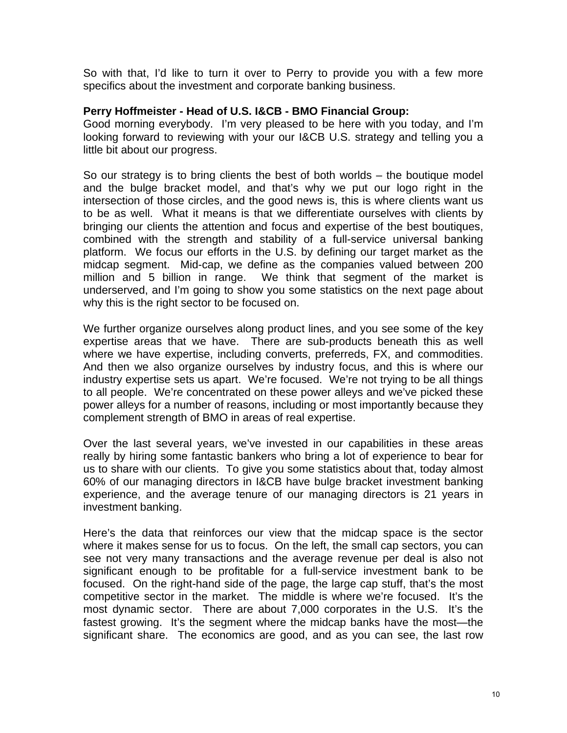So with that, I'd like to turn it over to Perry to provide you with a few more specifics about the investment and corporate banking business.

#### **Perry Hoffmeister - Head of U.S. I&CB - BMO Financial Group:**

Good morning everybody. I'm very pleased to be here with you today, and I'm looking forward to reviewing with your our I&CB U.S. strategy and telling you a little bit about our progress.

So our strategy is to bring clients the best of both worlds – the boutique model and the bulge bracket model, and that's why we put our logo right in the intersection of those circles, and the good news is, this is where clients want us to be as well. What it means is that we differentiate ourselves with clients by bringing our clients the attention and focus and expertise of the best boutiques, combined with the strength and stability of a full-service universal banking platform. We focus our efforts in the U.S. by defining our target market as the midcap segment. Mid-cap, we define as the companies valued between 200 million and 5 billion in range. We think that segment of the market is underserved, and I'm going to show you some statistics on the next page about why this is the right sector to be focused on.

We further organize ourselves along product lines, and you see some of the key expertise areas that we have. There are sub-products beneath this as well where we have expertise, including converts, preferreds, FX, and commodities. And then we also organize ourselves by industry focus, and this is where our industry expertise sets us apart. We're focused. We're not trying to be all things to all people. We're concentrated on these power alleys and we've picked these power alleys for a number of reasons, including or most importantly because they complement strength of BMO in areas of real expertise.

Over the last several years, we've invested in our capabilities in these areas really by hiring some fantastic bankers who bring a lot of experience to bear for us to share with our clients. To give you some statistics about that, today almost 60% of our managing directors in I&CB have bulge bracket investment banking experience, and the average tenure of our managing directors is 21 years in investment banking.

Here's the data that reinforces our view that the midcap space is the sector where it makes sense for us to focus. On the left, the small cap sectors, you can see not very many transactions and the average revenue per deal is also not significant enough to be profitable for a full-service investment bank to be focused. On the right-hand side of the page, the large cap stuff, that's the most competitive sector in the market. The middle is where we're focused. It's the most dynamic sector. There are about 7,000 corporates in the U.S. It's the fastest growing. It's the segment where the midcap banks have the most—the significant share. The economics are good, and as you can see, the last row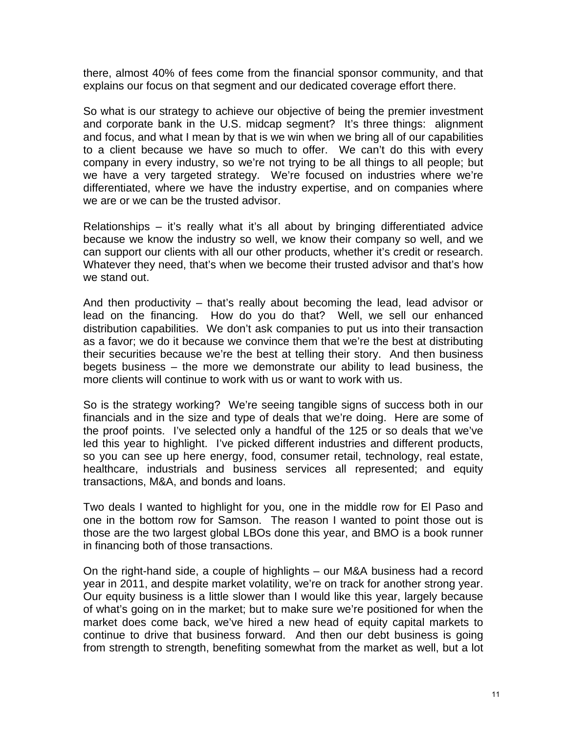there, almost 40% of fees come from the financial sponsor community, and that explains our focus on that segment and our dedicated coverage effort there.

So what is our strategy to achieve our objective of being the premier investment and corporate bank in the U.S. midcap segment? It's three things: alignment and focus, and what I mean by that is we win when we bring all of our capabilities to a client because we have so much to offer. We can't do this with every company in every industry, so we're not trying to be all things to all people; but we have a very targeted strategy. We're focused on industries where we're differentiated, where we have the industry expertise, and on companies where we are or we can be the trusted advisor.

Relationships – it's really what it's all about by bringing differentiated advice because we know the industry so well, we know their company so well, and we can support our clients with all our other products, whether it's credit or research. Whatever they need, that's when we become their trusted advisor and that's how we stand out.

And then productivity – that's really about becoming the lead, lead advisor or lead on the financing. How do you do that? Well, we sell our enhanced distribution capabilities. We don't ask companies to put us into their transaction as a favor; we do it because we convince them that we're the best at distributing their securities because we're the best at telling their story. And then business begets business – the more we demonstrate our ability to lead business, the more clients will continue to work with us or want to work with us.

So is the strategy working? We're seeing tangible signs of success both in our financials and in the size and type of deals that we're doing. Here are some of the proof points. I've selected only a handful of the 125 or so deals that we've led this year to highlight. I've picked different industries and different products, so you can see up here energy, food, consumer retail, technology, real estate, healthcare, industrials and business services all represented; and equity transactions, M&A, and bonds and loans.

Two deals I wanted to highlight for you, one in the middle row for El Paso and one in the bottom row for Samson. The reason I wanted to point those out is those are the two largest global LBOs done this year, and BMO is a book runner in financing both of those transactions.

On the right-hand side, a couple of highlights – our M&A business had a record year in 2011, and despite market volatility, we're on track for another strong year. Our equity business is a little slower than I would like this year, largely because of what's going on in the market; but to make sure we're positioned for when the market does come back, we've hired a new head of equity capital markets to continue to drive that business forward. And then our debt business is going from strength to strength, benefiting somewhat from the market as well, but a lot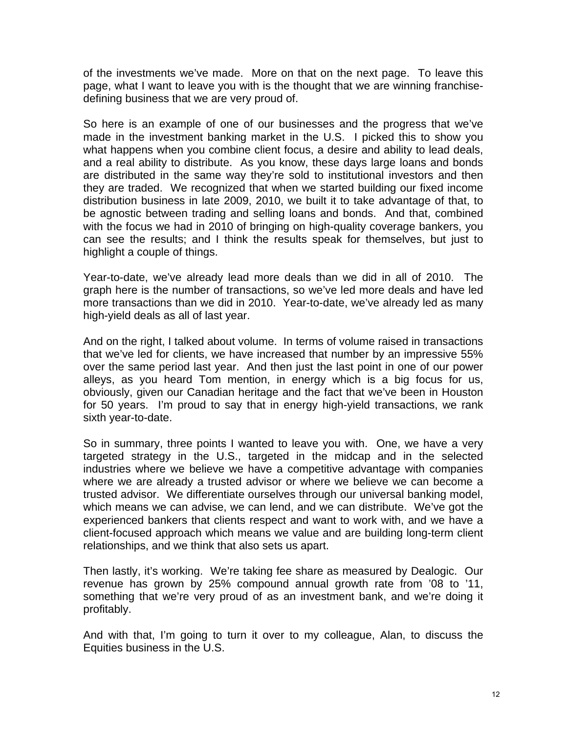of the investments we've made. More on that on the next page. To leave this page, what I want to leave you with is the thought that we are winning franchisedefining business that we are very proud of.

So here is an example of one of our businesses and the progress that we've made in the investment banking market in the U.S. I picked this to show you what happens when you combine client focus, a desire and ability to lead deals, and a real ability to distribute. As you know, these days large loans and bonds are distributed in the same way they're sold to institutional investors and then they are traded. We recognized that when we started building our fixed income distribution business in late 2009, 2010, we built it to take advantage of that, to be agnostic between trading and selling loans and bonds. And that, combined with the focus we had in 2010 of bringing on high-quality coverage bankers, you can see the results; and I think the results speak for themselves, but just to highlight a couple of things.

Year-to-date, we've already lead more deals than we did in all of 2010. The graph here is the number of transactions, so we've led more deals and have led more transactions than we did in 2010. Year-to-date, we've already led as many high-yield deals as all of last year.

And on the right, I talked about volume. In terms of volume raised in transactions that we've led for clients, we have increased that number by an impressive 55% over the same period last year. And then just the last point in one of our power alleys, as you heard Tom mention, in energy which is a big focus for us, obviously, given our Canadian heritage and the fact that we've been in Houston for 50 years. I'm proud to say that in energy high-yield transactions, we rank sixth year-to-date.

So in summary, three points I wanted to leave you with. One, we have a very targeted strategy in the U.S., targeted in the midcap and in the selected industries where we believe we have a competitive advantage with companies where we are already a trusted advisor or where we believe we can become a trusted advisor. We differentiate ourselves through our universal banking model, which means we can advise, we can lend, and we can distribute. We've got the experienced bankers that clients respect and want to work with, and we have a client-focused approach which means we value and are building long-term client relationships, and we think that also sets us apart.

Then lastly, it's working. We're taking fee share as measured by Dealogic. Our revenue has grown by 25% compound annual growth rate from '08 to '11, something that we're very proud of as an investment bank, and we're doing it profitably.

And with that, I'm going to turn it over to my colleague, Alan, to discuss the Equities business in the U.S.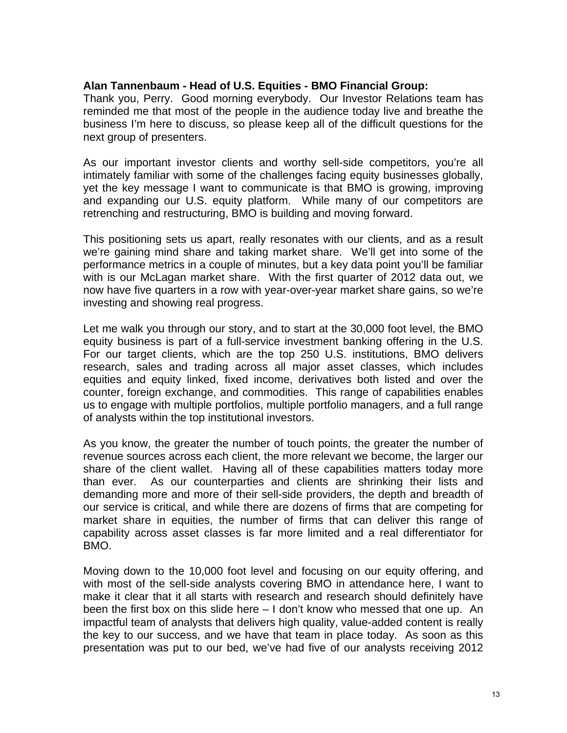### **Alan Tannenbaum - Head of U.S. Equities - BMO Financial Group:**

Thank you, Perry. Good morning everybody. Our Investor Relations team has reminded me that most of the people in the audience today live and breathe the business I'm here to discuss, so please keep all of the difficult questions for the next group of presenters.

As our important investor clients and worthy sell-side competitors, you're all intimately familiar with some of the challenges facing equity businesses globally, yet the key message I want to communicate is that BMO is growing, improving and expanding our U.S. equity platform. While many of our competitors are retrenching and restructuring, BMO is building and moving forward.

This positioning sets us apart, really resonates with our clients, and as a result we're gaining mind share and taking market share. We'll get into some of the performance metrics in a couple of minutes, but a key data point you'll be familiar with is our McLagan market share. With the first quarter of 2012 data out, we now have five quarters in a row with year-over-year market share gains, so we're investing and showing real progress.

Let me walk you through our story, and to start at the 30,000 foot level, the BMO equity business is part of a full-service investment banking offering in the U.S. For our target clients, which are the top 250 U.S. institutions, BMO delivers research, sales and trading across all major asset classes, which includes equities and equity linked, fixed income, derivatives both listed and over the counter, foreign exchange, and commodities. This range of capabilities enables us to engage with multiple portfolios, multiple portfolio managers, and a full range of analysts within the top institutional investors.

As you know, the greater the number of touch points, the greater the number of revenue sources across each client, the more relevant we become, the larger our share of the client wallet. Having all of these capabilities matters today more than ever. As our counterparties and clients are shrinking their lists and demanding more and more of their sell-side providers, the depth and breadth of our service is critical, and while there are dozens of firms that are competing for market share in equities, the number of firms that can deliver this range of capability across asset classes is far more limited and a real differentiator for BMO.

Moving down to the 10,000 foot level and focusing on our equity offering, and with most of the sell-side analysts covering BMO in attendance here, I want to make it clear that it all starts with research and research should definitely have been the first box on this slide here – I don't know who messed that one up. An impactful team of analysts that delivers high quality, value-added content is really the key to our success, and we have that team in place today. As soon as this presentation was put to our bed, we've had five of our analysts receiving 2012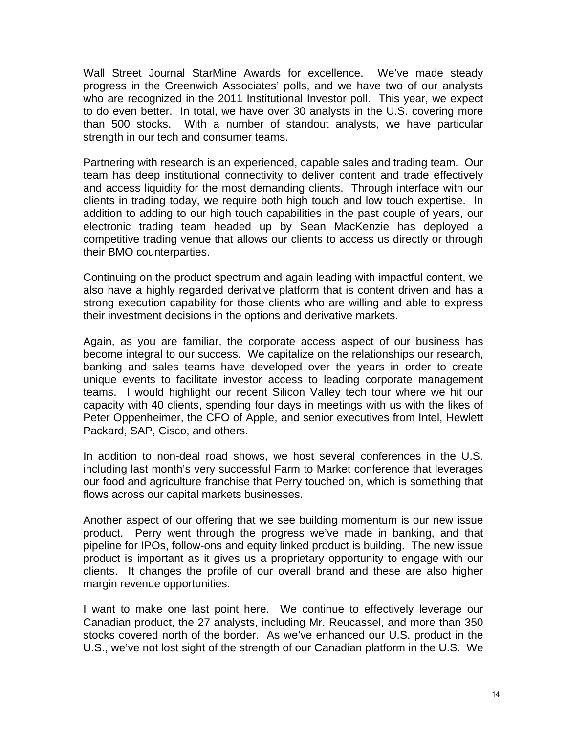Wall Street Journal StarMine Awards for excellence. We've made steady progress in the Greenwich Associates' polls, and we have two of our analysts who are recognized in the 2011 Institutional Investor poll. This year, we expect to do even better. In total, we have over 30 analysts in the U.S. covering more than 500 stocks. With a number of standout analysts, we have particular strength in our tech and consumer teams.

Partnering with research is an experienced, capable sales and trading team. Our team has deep institutional connectivity to deliver content and trade effectively and access liquidity for the most demanding clients. Through interface with our clients in trading today, we require both high touch and low touch expertise. In addition to adding to our high touch capabilities in the past couple of years, our electronic trading team headed up by Sean MacKenzie has deployed a competitive trading venue that allows our clients to access us directly or through their BMO counterparties.

Continuing on the product spectrum and again leading with impactful content, we also have a highly regarded derivative platform that is content driven and has a strong execution capability for those clients who are willing and able to express their investment decisions in the options and derivative markets.

Again, as you are familiar, the corporate access aspect of our business has become integral to our success. We capitalize on the relationships our research, banking and sales teams have developed over the years in order to create unique events to facilitate investor access to leading corporate management teams. I would highlight our recent Silicon Valley tech tour where we hit our capacity with 40 clients, spending four days in meetings with us with the likes of Peter Oppenheimer, the CFO of Apple, and senior executives from Intel, Hewlett Packard, SAP, Cisco, and others.

In addition to non-deal road shows, we host several conferences in the U.S. including last month's very successful Farm to Market conference that leverages our food and agriculture franchise that Perry touched on, which is something that flows across our capital markets businesses.

Another aspect of our offering that we see building momentum is our new issue product. Perry went through the progress we've made in banking, and that pipeline for IPOs, follow-ons and equity linked product is building. The new issue product is important as it gives us a proprietary opportunity to engage with our clients. It changes the profile of our overall brand and these are also higher margin revenue opportunities.

I want to make one last point here. We continue to effectively leverage our Canadian product, the 27 analysts, including Mr. Reucassel, and more than 350 stocks covered north of the border. As we've enhanced our U.S. product in the U.S., we've not lost sight of the strength of our Canadian platform in the U.S. We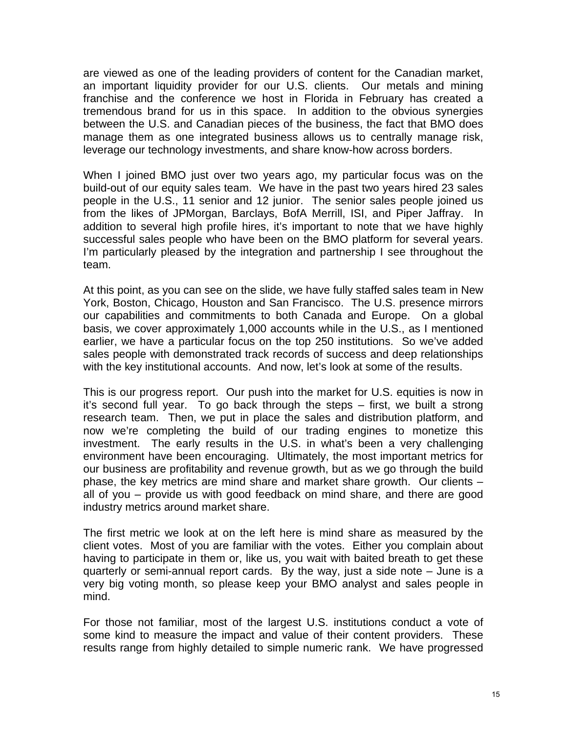are viewed as one of the leading providers of content for the Canadian market, an important liquidity provider for our U.S. clients. Our metals and mining franchise and the conference we host in Florida in February has created a tremendous brand for us in this space. In addition to the obvious synergies between the U.S. and Canadian pieces of the business, the fact that BMO does manage them as one integrated business allows us to centrally manage risk, leverage our technology investments, and share know-how across borders.

When I joined BMO just over two years ago, my particular focus was on the build-out of our equity sales team. We have in the past two years hired 23 sales people in the U.S., 11 senior and 12 junior. The senior sales people joined us from the likes of JPMorgan, Barclays, BofA Merrill, ISI, and Piper Jaffray. In addition to several high profile hires, it's important to note that we have highly successful sales people who have been on the BMO platform for several years. I'm particularly pleased by the integration and partnership I see throughout the team.

At this point, as you can see on the slide, we have fully staffed sales team in New York, Boston, Chicago, Houston and San Francisco. The U.S. presence mirrors our capabilities and commitments to both Canada and Europe. On a global basis, we cover approximately 1,000 accounts while in the U.S., as I mentioned earlier, we have a particular focus on the top 250 institutions. So we've added sales people with demonstrated track records of success and deep relationships with the key institutional accounts. And now, let's look at some of the results.

This is our progress report. Our push into the market for U.S. equities is now in it's second full year. To go back through the steps – first, we built a strong research team. Then, we put in place the sales and distribution platform, and now we're completing the build of our trading engines to monetize this investment. The early results in the U.S. in what's been a very challenging environment have been encouraging. Ultimately, the most important metrics for our business are profitability and revenue growth, but as we go through the build phase, the key metrics are mind share and market share growth. Our clients – all of you – provide us with good feedback on mind share, and there are good industry metrics around market share.

The first metric we look at on the left here is mind share as measured by the client votes. Most of you are familiar with the votes. Either you complain about having to participate in them or, like us, you wait with baited breath to get these quarterly or semi-annual report cards. By the way, just a side note – June is a very big voting month, so please keep your BMO analyst and sales people in mind.

For those not familiar, most of the largest U.S. institutions conduct a vote of some kind to measure the impact and value of their content providers. These results range from highly detailed to simple numeric rank. We have progressed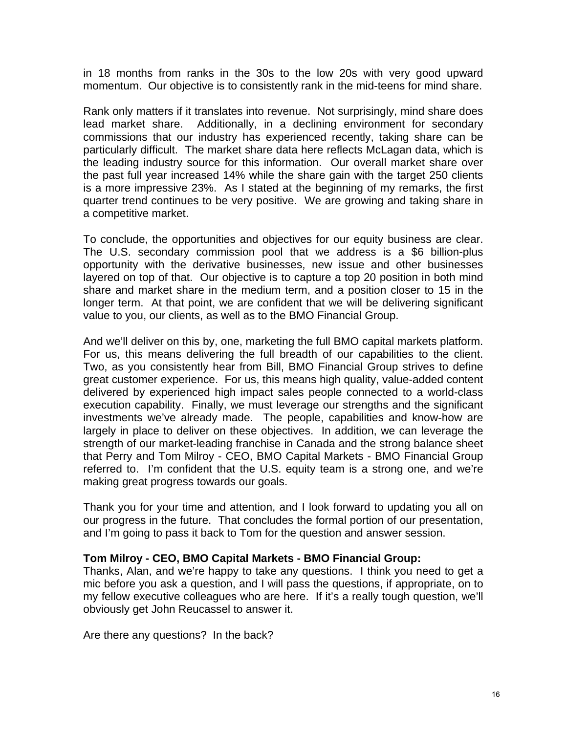in 18 months from ranks in the 30s to the low 20s with very good upward momentum. Our objective is to consistently rank in the mid-teens for mind share.

Rank only matters if it translates into revenue. Not surprisingly, mind share does lead market share. Additionally, in a declining environment for secondary commissions that our industry has experienced recently, taking share can be particularly difficult. The market share data here reflects McLagan data, which is the leading industry source for this information. Our overall market share over the past full year increased 14% while the share gain with the target 250 clients is a more impressive 23%. As I stated at the beginning of my remarks, the first quarter trend continues to be very positive. We are growing and taking share in a competitive market.

To conclude, the opportunities and objectives for our equity business are clear. The U.S. secondary commission pool that we address is a \$6 billion-plus opportunity with the derivative businesses, new issue and other businesses layered on top of that. Our objective is to capture a top 20 position in both mind share and market share in the medium term, and a position closer to 15 in the longer term. At that point, we are confident that we will be delivering significant value to you, our clients, as well as to the BMO Financial Group.

And we'll deliver on this by, one, marketing the full BMO capital markets platform. For us, this means delivering the full breadth of our capabilities to the client. Two, as you consistently hear from Bill, BMO Financial Group strives to define great customer experience. For us, this means high quality, value-added content delivered by experienced high impact sales people connected to a world-class execution capability. Finally, we must leverage our strengths and the significant investments we've already made. The people, capabilities and know-how are largely in place to deliver on these objectives. In addition, we can leverage the strength of our market-leading franchise in Canada and the strong balance sheet that Perry and Tom Milroy - CEO, BMO Capital Markets - BMO Financial Group referred to. I'm confident that the U.S. equity team is a strong one, and we're making great progress towards our goals.

Thank you for your time and attention, and I look forward to updating you all on our progress in the future. That concludes the formal portion of our presentation, and I'm going to pass it back to Tom for the question and answer session.

# **Tom Milroy - CEO, BMO Capital Markets - BMO Financial Group:**

Thanks, Alan, and we're happy to take any questions. I think you need to get a mic before you ask a question, and I will pass the questions, if appropriate, on to my fellow executive colleagues who are here. If it's a really tough question, we'll obviously get John Reucassel to answer it.

Are there any questions? In the back?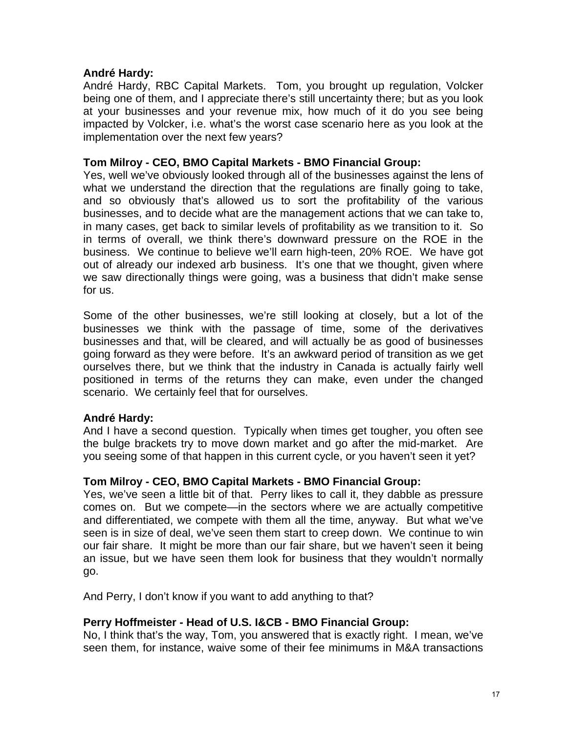# **André Hardy:**

André Hardy, RBC Capital Markets. Tom, you brought up regulation, Volcker being one of them, and I appreciate there's still uncertainty there; but as you look at your businesses and your revenue mix, how much of it do you see being impacted by Volcker, i.e. what's the worst case scenario here as you look at the implementation over the next few years?

# **Tom Milroy - CEO, BMO Capital Markets - BMO Financial Group:**

Yes, well we've obviously looked through all of the businesses against the lens of what we understand the direction that the regulations are finally going to take, and so obviously that's allowed us to sort the profitability of the various businesses, and to decide what are the management actions that we can take to, in many cases, get back to similar levels of profitability as we transition to it. So in terms of overall, we think there's downward pressure on the ROE in the business. We continue to believe we'll earn high-teen, 20% ROE. We have got out of already our indexed arb business. It's one that we thought, given where we saw directionally things were going, was a business that didn't make sense for us.

Some of the other businesses, we're still looking at closely, but a lot of the businesses we think with the passage of time, some of the derivatives businesses and that, will be cleared, and will actually be as good of businesses going forward as they were before. It's an awkward period of transition as we get ourselves there, but we think that the industry in Canada is actually fairly well positioned in terms of the returns they can make, even under the changed scenario. We certainly feel that for ourselves.

# **André Hardy:**

And I have a second question. Typically when times get tougher, you often see the bulge brackets try to move down market and go after the mid-market. Are you seeing some of that happen in this current cycle, or you haven't seen it yet?

# **Tom Milroy - CEO, BMO Capital Markets - BMO Financial Group:**

Yes, we've seen a little bit of that. Perry likes to call it, they dabble as pressure comes on. But we compete—in the sectors where we are actually competitive and differentiated, we compete with them all the time, anyway. But what we've seen is in size of deal, we've seen them start to creep down. We continue to win our fair share. It might be more than our fair share, but we haven't seen it being an issue, but we have seen them look for business that they wouldn't normally go.

And Perry, I don't know if you want to add anything to that?

# **Perry Hoffmeister - Head of U.S. I&CB - BMO Financial Group:**

No, I think that's the way, Tom, you answered that is exactly right. I mean, we've seen them, for instance, waive some of their fee minimums in M&A transactions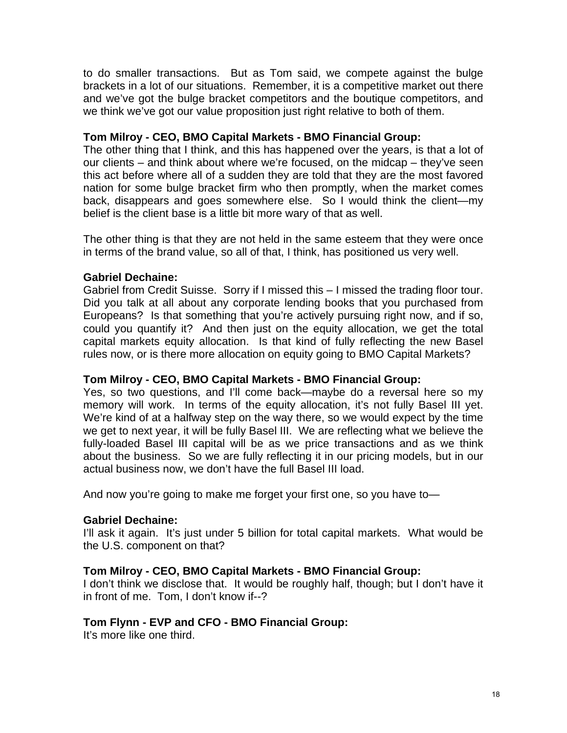to do smaller transactions. But as Tom said, we compete against the bulge brackets in a lot of our situations. Remember, it is a competitive market out there and we've got the bulge bracket competitors and the boutique competitors, and we think we've got our value proposition just right relative to both of them.

# **Tom Milroy - CEO, BMO Capital Markets - BMO Financial Group:**

The other thing that I think, and this has happened over the years, is that a lot of our clients – and think about where we're focused, on the midcap – they've seen this act before where all of a sudden they are told that they are the most favored nation for some bulge bracket firm who then promptly, when the market comes back, disappears and goes somewhere else. So I would think the client—my belief is the client base is a little bit more wary of that as well.

The other thing is that they are not held in the same esteem that they were once in terms of the brand value, so all of that, I think, has positioned us very well.

# **Gabriel Dechaine:**

Gabriel from Credit Suisse. Sorry if I missed this – I missed the trading floor tour. Did you talk at all about any corporate lending books that you purchased from Europeans? Is that something that you're actively pursuing right now, and if so, could you quantify it? And then just on the equity allocation, we get the total capital markets equity allocation. Is that kind of fully reflecting the new Basel rules now, or is there more allocation on equity going to BMO Capital Markets?

# **Tom Milroy - CEO, BMO Capital Markets - BMO Financial Group:**

Yes, so two questions, and I'll come back—maybe do a reversal here so my memory will work. In terms of the equity allocation, it's not fully Basel III yet. We're kind of at a halfway step on the way there, so we would expect by the time we get to next year, it will be fully Basel III. We are reflecting what we believe the fully-loaded Basel III capital will be as we price transactions and as we think about the business. So we are fully reflecting it in our pricing models, but in our actual business now, we don't have the full Basel III load.

And now you're going to make me forget your first one, so you have to—

# **Gabriel Dechaine:**

I'll ask it again. It's just under 5 billion for total capital markets. What would be the U.S. component on that?

# **Tom Milroy - CEO, BMO Capital Markets - BMO Financial Group:**

I don't think we disclose that. It would be roughly half, though; but I don't have it in front of me. Tom, I don't know if--?

# **Tom Flynn - EVP and CFO - BMO Financial Group:**

It's more like one third.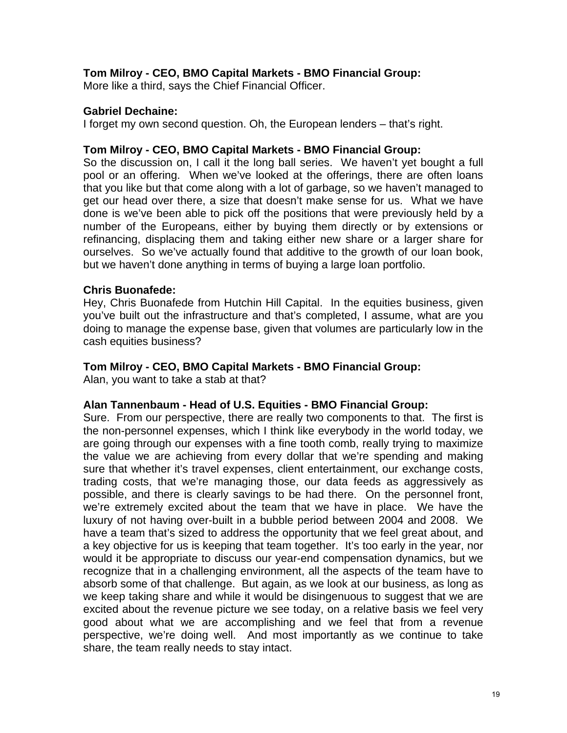# **Tom Milroy - CEO, BMO Capital Markets - BMO Financial Group:**

More like a third, says the Chief Financial Officer.

# **Gabriel Dechaine:**

I forget my own second question. Oh, the European lenders – that's right.

# **Tom Milroy - CEO, BMO Capital Markets - BMO Financial Group:**

So the discussion on, I call it the long ball series. We haven't yet bought a full pool or an offering. When we've looked at the offerings, there are often loans that you like but that come along with a lot of garbage, so we haven't managed to get our head over there, a size that doesn't make sense for us. What we have done is we've been able to pick off the positions that were previously held by a number of the Europeans, either by buying them directly or by extensions or refinancing, displacing them and taking either new share or a larger share for ourselves. So we've actually found that additive to the growth of our loan book, but we haven't done anything in terms of buying a large loan portfolio.

# **Chris Buonafede:**

Hey, Chris Buonafede from Hutchin Hill Capital. In the equities business, given you've built out the infrastructure and that's completed, I assume, what are you doing to manage the expense base, given that volumes are particularly low in the cash equities business?

#### **Tom Milroy - CEO, BMO Capital Markets - BMO Financial Group:**

Alan, you want to take a stab at that?

#### **Alan Tannenbaum - Head of U.S. Equities - BMO Financial Group:**

Sure. From our perspective, there are really two components to that. The first is the non-personnel expenses, which I think like everybody in the world today, we are going through our expenses with a fine tooth comb, really trying to maximize the value we are achieving from every dollar that we're spending and making sure that whether it's travel expenses, client entertainment, our exchange costs, trading costs, that we're managing those, our data feeds as aggressively as possible, and there is clearly savings to be had there. On the personnel front, we're extremely excited about the team that we have in place. We have the luxury of not having over-built in a bubble period between 2004 and 2008. We have a team that's sized to address the opportunity that we feel great about, and a key objective for us is keeping that team together. It's too early in the year, nor would it be appropriate to discuss our year-end compensation dynamics, but we recognize that in a challenging environment, all the aspects of the team have to absorb some of that challenge. But again, as we look at our business, as long as we keep taking share and while it would be disingenuous to suggest that we are excited about the revenue picture we see today, on a relative basis we feel very good about what we are accomplishing and we feel that from a revenue perspective, we're doing well. And most importantly as we continue to take share, the team really needs to stay intact.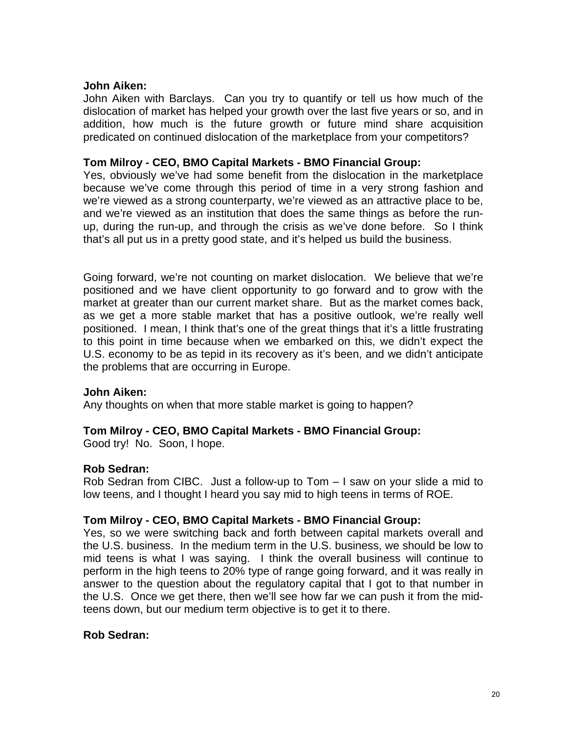#### **John Aiken:**

John Aiken with Barclays. Can you try to quantify or tell us how much of the dislocation of market has helped your growth over the last five years or so, and in addition, how much is the future growth or future mind share acquisition predicated on continued dislocation of the marketplace from your competitors?

#### **Tom Milroy - CEO, BMO Capital Markets - BMO Financial Group:**

Yes, obviously we've had some benefit from the dislocation in the marketplace because we've come through this period of time in a very strong fashion and we're viewed as a strong counterparty, we're viewed as an attractive place to be, and we're viewed as an institution that does the same things as before the runup, during the run-up, and through the crisis as we've done before. So I think that's all put us in a pretty good state, and it's helped us build the business.

Going forward, we're not counting on market dislocation. We believe that we're positioned and we have client opportunity to go forward and to grow with the market at greater than our current market share. But as the market comes back, as we get a more stable market that has a positive outlook, we're really well positioned. I mean, I think that's one of the great things that it's a little frustrating to this point in time because when we embarked on this, we didn't expect the U.S. economy to be as tepid in its recovery as it's been, and we didn't anticipate the problems that are occurring in Europe.

# **John Aiken:**

Any thoughts on when that more stable market is going to happen?

# **Tom Milroy - CEO, BMO Capital Markets - BMO Financial Group:**

Good try! No. Soon, I hope.

# **Rob Sedran:**

Rob Sedran from CIBC. Just a follow-up to Tom – I saw on your slide a mid to low teens, and I thought I heard you say mid to high teens in terms of ROE.

#### **Tom Milroy - CEO, BMO Capital Markets - BMO Financial Group:**

Yes, so we were switching back and forth between capital markets overall and the U.S. business. In the medium term in the U.S. business, we should be low to mid teens is what I was saying. I think the overall business will continue to perform in the high teens to 20% type of range going forward, and it was really in answer to the question about the regulatory capital that I got to that number in the U.S. Once we get there, then we'll see how far we can push it from the midteens down, but our medium term objective is to get it to there.

# **Rob Sedran:**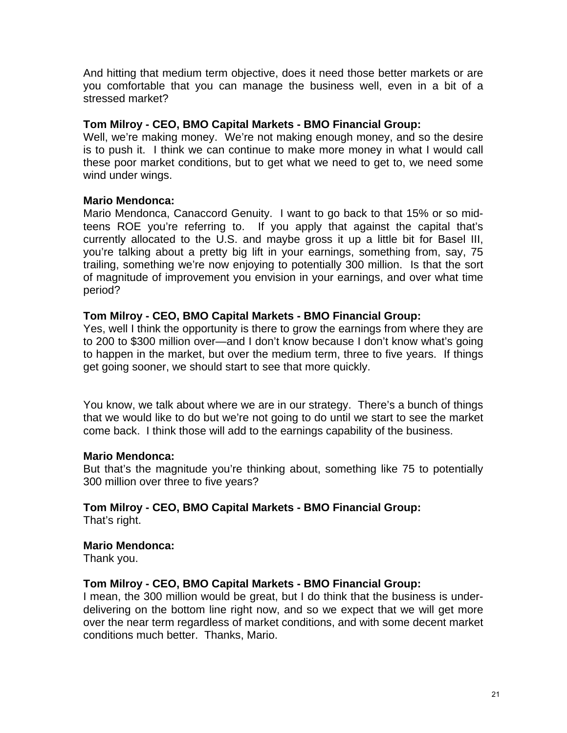And hitting that medium term objective, does it need those better markets or are you comfortable that you can manage the business well, even in a bit of a stressed market?

# **Tom Milroy - CEO, BMO Capital Markets - BMO Financial Group:**

Well, we're making money. We're not making enough money, and so the desire is to push it. I think we can continue to make more money in what I would call these poor market conditions, but to get what we need to get to, we need some wind under wings.

#### **Mario Mendonca:**

Mario Mendonca, Canaccord Genuity. I want to go back to that 15% or so midteens ROE you're referring to. If you apply that against the capital that's currently allocated to the U.S. and maybe gross it up a little bit for Basel III, you're talking about a pretty big lift in your earnings, something from, say, 75 trailing, something we're now enjoying to potentially 300 million. Is that the sort of magnitude of improvement you envision in your earnings, and over what time period?

#### **Tom Milroy - CEO, BMO Capital Markets - BMO Financial Group:**

Yes, well I think the opportunity is there to grow the earnings from where they are to 200 to \$300 million over—and I don't know because I don't know what's going to happen in the market, but over the medium term, three to five years. If things get going sooner, we should start to see that more quickly.

You know, we talk about where we are in our strategy. There's a bunch of things that we would like to do but we're not going to do until we start to see the market come back. I think those will add to the earnings capability of the business.

#### **Mario Mendonca:**

But that's the magnitude you're thinking about, something like 75 to potentially 300 million over three to five years?

# **Tom Milroy - CEO, BMO Capital Markets - BMO Financial Group:**

That's right.

#### **Mario Mendonca:**

Thank you.

# **Tom Milroy - CEO, BMO Capital Markets - BMO Financial Group:**

I mean, the 300 million would be great, but I do think that the business is underdelivering on the bottom line right now, and so we expect that we will get more over the near term regardless of market conditions, and with some decent market conditions much better. Thanks, Mario.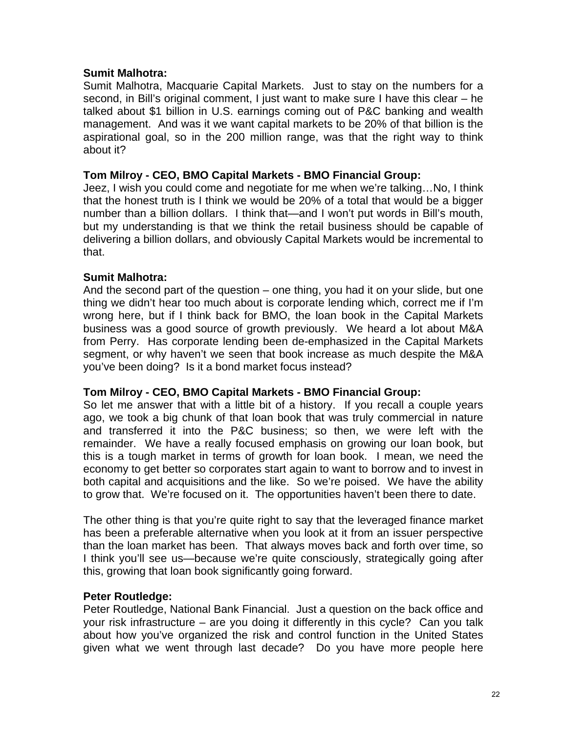# **Sumit Malhotra:**

Sumit Malhotra, Macquarie Capital Markets. Just to stay on the numbers for a second, in Bill's original comment, I just want to make sure I have this clear – he talked about \$1 billion in U.S. earnings coming out of P&C banking and wealth management. And was it we want capital markets to be 20% of that billion is the aspirational goal, so in the 200 million range, was that the right way to think about it?

#### **Tom Milroy - CEO, BMO Capital Markets - BMO Financial Group:**

Jeez, I wish you could come and negotiate for me when we're talking…No, I think that the honest truth is I think we would be 20% of a total that would be a bigger number than a billion dollars. I think that—and I won't put words in Bill's mouth, but my understanding is that we think the retail business should be capable of delivering a billion dollars, and obviously Capital Markets would be incremental to that.

#### **Sumit Malhotra:**

And the second part of the question – one thing, you had it on your slide, but one thing we didn't hear too much about is corporate lending which, correct me if I'm wrong here, but if I think back for BMO, the loan book in the Capital Markets business was a good source of growth previously. We heard a lot about M&A from Perry. Has corporate lending been de-emphasized in the Capital Markets segment, or why haven't we seen that book increase as much despite the M&A you've been doing? Is it a bond market focus instead?

#### **Tom Milroy - CEO, BMO Capital Markets - BMO Financial Group:**

So let me answer that with a little bit of a history. If you recall a couple years ago, we took a big chunk of that loan book that was truly commercial in nature and transferred it into the P&C business; so then, we were left with the remainder. We have a really focused emphasis on growing our loan book, but this is a tough market in terms of growth for loan book. I mean, we need the economy to get better so corporates start again to want to borrow and to invest in both capital and acquisitions and the like. So we're poised. We have the ability to grow that. We're focused on it. The opportunities haven't been there to date.

The other thing is that you're quite right to say that the leveraged finance market has been a preferable alternative when you look at it from an issuer perspective than the loan market has been. That always moves back and forth over time, so I think you'll see us—because we're quite consciously, strategically going after this, growing that loan book significantly going forward.

#### **Peter Routledge:**

Peter Routledge, National Bank Financial. Just a question on the back office and your risk infrastructure – are you doing it differently in this cycle? Can you talk about how you've organized the risk and control function in the United States given what we went through last decade? Do you have more people here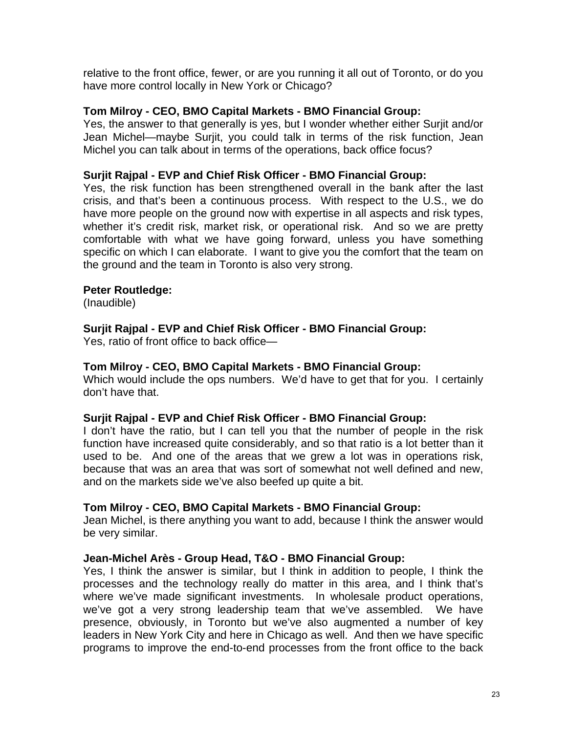relative to the front office, fewer, or are you running it all out of Toronto, or do you have more control locally in New York or Chicago?

#### **Tom Milroy - CEO, BMO Capital Markets - BMO Financial Group:**

Yes, the answer to that generally is yes, but I wonder whether either Surjit and/or Jean Michel—maybe Surjit, you could talk in terms of the risk function, Jean Michel you can talk about in terms of the operations, back office focus?

#### **Surjit Rajpal - EVP and Chief Risk Officer - BMO Financial Group:**

Yes, the risk function has been strengthened overall in the bank after the last crisis, and that's been a continuous process. With respect to the U.S., we do have more people on the ground now with expertise in all aspects and risk types, whether it's credit risk, market risk, or operational risk. And so we are pretty comfortable with what we have going forward, unless you have something specific on which I can elaborate. I want to give you the comfort that the team on the ground and the team in Toronto is also very strong.

#### **Peter Routledge:**

(Inaudible)

# **Surjit Rajpal - EVP and Chief Risk Officer - BMO Financial Group:**

Yes, ratio of front office to back office—

#### **Tom Milroy - CEO, BMO Capital Markets - BMO Financial Group:**

Which would include the ops numbers. We'd have to get that for you. I certainly don't have that.

#### **Surjit Rajpal - EVP and Chief Risk Officer - BMO Financial Group:**

I don't have the ratio, but I can tell you that the number of people in the risk function have increased quite considerably, and so that ratio is a lot better than it used to be. And one of the areas that we grew a lot was in operations risk, because that was an area that was sort of somewhat not well defined and new, and on the markets side we've also beefed up quite a bit.

# **Tom Milroy - CEO, BMO Capital Markets - BMO Financial Group:**

Jean Michel, is there anything you want to add, because I think the answer would be very similar.

#### **Jean-Michel Arès - Group Head, T&O - BMO Financial Group:**

Yes, I think the answer is similar, but I think in addition to people, I think the processes and the technology really do matter in this area, and I think that's where we've made significant investments. In wholesale product operations, we've got a very strong leadership team that we've assembled. We have presence, obviously, in Toronto but we've also augmented a number of key leaders in New York City and here in Chicago as well. And then we have specific programs to improve the end-to-end processes from the front office to the back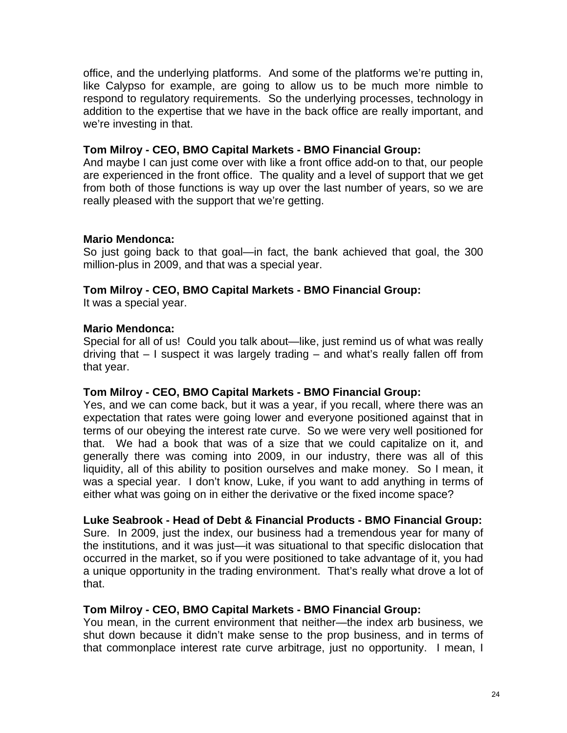office, and the underlying platforms. And some of the platforms we're putting in, like Calypso for example, are going to allow us to be much more nimble to respond to regulatory requirements. So the underlying processes, technology in addition to the expertise that we have in the back office are really important, and we're investing in that.

# **Tom Milroy - CEO, BMO Capital Markets - BMO Financial Group:**

And maybe I can just come over with like a front office add-on to that, our people are experienced in the front office. The quality and a level of support that we get from both of those functions is way up over the last number of years, so we are really pleased with the support that we're getting.

#### **Mario Mendonca:**

So just going back to that goal—in fact, the bank achieved that goal, the 300 million-plus in 2009, and that was a special year.

#### **Tom Milroy - CEO, BMO Capital Markets - BMO Financial Group:**

It was a special year.

#### **Mario Mendonca:**

Special for all of us! Could you talk about—like, just remind us of what was really driving that – I suspect it was largely trading – and what's really fallen off from that year.

#### **Tom Milroy - CEO, BMO Capital Markets - BMO Financial Group:**

Yes, and we can come back, but it was a year, if you recall, where there was an expectation that rates were going lower and everyone positioned against that in terms of our obeying the interest rate curve. So we were very well positioned for that. We had a book that was of a size that we could capitalize on it, and generally there was coming into 2009, in our industry, there was all of this liquidity, all of this ability to position ourselves and make money. So I mean, it was a special year. I don't know, Luke, if you want to add anything in terms of either what was going on in either the derivative or the fixed income space?

#### **Luke Seabrook - Head of Debt & Financial Products - BMO Financial Group:**

Sure. In 2009, just the index, our business had a tremendous year for many of the institutions, and it was just—it was situational to that specific dislocation that occurred in the market, so if you were positioned to take advantage of it, you had a unique opportunity in the trading environment. That's really what drove a lot of that.

#### **Tom Milroy - CEO, BMO Capital Markets - BMO Financial Group:**

You mean, in the current environment that neither—the index arb business, we shut down because it didn't make sense to the prop business, and in terms of that commonplace interest rate curve arbitrage, just no opportunity. I mean, I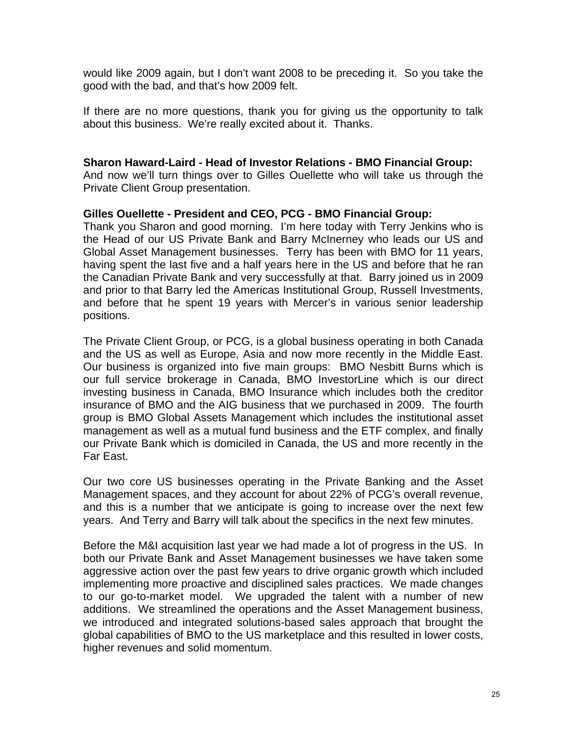would like 2009 again, but I don't want 2008 to be preceding it. So you take the good with the bad, and that's how 2009 felt.

If there are no more questions, thank you for giving us the opportunity to talk about this business. We're really excited about it. Thanks.

#### **Sharon Haward-Laird - Head of Investor Relations - BMO Financial Group:**

And now we'll turn things over to Gilles Ouellette who will take us through the Private Client Group presentation.

#### **Gilles Ouellette - President and CEO, PCG - BMO Financial Group:**

Thank you Sharon and good morning. I'm here today with Terry Jenkins who is the Head of our US Private Bank and Barry McInerney who leads our US and Global Asset Management businesses. Terry has been with BMO for 11 years, having spent the last five and a half years here in the US and before that he ran the Canadian Private Bank and very successfully at that. Barry joined us in 2009 and prior to that Barry led the Americas Institutional Group, Russell Investments, and before that he spent 19 years with Mercer's in various senior leadership positions.

The Private Client Group, or PCG, is a global business operating in both Canada and the US as well as Europe, Asia and now more recently in the Middle East. Our business is organized into five main groups: BMO Nesbitt Burns which is our full service brokerage in Canada, BMO InvestorLine which is our direct investing business in Canada, BMO Insurance which includes both the creditor insurance of BMO and the AIG business that we purchased in 2009. The fourth group is BMO Global Assets Management which includes the institutional asset management as well as a mutual fund business and the ETF complex, and finally our Private Bank which is domiciled in Canada, the US and more recently in the Far East.

Our two core US businesses operating in the Private Banking and the Asset Management spaces, and they account for about 22% of PCG's overall revenue, and this is a number that we anticipate is going to increase over the next few years. And Terry and Barry will talk about the specifics in the next few minutes.

Before the M&I acquisition last year we had made a lot of progress in the US. In both our Private Bank and Asset Management businesses we have taken some aggressive action over the past few years to drive organic growth which included implementing more proactive and disciplined sales practices. We made changes to our go-to-market model. We upgraded the talent with a number of new additions. We streamlined the operations and the Asset Management business, we introduced and integrated solutions-based sales approach that brought the global capabilities of BMO to the US marketplace and this resulted in lower costs, higher revenues and solid momentum.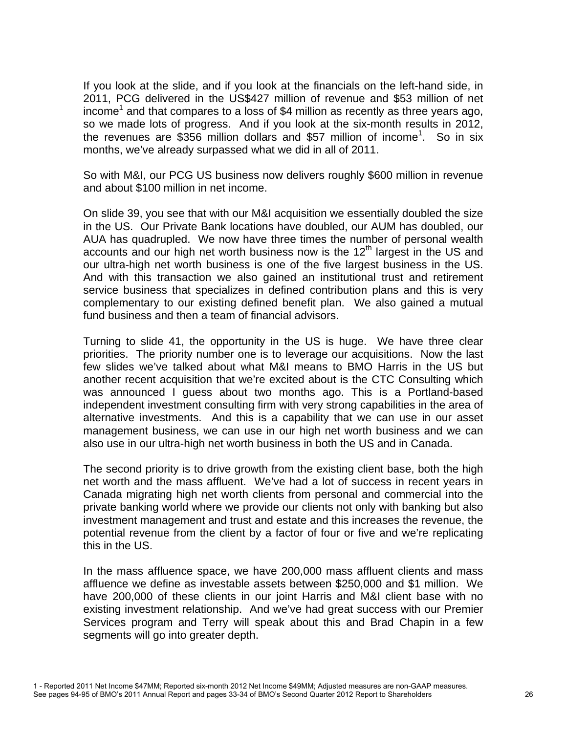If you look at the slide, and if you look at the financials on the left-hand side, in 2011, PCG delivered in the US\$427 million of revenue and \$53 million of net income<sup>1</sup> and that compares to a loss of \$4 million as recently as three years ago, so we made lots of progress. And if you look at the six-month results in 2012, the revenues are \$356 million dollars and \$57 million of income<sup>1</sup>. So in six months, we've already surpassed what we did in all of 2011.

So with M&I, our PCG US business now delivers roughly \$600 million in revenue and about \$100 million in net income.

On slide 39, you see that with our M&I acquisition we essentially doubled the size in the US. Our Private Bank locations have doubled, our AUM has doubled, our AUA has quadrupled. We now have three times the number of personal wealth accounts and our high net worth business now is the  $12<sup>th</sup>$  largest in the US and our ultra-high net worth business is one of the five largest business in the US. And with this transaction we also gained an institutional trust and retirement service business that specializes in defined contribution plans and this is very complementary to our existing defined benefit plan. We also gained a mutual fund business and then a team of financial advisors.

Turning to slide 41, the opportunity in the US is huge. We have three clear priorities. The priority number one is to leverage our acquisitions. Now the last few slides we've talked about what M&I means to BMO Harris in the US but another recent acquisition that we're excited about is the CTC Consulting which was announced I guess about two months ago. This is a Portland-based independent investment consulting firm with very strong capabilities in the area of alternative investments. And this is a capability that we can use in our asset management business, we can use in our high net worth business and we can also use in our ultra-high net worth business in both the US and in Canada.

The second priority is to drive growth from the existing client base, both the high net worth and the mass affluent. We've had a lot of success in recent years in Canada migrating high net worth clients from personal and commercial into the private banking world where we provide our clients not only with banking but also investment management and trust and estate and this increases the revenue, the potential revenue from the client by a factor of four or five and we're replicating this in the US.

In the mass affluence space, we have 200,000 mass affluent clients and mass affluence we define as investable assets between \$250,000 and \$1 million. We have 200,000 of these clients in our joint Harris and M&I client base with no existing investment relationship. And we've had great success with our Premier Services program and Terry will speak about this and Brad Chapin in a few segments will go into greater depth.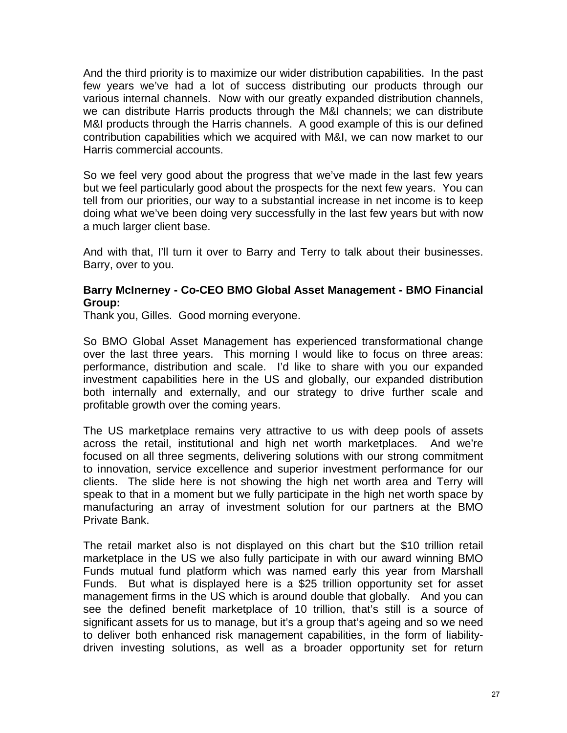And the third priority is to maximize our wider distribution capabilities. In the past few years we've had a lot of success distributing our products through our various internal channels. Now with our greatly expanded distribution channels, we can distribute Harris products through the M&I channels; we can distribute M&I products through the Harris channels. A good example of this is our defined contribution capabilities which we acquired with M&I, we can now market to our Harris commercial accounts.

So we feel very good about the progress that we've made in the last few years but we feel particularly good about the prospects for the next few years. You can tell from our priorities, our way to a substantial increase in net income is to keep doing what we've been doing very successfully in the last few years but with now a much larger client base.

And with that, I'll turn it over to Barry and Terry to talk about their businesses. Barry, over to you.

# **Barry McInerney - Co-CEO BMO Global Asset Management - BMO Financial Group:**

Thank you, Gilles. Good morning everyone.

So BMO Global Asset Management has experienced transformational change over the last three years. This morning I would like to focus on three areas: performance, distribution and scale. I'd like to share with you our expanded investment capabilities here in the US and globally, our expanded distribution both internally and externally, and our strategy to drive further scale and profitable growth over the coming years.

The US marketplace remains very attractive to us with deep pools of assets across the retail, institutional and high net worth marketplaces. And we're focused on all three segments, delivering solutions with our strong commitment to innovation, service excellence and superior investment performance for our clients. The slide here is not showing the high net worth area and Terry will speak to that in a moment but we fully participate in the high net worth space by manufacturing an array of investment solution for our partners at the BMO Private Bank.

The retail market also is not displayed on this chart but the \$10 trillion retail marketplace in the US we also fully participate in with our award winning BMO Funds mutual fund platform which was named early this year from Marshall Funds. But what is displayed here is a \$25 trillion opportunity set for asset management firms in the US which is around double that globally. And you can see the defined benefit marketplace of 10 trillion, that's still is a source of significant assets for us to manage, but it's a group that's ageing and so we need to deliver both enhanced risk management capabilities, in the form of liabilitydriven investing solutions, as well as a broader opportunity set for return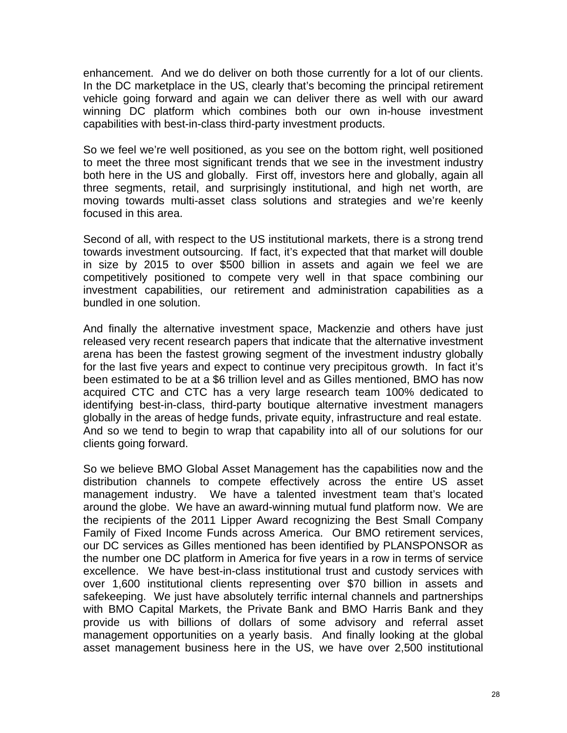enhancement. And we do deliver on both those currently for a lot of our clients. In the DC marketplace in the US, clearly that's becoming the principal retirement vehicle going forward and again we can deliver there as well with our award winning DC platform which combines both our own in-house investment capabilities with best-in-class third-party investment products.

So we feel we're well positioned, as you see on the bottom right, well positioned to meet the three most significant trends that we see in the investment industry both here in the US and globally. First off, investors here and globally, again all three segments, retail, and surprisingly institutional, and high net worth, are moving towards multi-asset class solutions and strategies and we're keenly focused in this area.

Second of all, with respect to the US institutional markets, there is a strong trend towards investment outsourcing. If fact, it's expected that that market will double in size by 2015 to over \$500 billion in assets and again we feel we are competitively positioned to compete very well in that space combining our investment capabilities, our retirement and administration capabilities as a bundled in one solution.

And finally the alternative investment space, Mackenzie and others have just released very recent research papers that indicate that the alternative investment arena has been the fastest growing segment of the investment industry globally for the last five years and expect to continue very precipitous growth. In fact it's been estimated to be at a \$6 trillion level and as Gilles mentioned, BMO has now acquired CTC and CTC has a very large research team 100% dedicated to identifying best-in-class, third-party boutique alternative investment managers globally in the areas of hedge funds, private equity, infrastructure and real estate. And so we tend to begin to wrap that capability into all of our solutions for our clients going forward.

So we believe BMO Global Asset Management has the capabilities now and the distribution channels to compete effectively across the entire US asset management industry. We have a talented investment team that's located around the globe. We have an award-winning mutual fund platform now. We are the recipients of the 2011 Lipper Award recognizing the Best Small Company Family of Fixed Income Funds across America. Our BMO retirement services, our DC services as Gilles mentioned has been identified by PLANSPONSOR as the number one DC platform in America for five years in a row in terms of service excellence. We have best-in-class institutional trust and custody services with over 1,600 institutional clients representing over \$70 billion in assets and safekeeping. We just have absolutely terrific internal channels and partnerships with BMO Capital Markets, the Private Bank and BMO Harris Bank and they provide us with billions of dollars of some advisory and referral asset management opportunities on a yearly basis. And finally looking at the global asset management business here in the US, we have over 2,500 institutional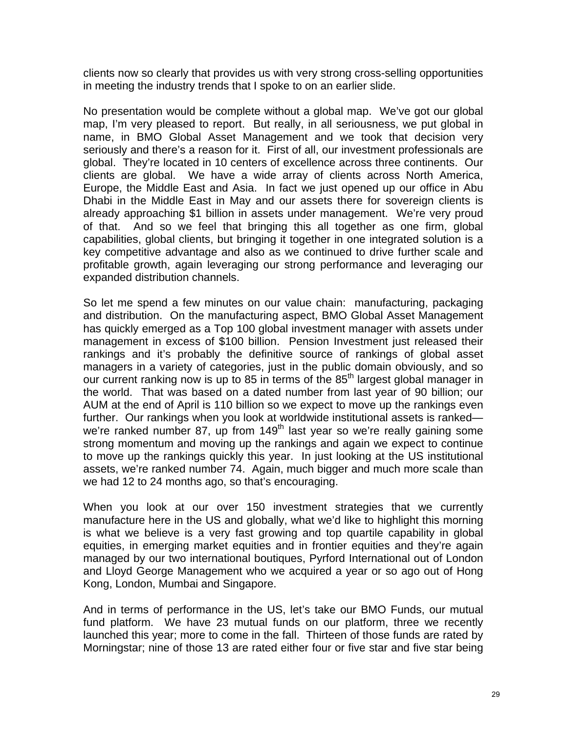clients now so clearly that provides us with very strong cross-selling opportunities in meeting the industry trends that I spoke to on an earlier slide.

No presentation would be complete without a global map. We've got our global map, I'm very pleased to report. But really, in all seriousness, we put global in name, in BMO Global Asset Management and we took that decision very seriously and there's a reason for it. First of all, our investment professionals are global. They're located in 10 centers of excellence across three continents. Our clients are global. We have a wide array of clients across North America, Europe, the Middle East and Asia. In fact we just opened up our office in Abu Dhabi in the Middle East in May and our assets there for sovereign clients is already approaching \$1 billion in assets under management. We're very proud of that. And so we feel that bringing this all together as one firm, global capabilities, global clients, but bringing it together in one integrated solution is a key competitive advantage and also as we continued to drive further scale and profitable growth, again leveraging our strong performance and leveraging our expanded distribution channels.

So let me spend a few minutes on our value chain: manufacturing, packaging and distribution. On the manufacturing aspect, BMO Global Asset Management has quickly emerged as a Top 100 global investment manager with assets under management in excess of \$100 billion. Pension Investment just released their rankings and it's probably the definitive source of rankings of global asset managers in a variety of categories, just in the public domain obviously, and so our current ranking now is up to 85 in terms of the  $85<sup>th</sup>$  largest global manager in the world. That was based on a dated number from last year of 90 billion; our AUM at the end of April is 110 billion so we expect to move up the rankings even further. Our rankings when you look at worldwide institutional assets is ranked we're ranked number 87, up from 149<sup>th</sup> last year so we're really gaining some strong momentum and moving up the rankings and again we expect to continue to move up the rankings quickly this year. In just looking at the US institutional assets, we're ranked number 74. Again, much bigger and much more scale than we had 12 to 24 months ago, so that's encouraging.

When you look at our over 150 investment strategies that we currently manufacture here in the US and globally, what we'd like to highlight this morning is what we believe is a very fast growing and top quartile capability in global equities, in emerging market equities and in frontier equities and they're again managed by our two international boutiques, Pyrford International out of London and Lloyd George Management who we acquired a year or so ago out of Hong Kong, London, Mumbai and Singapore.

And in terms of performance in the US, let's take our BMO Funds, our mutual fund platform. We have 23 mutual funds on our platform, three we recently launched this year; more to come in the fall. Thirteen of those funds are rated by Morningstar; nine of those 13 are rated either four or five star and five star being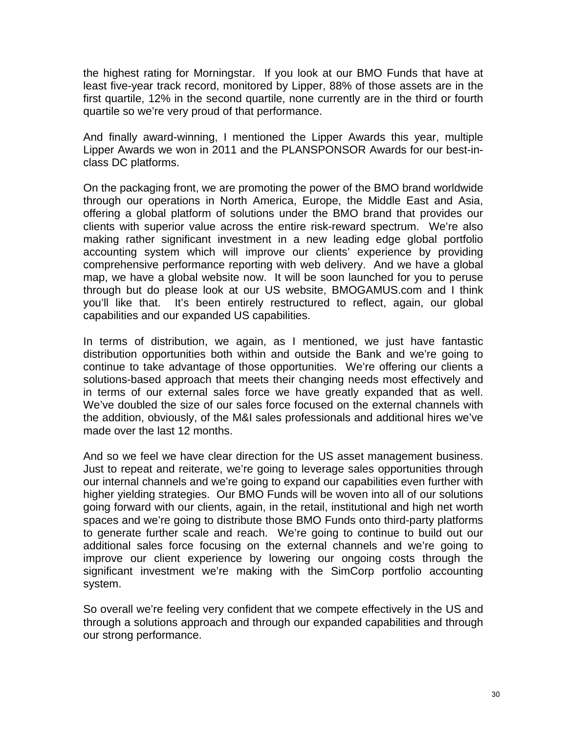the highest rating for Morningstar. If you look at our BMO Funds that have at least five-year track record, monitored by Lipper, 88% of those assets are in the first quartile, 12% in the second quartile, none currently are in the third or fourth quartile so we're very proud of that performance.

And finally award-winning, I mentioned the Lipper Awards this year, multiple Lipper Awards we won in 2011 and the PLANSPONSOR Awards for our best-inclass DC platforms.

On the packaging front, we are promoting the power of the BMO brand worldwide through our operations in North America, Europe, the Middle East and Asia, offering a global platform of solutions under the BMO brand that provides our clients with superior value across the entire risk-reward spectrum. We're also making rather significant investment in a new leading edge global portfolio accounting system which will improve our clients' experience by providing comprehensive performance reporting with web delivery. And we have a global map, we have a global website now. It will be soon launched for you to peruse through but do please look at our US website, BMOGAMUS.com and I think you'll like that. It's been entirely restructured to reflect, again, our global capabilities and our expanded US capabilities.

In terms of distribution, we again, as I mentioned, we just have fantastic distribution opportunities both within and outside the Bank and we're going to continue to take advantage of those opportunities. We're offering our clients a solutions-based approach that meets their changing needs most effectively and in terms of our external sales force we have greatly expanded that as well. We've doubled the size of our sales force focused on the external channels with the addition, obviously, of the M&I sales professionals and additional hires we've made over the last 12 months.

And so we feel we have clear direction for the US asset management business. Just to repeat and reiterate, we're going to leverage sales opportunities through our internal channels and we're going to expand our capabilities even further with higher yielding strategies. Our BMO Funds will be woven into all of our solutions going forward with our clients, again, in the retail, institutional and high net worth spaces and we're going to distribute those BMO Funds onto third-party platforms to generate further scale and reach. We're going to continue to build out our additional sales force focusing on the external channels and we're going to improve our client experience by lowering our ongoing costs through the significant investment we're making with the SimCorp portfolio accounting system.

So overall we're feeling very confident that we compete effectively in the US and through a solutions approach and through our expanded capabilities and through our strong performance.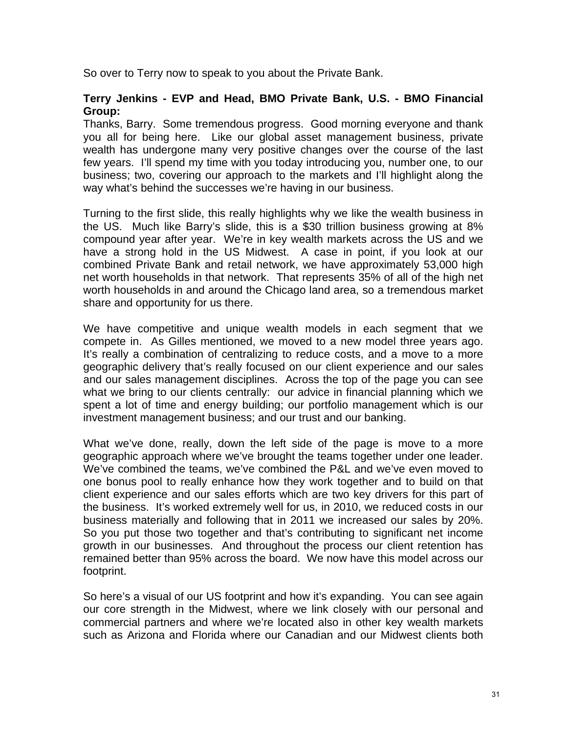So over to Terry now to speak to you about the Private Bank.

# **Terry Jenkins - EVP and Head, BMO Private Bank, U.S. - BMO Financial Group:**

Thanks, Barry. Some tremendous progress. Good morning everyone and thank you all for being here. Like our global asset management business, private wealth has undergone many very positive changes over the course of the last few years. I'll spend my time with you today introducing you, number one, to our business; two, covering our approach to the markets and I'll highlight along the way what's behind the successes we're having in our business.

Turning to the first slide, this really highlights why we like the wealth business in the US. Much like Barry's slide, this is a \$30 trillion business growing at 8% compound year after year. We're in key wealth markets across the US and we have a strong hold in the US Midwest. A case in point, if you look at our combined Private Bank and retail network, we have approximately 53,000 high net worth households in that network. That represents 35% of all of the high net worth households in and around the Chicago land area, so a tremendous market share and opportunity for us there.

We have competitive and unique wealth models in each segment that we compete in. As Gilles mentioned, we moved to a new model three years ago. It's really a combination of centralizing to reduce costs, and a move to a more geographic delivery that's really focused on our client experience and our sales and our sales management disciplines. Across the top of the page you can see what we bring to our clients centrally: our advice in financial planning which we spent a lot of time and energy building; our portfolio management which is our investment management business; and our trust and our banking.

What we've done, really, down the left side of the page is move to a more geographic approach where we've brought the teams together under one leader. We've combined the teams, we've combined the P&L and we've even moved to one bonus pool to really enhance how they work together and to build on that client experience and our sales efforts which are two key drivers for this part of the business. It's worked extremely well for us, in 2010, we reduced costs in our business materially and following that in 2011 we increased our sales by 20%. So you put those two together and that's contributing to significant net income growth in our businesses. And throughout the process our client retention has remained better than 95% across the board. We now have this model across our footprint.

So here's a visual of our US footprint and how it's expanding. You can see again our core strength in the Midwest, where we link closely with our personal and commercial partners and where we're located also in other key wealth markets such as Arizona and Florida where our Canadian and our Midwest clients both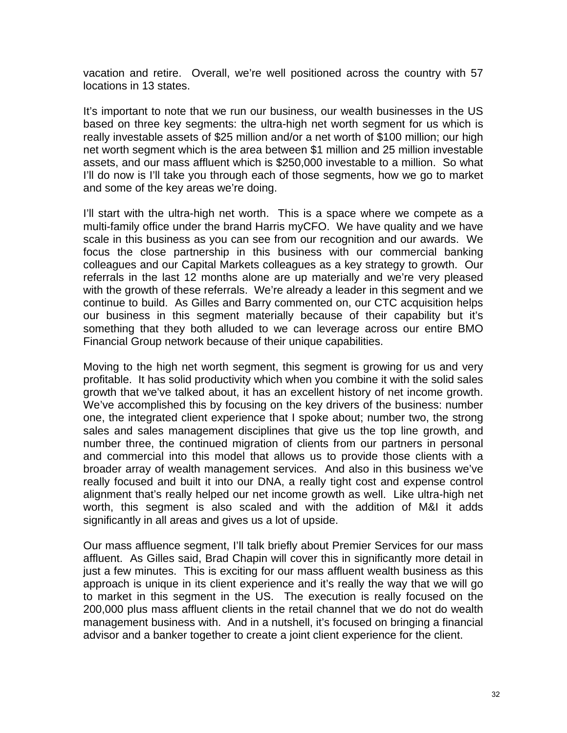vacation and retire. Overall, we're well positioned across the country with 57 locations in 13 states.

It's important to note that we run our business, our wealth businesses in the US based on three key segments: the ultra-high net worth segment for us which is really investable assets of \$25 million and/or a net worth of \$100 million; our high net worth segment which is the area between \$1 million and 25 million investable assets, and our mass affluent which is \$250,000 investable to a million. So what I'll do now is I'll take you through each of those segments, how we go to market and some of the key areas we're doing.

I'll start with the ultra-high net worth. This is a space where we compete as a multi-family office under the brand Harris myCFO. We have quality and we have scale in this business as you can see from our recognition and our awards. We focus the close partnership in this business with our commercial banking colleagues and our Capital Markets colleagues as a key strategy to growth. Our referrals in the last 12 months alone are up materially and we're very pleased with the growth of these referrals. We're already a leader in this segment and we continue to build. As Gilles and Barry commented on, our CTC acquisition helps our business in this segment materially because of their capability but it's something that they both alluded to we can leverage across our entire BMO Financial Group network because of their unique capabilities.

Moving to the high net worth segment, this segment is growing for us and very profitable. It has solid productivity which when you combine it with the solid sales growth that we've talked about, it has an excellent history of net income growth. We've accomplished this by focusing on the key drivers of the business: number one, the integrated client experience that I spoke about; number two, the strong sales and sales management disciplines that give us the top line growth, and number three, the continued migration of clients from our partners in personal and commercial into this model that allows us to provide those clients with a broader array of wealth management services. And also in this business we've really focused and built it into our DNA, a really tight cost and expense control alignment that's really helped our net income growth as well. Like ultra-high net worth, this segment is also scaled and with the addition of M&I it adds significantly in all areas and gives us a lot of upside.

Our mass affluence segment, I'll talk briefly about Premier Services for our mass affluent. As Gilles said, Brad Chapin will cover this in significantly more detail in just a few minutes. This is exciting for our mass affluent wealth business as this approach is unique in its client experience and it's really the way that we will go to market in this segment in the US. The execution is really focused on the 200,000 plus mass affluent clients in the retail channel that we do not do wealth management business with. And in a nutshell, it's focused on bringing a financial advisor and a banker together to create a joint client experience for the client.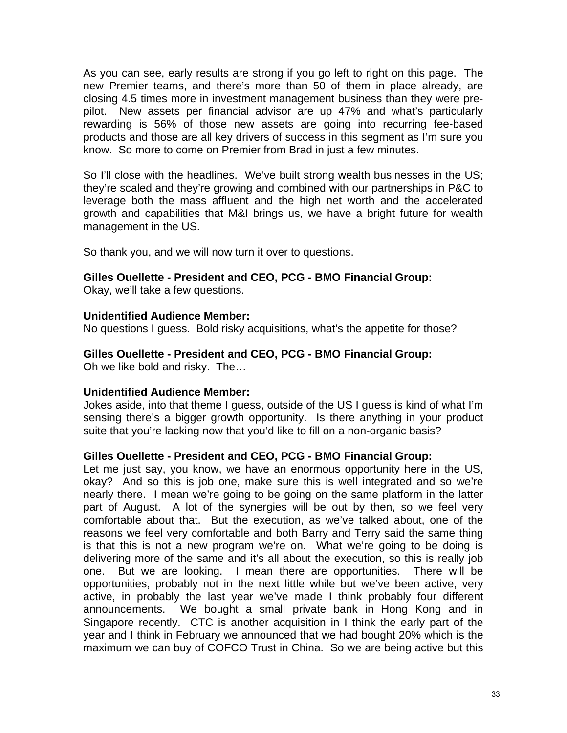As you can see, early results are strong if you go left to right on this page. The new Premier teams, and there's more than 50 of them in place already, are closing 4.5 times more in investment management business than they were prepilot. New assets per financial advisor are up 47% and what's particularly rewarding is 56% of those new assets are going into recurring fee-based products and those are all key drivers of success in this segment as I'm sure you know. So more to come on Premier from Brad in just a few minutes.

So I'll close with the headlines. We've built strong wealth businesses in the US; they're scaled and they're growing and combined with our partnerships in P&C to leverage both the mass affluent and the high net worth and the accelerated growth and capabilities that M&I brings us, we have a bright future for wealth management in the US.

So thank you, and we will now turn it over to questions.

# **Gilles Ouellette - President and CEO, PCG - BMO Financial Group:**

Okay, we'll take a few questions.

# **Unidentified Audience Member:**

No questions I guess. Bold risky acquisitions, what's the appetite for those?

# **Gilles Ouellette - President and CEO, PCG - BMO Financial Group:**

Oh we like bold and risky. The…

# **Unidentified Audience Member:**

Jokes aside, into that theme I guess, outside of the US I guess is kind of what I'm sensing there's a bigger growth opportunity. Is there anything in your product suite that you're lacking now that you'd like to fill on a non-organic basis?

#### **Gilles Ouellette - President and CEO, PCG - BMO Financial Group:**

Let me just say, you know, we have an enormous opportunity here in the US, okay? And so this is job one, make sure this is well integrated and so we're nearly there. I mean we're going to be going on the same platform in the latter part of August. A lot of the synergies will be out by then, so we feel very comfortable about that. But the execution, as we've talked about, one of the reasons we feel very comfortable and both Barry and Terry said the same thing is that this is not a new program we're on. What we're going to be doing is delivering more of the same and it's all about the execution, so this is really job one. But we are looking. I mean there are opportunities. There will be opportunities, probably not in the next little while but we've been active, very active, in probably the last year we've made I think probably four different announcements. We bought a small private bank in Hong Kong and in Singapore recently. CTC is another acquisition in I think the early part of the year and I think in February we announced that we had bought 20% which is the maximum we can buy of COFCO Trust in China. So we are being active but this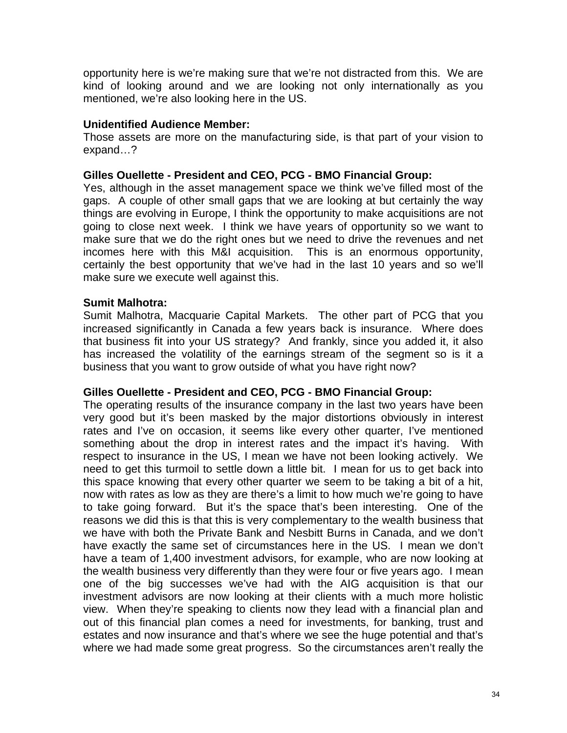opportunity here is we're making sure that we're not distracted from this. We are kind of looking around and we are looking not only internationally as you mentioned, we're also looking here in the US.

# **Unidentified Audience Member:**

Those assets are more on the manufacturing side, is that part of your vision to expand…?

#### **Gilles Ouellette - President and CEO, PCG - BMO Financial Group:**

Yes, although in the asset management space we think we've filled most of the gaps. A couple of other small gaps that we are looking at but certainly the way things are evolving in Europe, I think the opportunity to make acquisitions are not going to close next week. I think we have years of opportunity so we want to make sure that we do the right ones but we need to drive the revenues and net incomes here with this M&I acquisition. This is an enormous opportunity, certainly the best opportunity that we've had in the last 10 years and so we'll make sure we execute well against this.

#### **Sumit Malhotra:**

Sumit Malhotra, Macquarie Capital Markets. The other part of PCG that you increased significantly in Canada a few years back is insurance. Where does that business fit into your US strategy? And frankly, since you added it, it also has increased the volatility of the earnings stream of the segment so is it a business that you want to grow outside of what you have right now?

# **Gilles Ouellette - President and CEO, PCG - BMO Financial Group:**

The operating results of the insurance company in the last two years have been very good but it's been masked by the major distortions obviously in interest rates and I've on occasion, it seems like every other quarter, I've mentioned something about the drop in interest rates and the impact it's having. With respect to insurance in the US, I mean we have not been looking actively. We need to get this turmoil to settle down a little bit. I mean for us to get back into this space knowing that every other quarter we seem to be taking a bit of a hit, now with rates as low as they are there's a limit to how much we're going to have to take going forward. But it's the space that's been interesting. One of the reasons we did this is that this is very complementary to the wealth business that we have with both the Private Bank and Nesbitt Burns in Canada, and we don't have exactly the same set of circumstances here in the US. I mean we don't have a team of 1,400 investment advisors, for example, who are now looking at the wealth business very differently than they were four or five years ago. I mean one of the big successes we've had with the AIG acquisition is that our investment advisors are now looking at their clients with a much more holistic view. When they're speaking to clients now they lead with a financial plan and out of this financial plan comes a need for investments, for banking, trust and estates and now insurance and that's where we see the huge potential and that's where we had made some great progress. So the circumstances aren't really the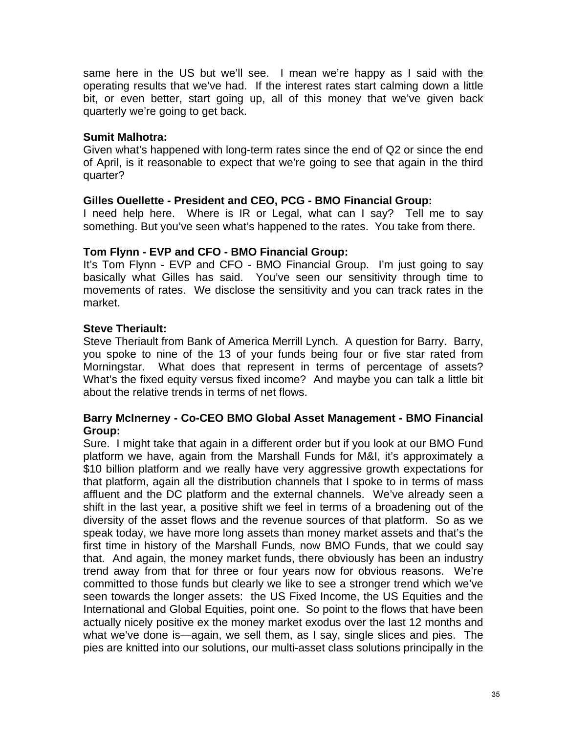same here in the US but we'll see. I mean we're happy as I said with the operating results that we've had. If the interest rates start calming down a little bit, or even better, start going up, all of this money that we've given back quarterly we're going to get back.

# **Sumit Malhotra:**

Given what's happened with long-term rates since the end of Q2 or since the end of April, is it reasonable to expect that we're going to see that again in the third quarter?

# **Gilles Ouellette - President and CEO, PCG - BMO Financial Group:**

I need help here. Where is IR or Legal, what can I say? Tell me to say something. But you've seen what's happened to the rates. You take from there.

# **Tom Flynn - EVP and CFO - BMO Financial Group:**

It's Tom Flynn - EVP and CFO - BMO Financial Group. I'm just going to say basically what Gilles has said. You've seen our sensitivity through time to movements of rates. We disclose the sensitivity and you can track rates in the market.

# **Steve Theriault:**

Steve Theriault from Bank of America Merrill Lynch. A question for Barry. Barry, you spoke to nine of the 13 of your funds being four or five star rated from Morningstar. What does that represent in terms of percentage of assets? What's the fixed equity versus fixed income? And maybe you can talk a little bit about the relative trends in terms of net flows.

# **Barry McInerney - Co-CEO BMO Global Asset Management - BMO Financial Group:**

Sure. I might take that again in a different order but if you look at our BMO Fund platform we have, again from the Marshall Funds for M&I, it's approximately a \$10 billion platform and we really have very aggressive growth expectations for that platform, again all the distribution channels that I spoke to in terms of mass affluent and the DC platform and the external channels. We've already seen a shift in the last year, a positive shift we feel in terms of a broadening out of the diversity of the asset flows and the revenue sources of that platform. So as we speak today, we have more long assets than money market assets and that's the first time in history of the Marshall Funds, now BMO Funds, that we could say that. And again, the money market funds, there obviously has been an industry trend away from that for three or four years now for obvious reasons. We're committed to those funds but clearly we like to see a stronger trend which we've seen towards the longer assets: the US Fixed Income, the US Equities and the International and Global Equities, point one. So point to the flows that have been actually nicely positive ex the money market exodus over the last 12 months and what we've done is—again, we sell them, as I say, single slices and pies. The pies are knitted into our solutions, our multi-asset class solutions principally in the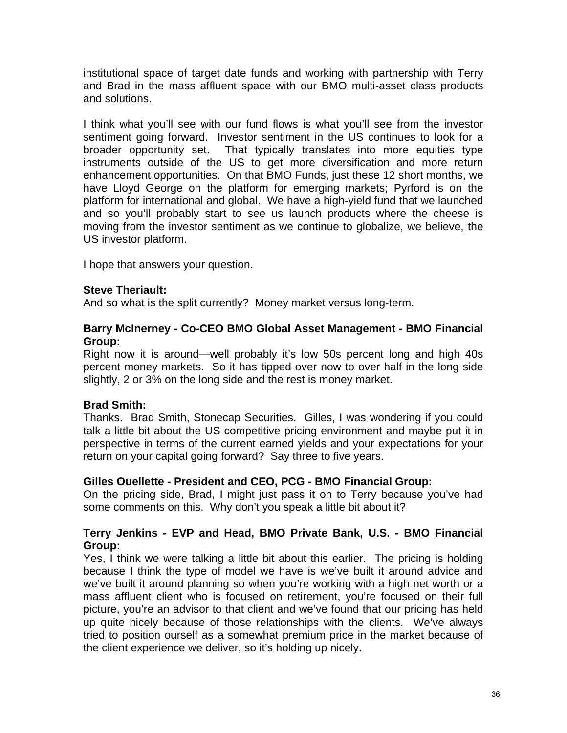institutional space of target date funds and working with partnership with Terry and Brad in the mass affluent space with our BMO multi-asset class products and solutions.

I think what you'll see with our fund flows is what you'll see from the investor sentiment going forward. Investor sentiment in the US continues to look for a broader opportunity set. That typically translates into more equities type instruments outside of the US to get more diversification and more return enhancement opportunities. On that BMO Funds, just these 12 short months, we have Lloyd George on the platform for emerging markets; Pyrford is on the platform for international and global. We have a high-yield fund that we launched and so you'll probably start to see us launch products where the cheese is moving from the investor sentiment as we continue to globalize, we believe, the US investor platform.

I hope that answers your question.

# **Steve Theriault:**

And so what is the split currently? Money market versus long-term.

# **Barry McInerney - Co-CEO BMO Global Asset Management - BMO Financial Group:**

Right now it is around—well probably it's low 50s percent long and high 40s percent money markets. So it has tipped over now to over half in the long side slightly, 2 or 3% on the long side and the rest is money market.

# **Brad Smith:**

Thanks. Brad Smith, Stonecap Securities. Gilles, I was wondering if you could talk a little bit about the US competitive pricing environment and maybe put it in perspective in terms of the current earned yields and your expectations for your return on your capital going forward? Say three to five years.

# **Gilles Ouellette - President and CEO, PCG - BMO Financial Group:**

On the pricing side, Brad, I might just pass it on to Terry because you've had some comments on this. Why don't you speak a little bit about it?

# **Terry Jenkins - EVP and Head, BMO Private Bank, U.S. - BMO Financial Group:**

Yes, I think we were talking a little bit about this earlier. The pricing is holding because I think the type of model we have is we've built it around advice and we've built it around planning so when you're working with a high net worth or a mass affluent client who is focused on retirement, you're focused on their full picture, you're an advisor to that client and we've found that our pricing has held up quite nicely because of those relationships with the clients. We've always tried to position ourself as a somewhat premium price in the market because of the client experience we deliver, so it's holding up nicely.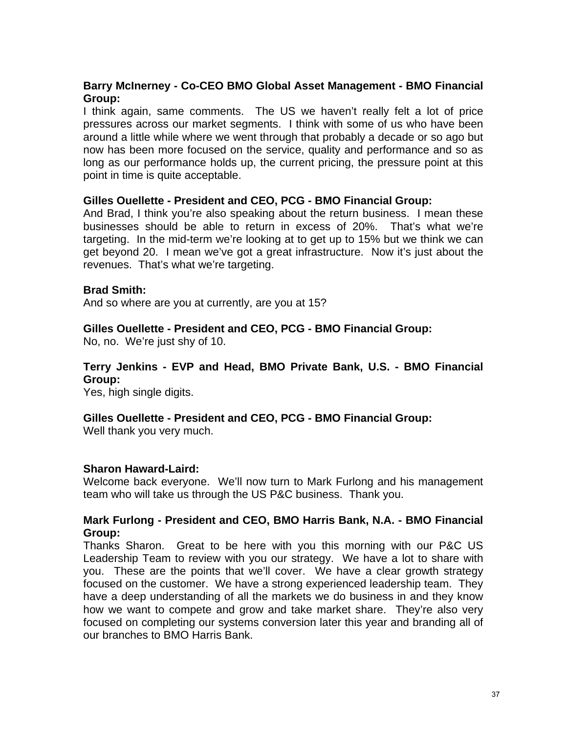# **Barry McInerney - Co-CEO BMO Global Asset Management - BMO Financial Group:**

I think again, same comments. The US we haven't really felt a lot of price pressures across our market segments. I think with some of us who have been around a little while where we went through that probably a decade or so ago but now has been more focused on the service, quality and performance and so as long as our performance holds up, the current pricing, the pressure point at this point in time is quite acceptable.

# **Gilles Ouellette - President and CEO, PCG - BMO Financial Group:**

And Brad, I think you're also speaking about the return business. I mean these businesses should be able to return in excess of 20%. That's what we're targeting. In the mid-term we're looking at to get up to 15% but we think we can get beyond 20. I mean we've got a great infrastructure. Now it's just about the revenues. That's what we're targeting.

# **Brad Smith:**

And so where are you at currently, are you at 15?

# **Gilles Ouellette - President and CEO, PCG - BMO Financial Group:**

No, no. We're just shy of 10.

# **Terry Jenkins - EVP and Head, BMO Private Bank, U.S. - BMO Financial Group:**

Yes, high single digits.

# **Gilles Ouellette - President and CEO, PCG - BMO Financial Group:**

Well thank you very much.

# **Sharon Haward-Laird:**

Welcome back everyone. We'll now turn to Mark Furlong and his management team who will take us through the US P&C business. Thank you.

#### **Mark Furlong - President and CEO, BMO Harris Bank, N.A. - BMO Financial Group:**

Thanks Sharon. Great to be here with you this morning with our P&C US Leadership Team to review with you our strategy. We have a lot to share with you. These are the points that we'll cover. We have a clear growth strategy focused on the customer. We have a strong experienced leadership team. They have a deep understanding of all the markets we do business in and they know how we want to compete and grow and take market share. They're also very focused on completing our systems conversion later this year and branding all of our branches to BMO Harris Bank.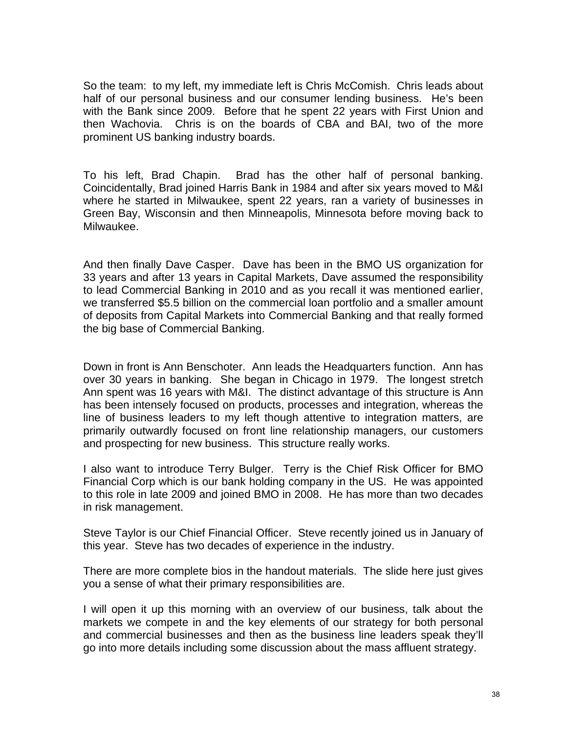So the team: to my left, my immediate left is Chris McComish. Chris leads about half of our personal business and our consumer lending business. He's been with the Bank since 2009. Before that he spent 22 years with First Union and then Wachovia. Chris is on the boards of CBA and BAI, two of the more prominent US banking industry boards.

To his left, Brad Chapin. Brad has the other half of personal banking. Coincidentally, Brad joined Harris Bank in 1984 and after six years moved to M&I where he started in Milwaukee, spent 22 years, ran a variety of businesses in Green Bay, Wisconsin and then Minneapolis, Minnesota before moving back to Milwaukee.

And then finally Dave Casper. Dave has been in the BMO US organization for 33 years and after 13 years in Capital Markets, Dave assumed the responsibility to lead Commercial Banking in 2010 and as you recall it was mentioned earlier, we transferred \$5.5 billion on the commercial loan portfolio and a smaller amount of deposits from Capital Markets into Commercial Banking and that really formed the big base of Commercial Banking.

Down in front is Ann Benschoter. Ann leads the Headquarters function. Ann has over 30 years in banking. She began in Chicago in 1979. The longest stretch Ann spent was 16 years with M&I. The distinct advantage of this structure is Ann has been intensely focused on products, processes and integration, whereas the line of business leaders to my left though attentive to integration matters, are primarily outwardly focused on front line relationship managers, our customers and prospecting for new business. This structure really works.

I also want to introduce Terry Bulger. Terry is the Chief Risk Officer for BMO Financial Corp which is our bank holding company in the US. He was appointed to this role in late 2009 and joined BMO in 2008. He has more than two decades in risk management.

Steve Taylor is our Chief Financial Officer. Steve recently joined us in January of this year. Steve has two decades of experience in the industry.

There are more complete bios in the handout materials. The slide here just gives you a sense of what their primary responsibilities are.

I will open it up this morning with an overview of our business, talk about the markets we compete in and the key elements of our strategy for both personal and commercial businesses and then as the business line leaders speak they'll go into more details including some discussion about the mass affluent strategy.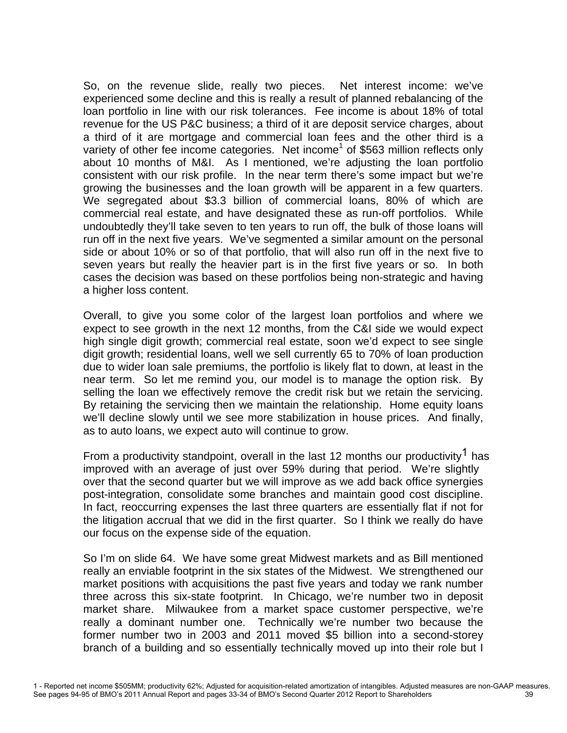So, on the revenue slide, really two pieces. Net interest income: we've experienced some decline and this is really a result of planned rebalancing of the loan portfolio in line with our risk tolerances. Fee income is about 18% of total revenue for the US P&C business; a third of it are deposit service charges, about a third of it are mortgage and commercial loan fees and the other third is a variety of other fee income categories. Net income<sup>1</sup> of \$563 million reflects only about 10 months of M&I. As I mentioned, we're adjusting the loan portfolio consistent with our risk profile. In the near term there's some impact but we're growing the businesses and the loan growth will be apparent in a few quarters. We segregated about \$3.3 billion of commercial loans, 80% of which are commercial real estate, and have designated these as run-off portfolios. While undoubtedly they'll take seven to ten years to run off, the bulk of those loans will run off in the next five years. We've segmented a similar amount on the personal side or about 10% or so of that portfolio, that will also run off in the next five to seven years but really the heavier part is in the first five years or so. In both cases the decision was based on these portfolios being non-strategic and having a higher loss content.

Overall, to give you some color of the largest loan portfolios and where we expect to see growth in the next 12 months, from the C&I side we would expect high single digit growth; commercial real estate, soon we'd expect to see single digit growth; residential loans, well we sell currently 65 to 70% of loan production due to wider loan sale premiums, the portfolio is likely flat to down, at least in the near term. So let me remind you, our model is to manage the option risk. By selling the loan we effectively remove the credit risk but we retain the servicing. By retaining the servicing then we maintain the relationship. Home equity loans we'll decline slowly until we see more stabilization in house prices. And finally, as to auto loans, we expect auto will continue to grow.

From a productivity standpoint, overall in the last 12 months our productivity<sup>1</sup> has improved with an average of just over 59% during that period. We're slightly over that the second quarter but we will improve as we add back office synergies post-integration, consolidate some branches and maintain good cost discipline. In fact, reoccurring expenses the last three quarters are essentially flat if not for the litigation accrual that we did in the first quarter. So I think we really do have our focus on the expense side of the equation.

So I'm on slide 64. We have some great Midwest markets and as Bill mentioned really an enviable footprint in the six states of the Midwest. We strengthened our market positions with acquisitions the past five years and today we rank number three across this six-state footprint. In Chicago, we're number two in deposit market share. Milwaukee from a market space customer perspective, we're really a dominant number one. Technically we're number two because the former number two in 2003 and 2011 moved \$5 billion into a second-storey branch of a building and so essentially technically moved up into their role but I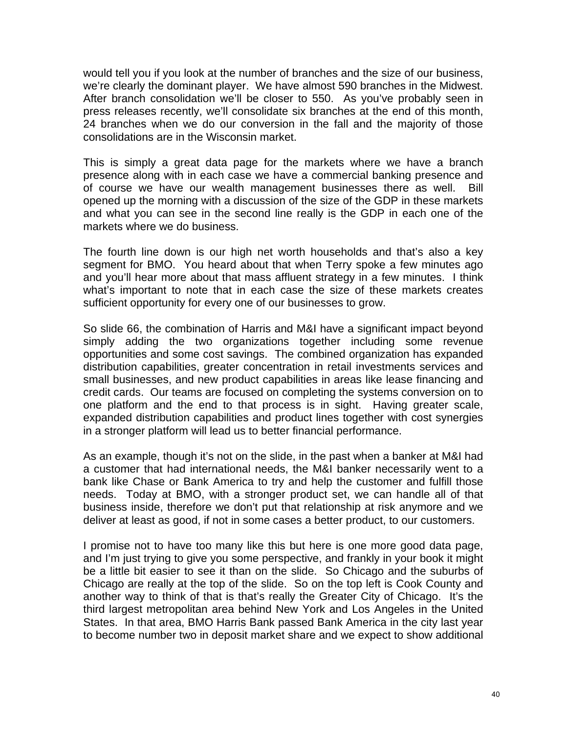would tell you if you look at the number of branches and the size of our business, we're clearly the dominant player. We have almost 590 branches in the Midwest. After branch consolidation we'll be closer to 550. As you've probably seen in press releases recently, we'll consolidate six branches at the end of this month, 24 branches when we do our conversion in the fall and the majority of those consolidations are in the Wisconsin market.

This is simply a great data page for the markets where we have a branch presence along with in each case we have a commercial banking presence and of course we have our wealth management businesses there as well. Bill opened up the morning with a discussion of the size of the GDP in these markets and what you can see in the second line really is the GDP in each one of the markets where we do business.

The fourth line down is our high net worth households and that's also a key segment for BMO. You heard about that when Terry spoke a few minutes ago and you'll hear more about that mass affluent strategy in a few minutes. I think what's important to note that in each case the size of these markets creates sufficient opportunity for every one of our businesses to grow.

So slide 66, the combination of Harris and M&I have a significant impact beyond simply adding the two organizations together including some revenue opportunities and some cost savings. The combined organization has expanded distribution capabilities, greater concentration in retail investments services and small businesses, and new product capabilities in areas like lease financing and credit cards. Our teams are focused on completing the systems conversion on to one platform and the end to that process is in sight. Having greater scale, expanded distribution capabilities and product lines together with cost synergies in a stronger platform will lead us to better financial performance.

As an example, though it's not on the slide, in the past when a banker at M&I had a customer that had international needs, the M&I banker necessarily went to a bank like Chase or Bank America to try and help the customer and fulfill those needs. Today at BMO, with a stronger product set, we can handle all of that business inside, therefore we don't put that relationship at risk anymore and we deliver at least as good, if not in some cases a better product, to our customers.

I promise not to have too many like this but here is one more good data page, and I'm just trying to give you some perspective, and frankly in your book it might be a little bit easier to see it than on the slide. So Chicago and the suburbs of Chicago are really at the top of the slide. So on the top left is Cook County and another way to think of that is that's really the Greater City of Chicago. It's the third largest metropolitan area behind New York and Los Angeles in the United States. In that area, BMO Harris Bank passed Bank America in the city last year to become number two in deposit market share and we expect to show additional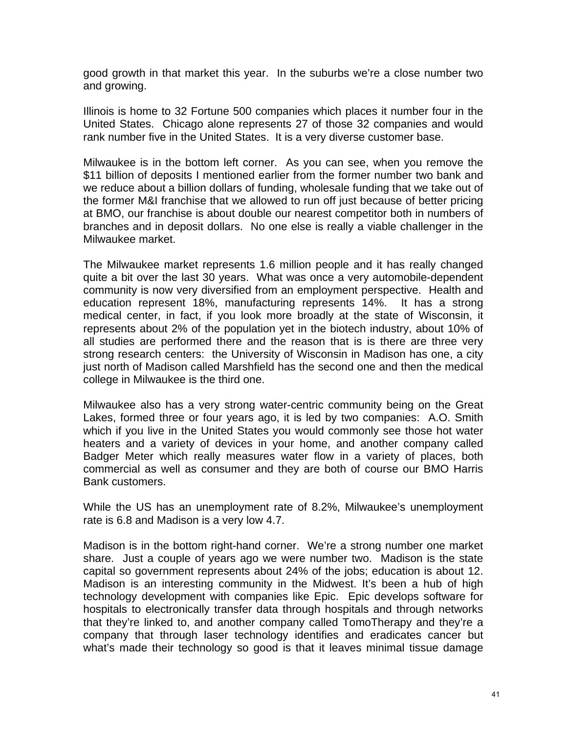good growth in that market this year. In the suburbs we're a close number two and growing.

Illinois is home to 32 Fortune 500 companies which places it number four in the United States. Chicago alone represents 27 of those 32 companies and would rank number five in the United States. It is a very diverse customer base.

Milwaukee is in the bottom left corner. As you can see, when you remove the \$11 billion of deposits I mentioned earlier from the former number two bank and we reduce about a billion dollars of funding, wholesale funding that we take out of the former M&I franchise that we allowed to run off just because of better pricing at BMO, our franchise is about double our nearest competitor both in numbers of branches and in deposit dollars. No one else is really a viable challenger in the Milwaukee market.

The Milwaukee market represents 1.6 million people and it has really changed quite a bit over the last 30 years. What was once a very automobile-dependent community is now very diversified from an employment perspective. Health and education represent 18%, manufacturing represents 14%. It has a strong medical center, in fact, if you look more broadly at the state of Wisconsin, it represents about 2% of the population yet in the biotech industry, about 10% of all studies are performed there and the reason that is is there are three very strong research centers: the University of Wisconsin in Madison has one, a city just north of Madison called Marshfield has the second one and then the medical college in Milwaukee is the third one.

Milwaukee also has a very strong water-centric community being on the Great Lakes, formed three or four years ago, it is led by two companies: A.O. Smith which if you live in the United States you would commonly see those hot water heaters and a variety of devices in your home, and another company called Badger Meter which really measures water flow in a variety of places, both commercial as well as consumer and they are both of course our BMO Harris Bank customers.

While the US has an unemployment rate of 8.2%, Milwaukee's unemployment rate is 6.8 and Madison is a very low 4.7.

Madison is in the bottom right-hand corner. We're a strong number one market share. Just a couple of years ago we were number two. Madison is the state capital so government represents about 24% of the jobs; education is about 12. Madison is an interesting community in the Midwest. It's been a hub of high technology development with companies like Epic. Epic develops software for hospitals to electronically transfer data through hospitals and through networks that they're linked to, and another company called TomoTherapy and they're a company that through laser technology identifies and eradicates cancer but what's made their technology so good is that it leaves minimal tissue damage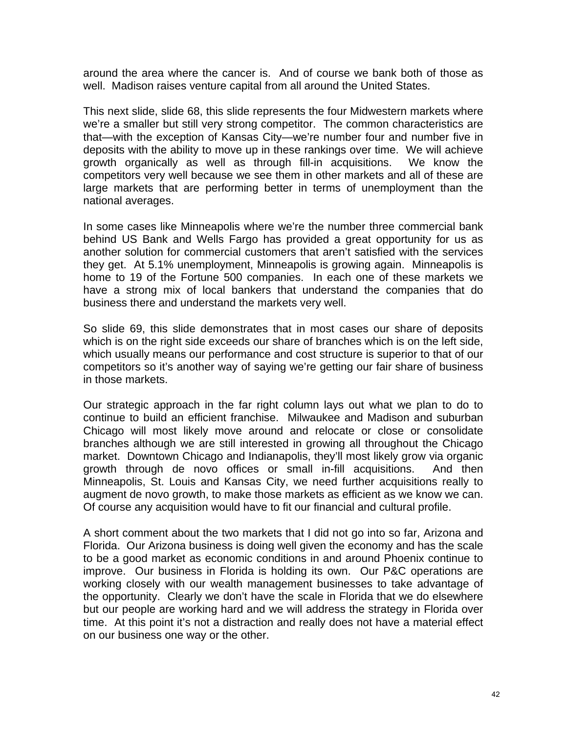around the area where the cancer is. And of course we bank both of those as well. Madison raises venture capital from all around the United States.

This next slide, slide 68, this slide represents the four Midwestern markets where we're a smaller but still very strong competitor. The common characteristics are that—with the exception of Kansas City—we're number four and number five in deposits with the ability to move up in these rankings over time. We will achieve growth organically as well as through fill-in acquisitions. We know the competitors very well because we see them in other markets and all of these are large markets that are performing better in terms of unemployment than the national averages.

In some cases like Minneapolis where we're the number three commercial bank behind US Bank and Wells Fargo has provided a great opportunity for us as another solution for commercial customers that aren't satisfied with the services they get. At 5.1% unemployment, Minneapolis is growing again. Minneapolis is home to 19 of the Fortune 500 companies. In each one of these markets we have a strong mix of local bankers that understand the companies that do business there and understand the markets very well.

So slide 69, this slide demonstrates that in most cases our share of deposits which is on the right side exceeds our share of branches which is on the left side, which usually means our performance and cost structure is superior to that of our competitors so it's another way of saying we're getting our fair share of business in those markets.

Our strategic approach in the far right column lays out what we plan to do to continue to build an efficient franchise. Milwaukee and Madison and suburban Chicago will most likely move around and relocate or close or consolidate branches although we are still interested in growing all throughout the Chicago market. Downtown Chicago and Indianapolis, they'll most likely grow via organic growth through de novo offices or small in-fill acquisitions. And then Minneapolis, St. Louis and Kansas City, we need further acquisitions really to augment de novo growth, to make those markets as efficient as we know we can. Of course any acquisition would have to fit our financial and cultural profile.

A short comment about the two markets that I did not go into so far, Arizona and Florida. Our Arizona business is doing well given the economy and has the scale to be a good market as economic conditions in and around Phoenix continue to improve. Our business in Florida is holding its own. Our P&C operations are working closely with our wealth management businesses to take advantage of the opportunity. Clearly we don't have the scale in Florida that we do elsewhere but our people are working hard and we will address the strategy in Florida over time. At this point it's not a distraction and really does not have a material effect on our business one way or the other.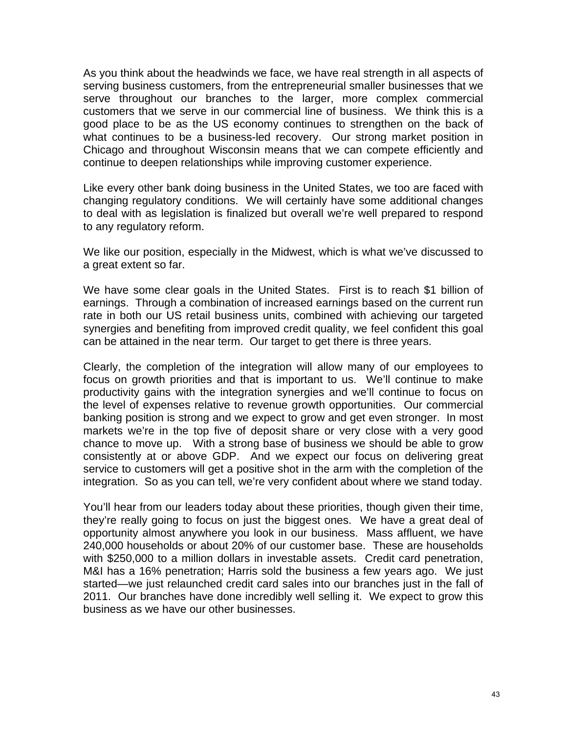As you think about the headwinds we face, we have real strength in all aspects of serving business customers, from the entrepreneurial smaller businesses that we serve throughout our branches to the larger, more complex commercial customers that we serve in our commercial line of business. We think this is a good place to be as the US economy continues to strengthen on the back of what continues to be a business-led recovery. Our strong market position in Chicago and throughout Wisconsin means that we can compete efficiently and continue to deepen relationships while improving customer experience.

Like every other bank doing business in the United States, we too are faced with changing regulatory conditions. We will certainly have some additional changes to deal with as legislation is finalized but overall we're well prepared to respond to any regulatory reform.

We like our position, especially in the Midwest, which is what we've discussed to a great extent so far.

We have some clear goals in the United States. First is to reach \$1 billion of earnings. Through a combination of increased earnings based on the current run rate in both our US retail business units, combined with achieving our targeted synergies and benefiting from improved credit quality, we feel confident this goal can be attained in the near term. Our target to get there is three years.

Clearly, the completion of the integration will allow many of our employees to focus on growth priorities and that is important to us. We'll continue to make productivity gains with the integration synergies and we'll continue to focus on the level of expenses relative to revenue growth opportunities. Our commercial banking position is strong and we expect to grow and get even stronger. In most markets we're in the top five of deposit share or very close with a very good chance to move up. With a strong base of business we should be able to grow consistently at or above GDP. And we expect our focus on delivering great service to customers will get a positive shot in the arm with the completion of the integration. So as you can tell, we're very confident about where we stand today.

You'll hear from our leaders today about these priorities, though given their time, they're really going to focus on just the biggest ones. We have a great deal of opportunity almost anywhere you look in our business. Mass affluent, we have 240,000 households or about 20% of our customer base. These are households with \$250,000 to a million dollars in investable assets. Credit card penetration, M&I has a 16% penetration; Harris sold the business a few years ago. We just started—we just relaunched credit card sales into our branches just in the fall of 2011. Our branches have done incredibly well selling it. We expect to grow this business as we have our other businesses.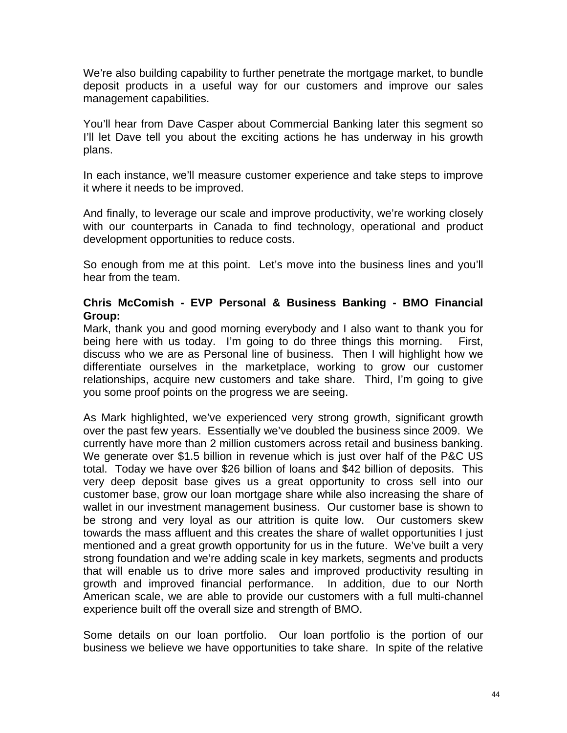We're also building capability to further penetrate the mortgage market, to bundle deposit products in a useful way for our customers and improve our sales management capabilities.

You'll hear from Dave Casper about Commercial Banking later this segment so I'll let Dave tell you about the exciting actions he has underway in his growth plans.

In each instance, we'll measure customer experience and take steps to improve it where it needs to be improved.

And finally, to leverage our scale and improve productivity, we're working closely with our counterparts in Canada to find technology, operational and product development opportunities to reduce costs.

So enough from me at this point. Let's move into the business lines and you'll hear from the team.

# **Chris McComish - EVP Personal & Business Banking - BMO Financial Group:**

Mark, thank you and good morning everybody and I also want to thank you for being here with us today. I'm going to do three things this morning. First, discuss who we are as Personal line of business. Then I will highlight how we differentiate ourselves in the marketplace, working to grow our customer relationships, acquire new customers and take share. Third, I'm going to give you some proof points on the progress we are seeing.

As Mark highlighted, we've experienced very strong growth, significant growth over the past few years. Essentially we've doubled the business since 2009. We currently have more than 2 million customers across retail and business banking. We generate over \$1.5 billion in revenue which is just over half of the P&C US total. Today we have over \$26 billion of loans and \$42 billion of deposits. This very deep deposit base gives us a great opportunity to cross sell into our customer base, grow our loan mortgage share while also increasing the share of wallet in our investment management business. Our customer base is shown to be strong and very loyal as our attrition is quite low. Our customers skew towards the mass affluent and this creates the share of wallet opportunities I just mentioned and a great growth opportunity for us in the future. We've built a very strong foundation and we're adding scale in key markets, segments and products that will enable us to drive more sales and improved productivity resulting in growth and improved financial performance. In addition, due to our North American scale, we are able to provide our customers with a full multi-channel experience built off the overall size and strength of BMO.

Some details on our loan portfolio. Our loan portfolio is the portion of our business we believe we have opportunities to take share. In spite of the relative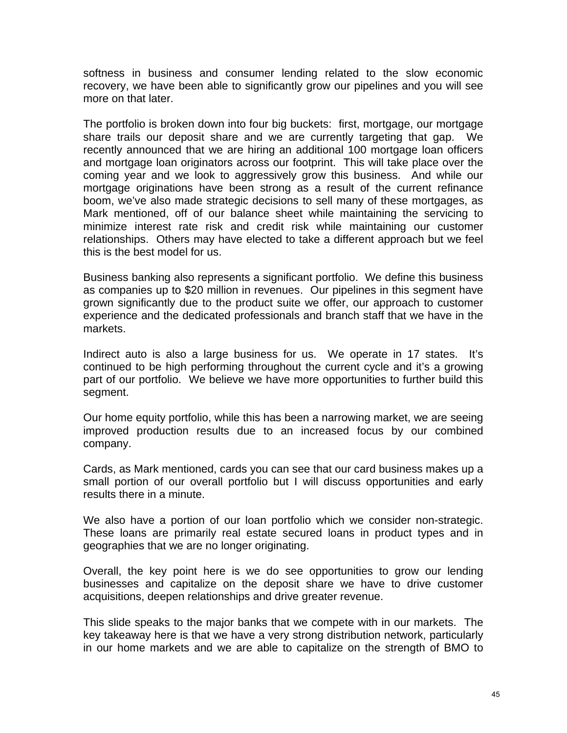softness in business and consumer lending related to the slow economic recovery, we have been able to significantly grow our pipelines and you will see more on that later.

The portfolio is broken down into four big buckets: first, mortgage, our mortgage share trails our deposit share and we are currently targeting that gap. We recently announced that we are hiring an additional 100 mortgage loan officers and mortgage loan originators across our footprint. This will take place over the coming year and we look to aggressively grow this business. And while our mortgage originations have been strong as a result of the current refinance boom, we've also made strategic decisions to sell many of these mortgages, as Mark mentioned, off of our balance sheet while maintaining the servicing to minimize interest rate risk and credit risk while maintaining our customer relationships. Others may have elected to take a different approach but we feel this is the best model for us.

Business banking also represents a significant portfolio. We define this business as companies up to \$20 million in revenues. Our pipelines in this segment have grown significantly due to the product suite we offer, our approach to customer experience and the dedicated professionals and branch staff that we have in the markets.

Indirect auto is also a large business for us. We operate in 17 states. It's continued to be high performing throughout the current cycle and it's a growing part of our portfolio. We believe we have more opportunities to further build this segment.

Our home equity portfolio, while this has been a narrowing market, we are seeing improved production results due to an increased focus by our combined company.

Cards, as Mark mentioned, cards you can see that our card business makes up a small portion of our overall portfolio but I will discuss opportunities and early results there in a minute.

We also have a portion of our loan portfolio which we consider non-strategic. These loans are primarily real estate secured loans in product types and in geographies that we are no longer originating.

Overall, the key point here is we do see opportunities to grow our lending businesses and capitalize on the deposit share we have to drive customer acquisitions, deepen relationships and drive greater revenue.

This slide speaks to the major banks that we compete with in our markets. The key takeaway here is that we have a very strong distribution network, particularly in our home markets and we are able to capitalize on the strength of BMO to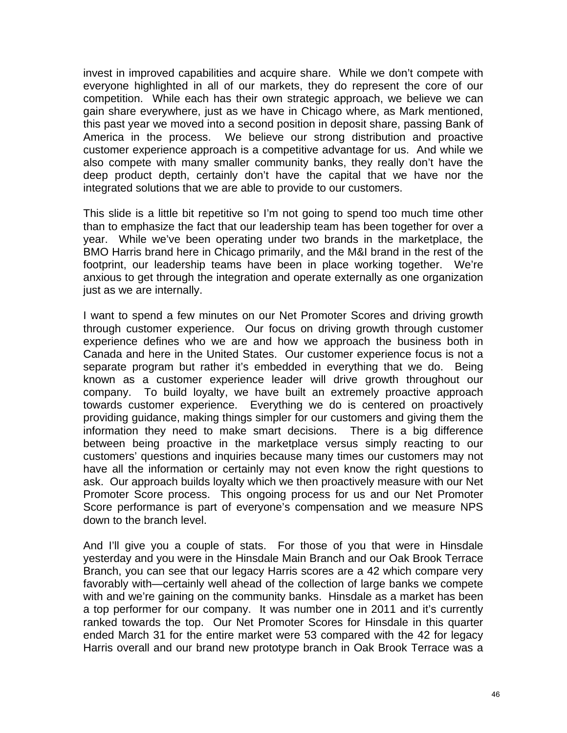invest in improved capabilities and acquire share. While we don't compete with everyone highlighted in all of our markets, they do represent the core of our competition. While each has their own strategic approach, we believe we can gain share everywhere, just as we have in Chicago where, as Mark mentioned, this past year we moved into a second position in deposit share, passing Bank of America in the process. We believe our strong distribution and proactive customer experience approach is a competitive advantage for us. And while we also compete with many smaller community banks, they really don't have the deep product depth, certainly don't have the capital that we have nor the integrated solutions that we are able to provide to our customers.

This slide is a little bit repetitive so I'm not going to spend too much time other than to emphasize the fact that our leadership team has been together for over a year. While we've been operating under two brands in the marketplace, the BMO Harris brand here in Chicago primarily, and the M&I brand in the rest of the footprint, our leadership teams have been in place working together. We're anxious to get through the integration and operate externally as one organization just as we are internally.

I want to spend a few minutes on our Net Promoter Scores and driving growth through customer experience. Our focus on driving growth through customer experience defines who we are and how we approach the business both in Canada and here in the United States. Our customer experience focus is not a separate program but rather it's embedded in everything that we do. Being known as a customer experience leader will drive growth throughout our company. To build loyalty, we have built an extremely proactive approach towards customer experience. Everything we do is centered on proactively providing guidance, making things simpler for our customers and giving them the information they need to make smart decisions. There is a big difference between being proactive in the marketplace versus simply reacting to our customers' questions and inquiries because many times our customers may not have all the information or certainly may not even know the right questions to ask. Our approach builds loyalty which we then proactively measure with our Net Promoter Score process. This ongoing process for us and our Net Promoter Score performance is part of everyone's compensation and we measure NPS down to the branch level.

And I'll give you a couple of stats. For those of you that were in Hinsdale yesterday and you were in the Hinsdale Main Branch and our Oak Brook Terrace Branch, you can see that our legacy Harris scores are a 42 which compare very favorably with—certainly well ahead of the collection of large banks we compete with and we're gaining on the community banks. Hinsdale as a market has been a top performer for our company. It was number one in 2011 and it's currently ranked towards the top. Our Net Promoter Scores for Hinsdale in this quarter ended March 31 for the entire market were 53 compared with the 42 for legacy Harris overall and our brand new prototype branch in Oak Brook Terrace was a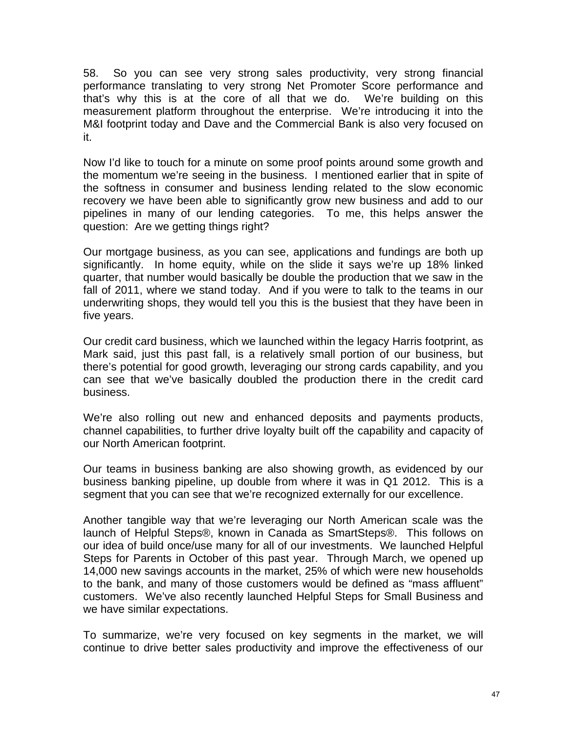58. So you can see very strong sales productivity, very strong financial performance translating to very strong Net Promoter Score performance and that's why this is at the core of all that we do. We're building on this measurement platform throughout the enterprise. We're introducing it into the M&I footprint today and Dave and the Commercial Bank is also very focused on it.

Now I'd like to touch for a minute on some proof points around some growth and the momentum we're seeing in the business. I mentioned earlier that in spite of the softness in consumer and business lending related to the slow economic recovery we have been able to significantly grow new business and add to our pipelines in many of our lending categories. To me, this helps answer the question: Are we getting things right?

Our mortgage business, as you can see, applications and fundings are both up significantly. In home equity, while on the slide it says we're up 18% linked quarter, that number would basically be double the production that we saw in the fall of 2011, where we stand today. And if you were to talk to the teams in our underwriting shops, they would tell you this is the busiest that they have been in five years.

Our credit card business, which we launched within the legacy Harris footprint, as Mark said, just this past fall, is a relatively small portion of our business, but there's potential for good growth, leveraging our strong cards capability, and you can see that we've basically doubled the production there in the credit card business.

We're also rolling out new and enhanced deposits and payments products, channel capabilities, to further drive loyalty built off the capability and capacity of our North American footprint.

Our teams in business banking are also showing growth, as evidenced by our business banking pipeline, up double from where it was in Q1 2012. This is a segment that you can see that we're recognized externally for our excellence.

Another tangible way that we're leveraging our North American scale was the launch of Helpful Steps®, known in Canada as SmartSteps®. This follows on our idea of build once/use many for all of our investments. We launched Helpful Steps for Parents in October of this past year. Through March, we opened up 14,000 new savings accounts in the market, 25% of which were new households to the bank, and many of those customers would be defined as "mass affluent" customers. We've also recently launched Helpful Steps for Small Business and we have similar expectations.

To summarize, we're very focused on key segments in the market, we will continue to drive better sales productivity and improve the effectiveness of our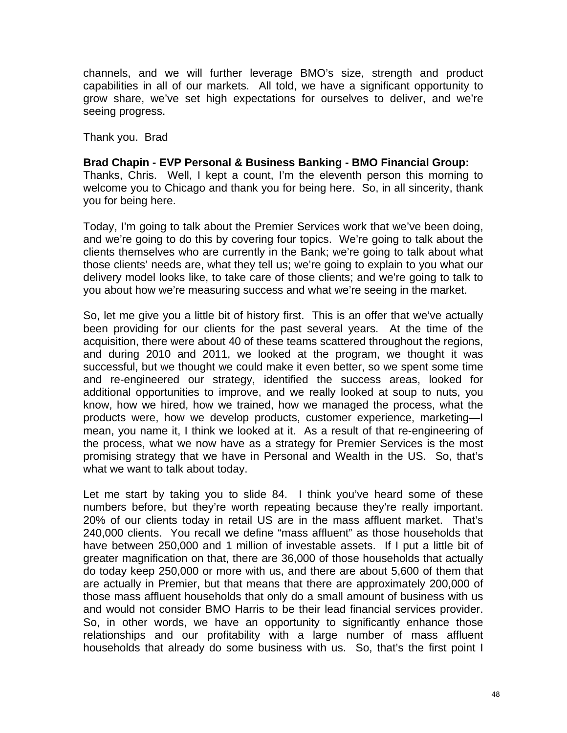channels, and we will further leverage BMO's size, strength and product capabilities in all of our markets. All told, we have a significant opportunity to grow share, we've set high expectations for ourselves to deliver, and we're seeing progress.

Thank you. Brad

**Brad Chapin - EVP Personal & Business Banking - BMO Financial Group:**  Thanks, Chris. Well, I kept a count, I'm the eleventh person this morning to welcome you to Chicago and thank you for being here. So, in all sincerity, thank you for being here.

Today, I'm going to talk about the Premier Services work that we've been doing, and we're going to do this by covering four topics. We're going to talk about the clients themselves who are currently in the Bank; we're going to talk about what those clients' needs are, what they tell us; we're going to explain to you what our delivery model looks like, to take care of those clients; and we're going to talk to you about how we're measuring success and what we're seeing in the market.

So, let me give you a little bit of history first. This is an offer that we've actually been providing for our clients for the past several years. At the time of the acquisition, there were about 40 of these teams scattered throughout the regions, and during 2010 and 2011, we looked at the program, we thought it was successful, but we thought we could make it even better, so we spent some time and re-engineered our strategy, identified the success areas, looked for additional opportunities to improve, and we really looked at soup to nuts, you know, how we hired, how we trained, how we managed the process, what the products were, how we develop products, customer experience, marketing—I mean, you name it, I think we looked at it. As a result of that re-engineering of the process, what we now have as a strategy for Premier Services is the most promising strategy that we have in Personal and Wealth in the US. So, that's what we want to talk about today.

Let me start by taking you to slide 84. I think you've heard some of these numbers before, but they're worth repeating because they're really important. 20% of our clients today in retail US are in the mass affluent market. That's 240,000 clients. You recall we define "mass affluent" as those households that have between 250,000 and 1 million of investable assets. If I put a little bit of greater magnification on that, there are 36,000 of those households that actually do today keep 250,000 or more with us, and there are about 5,600 of them that are actually in Premier, but that means that there are approximately 200,000 of those mass affluent households that only do a small amount of business with us and would not consider BMO Harris to be their lead financial services provider. So, in other words, we have an opportunity to significantly enhance those relationships and our profitability with a large number of mass affluent households that already do some business with us. So, that's the first point I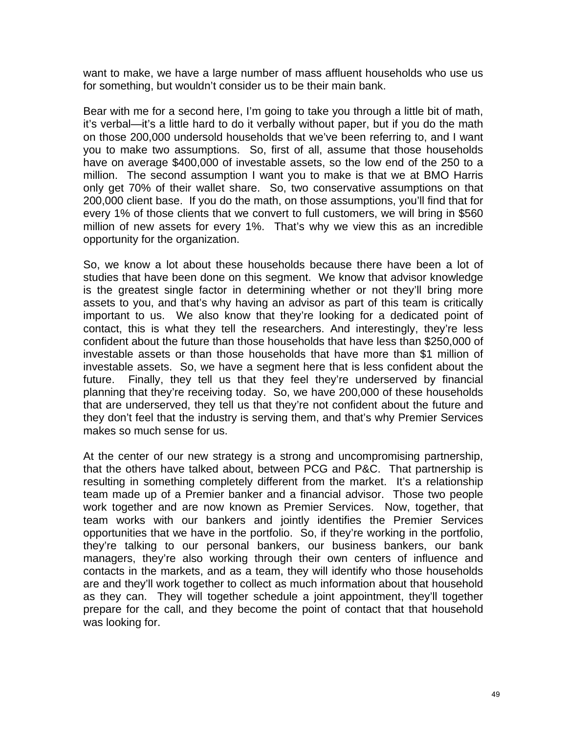want to make, we have a large number of mass affluent households who use us for something, but wouldn't consider us to be their main bank.

Bear with me for a second here, I'm going to take you through a little bit of math, it's verbal—it's a little hard to do it verbally without paper, but if you do the math on those 200,000 undersold households that we've been referring to, and I want you to make two assumptions. So, first of all, assume that those households have on average \$400,000 of investable assets, so the low end of the 250 to a million. The second assumption I want you to make is that we at BMO Harris only get 70% of their wallet share. So, two conservative assumptions on that 200,000 client base. If you do the math, on those assumptions, you'll find that for every 1% of those clients that we convert to full customers, we will bring in \$560 million of new assets for every 1%. That's why we view this as an incredible opportunity for the organization.

So, we know a lot about these households because there have been a lot of studies that have been done on this segment. We know that advisor knowledge is the greatest single factor in determining whether or not they'll bring more assets to you, and that's why having an advisor as part of this team is critically important to us. We also know that they're looking for a dedicated point of contact, this is what they tell the researchers. And interestingly, they're less confident about the future than those households that have less than \$250,000 of investable assets or than those households that have more than \$1 million of investable assets. So, we have a segment here that is less confident about the future. Finally, they tell us that they feel they're underserved by financial planning that they're receiving today. So, we have 200,000 of these households that are underserved, they tell us that they're not confident about the future and they don't feel that the industry is serving them, and that's why Premier Services makes so much sense for us.

At the center of our new strategy is a strong and uncompromising partnership, that the others have talked about, between PCG and P&C. That partnership is resulting in something completely different from the market. It's a relationship team made up of a Premier banker and a financial advisor. Those two people work together and are now known as Premier Services. Now, together, that team works with our bankers and jointly identifies the Premier Services opportunities that we have in the portfolio. So, if they're working in the portfolio, they're talking to our personal bankers, our business bankers, our bank managers, they're also working through their own centers of influence and contacts in the markets, and as a team, they will identify who those households are and they'll work together to collect as much information about that household as they can. They will together schedule a joint appointment, they'll together prepare for the call, and they become the point of contact that that household was looking for.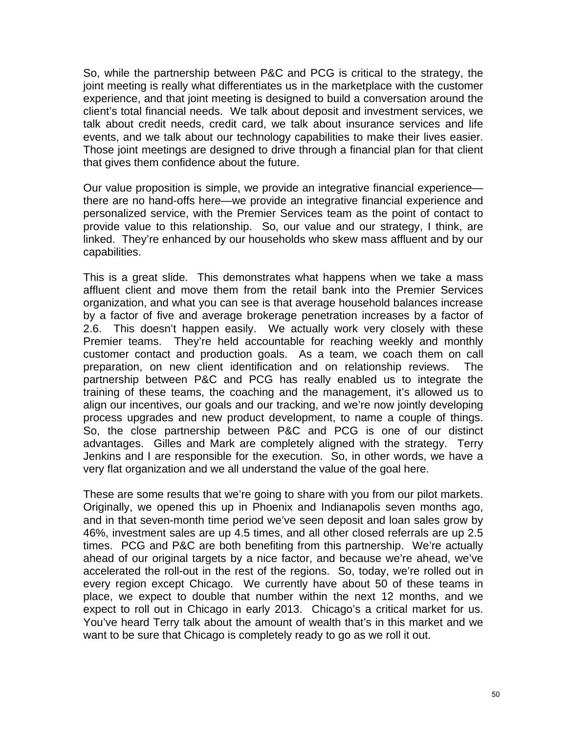So, while the partnership between P&C and PCG is critical to the strategy, the joint meeting is really what differentiates us in the marketplace with the customer experience, and that joint meeting is designed to build a conversation around the client's total financial needs. We talk about deposit and investment services, we talk about credit needs, credit card, we talk about insurance services and life events, and we talk about our technology capabilities to make their lives easier. Those joint meetings are designed to drive through a financial plan for that client that gives them confidence about the future.

Our value proposition is simple, we provide an integrative financial experience there are no hand-offs here—we provide an integrative financial experience and personalized service, with the Premier Services team as the point of contact to provide value to this relationship. So, our value and our strategy, I think, are linked. They're enhanced by our households who skew mass affluent and by our capabilities.

This is a great slide. This demonstrates what happens when we take a mass affluent client and move them from the retail bank into the Premier Services organization, and what you can see is that average household balances increase by a factor of five and average brokerage penetration increases by a factor of 2.6. This doesn't happen easily. We actually work very closely with these Premier teams. They're held accountable for reaching weekly and monthly customer contact and production goals. As a team, we coach them on call preparation, on new client identification and on relationship reviews. The partnership between P&C and PCG has really enabled us to integrate the training of these teams, the coaching and the management, it's allowed us to align our incentives, our goals and our tracking, and we're now jointly developing process upgrades and new product development, to name a couple of things. So, the close partnership between P&C and PCG is one of our distinct advantages. Gilles and Mark are completely aligned with the strategy. Terry Jenkins and I are responsible for the execution. So, in other words, we have a very flat organization and we all understand the value of the goal here.

These are some results that we're going to share with you from our pilot markets. Originally, we opened this up in Phoenix and Indianapolis seven months ago, and in that seven-month time period we've seen deposit and loan sales grow by 46%, investment sales are up 4.5 times, and all other closed referrals are up 2.5 times. PCG and P&C are both benefiting from this partnership. We're actually ahead of our original targets by a nice factor, and because we're ahead, we've accelerated the roll-out in the rest of the regions. So, today, we're rolled out in every region except Chicago. We currently have about 50 of these teams in place, we expect to double that number within the next 12 months, and we expect to roll out in Chicago in early 2013. Chicago's a critical market for us. You've heard Terry talk about the amount of wealth that's in this market and we want to be sure that Chicago is completely ready to go as we roll it out.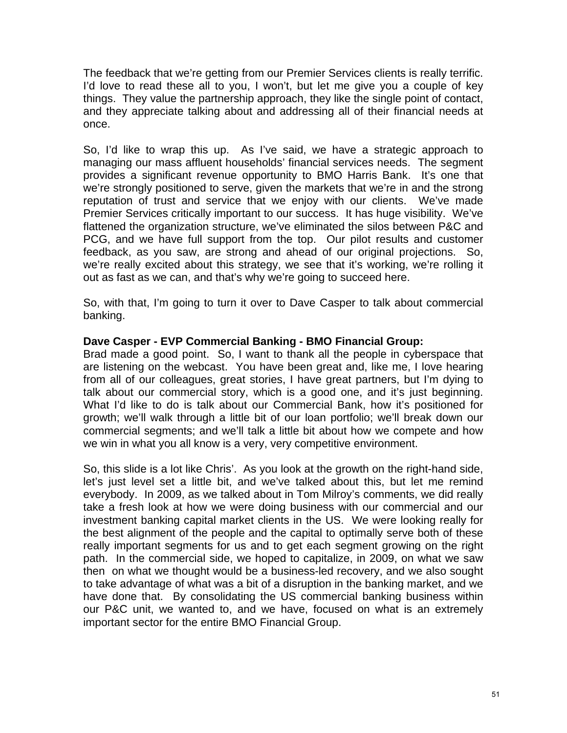The feedback that we're getting from our Premier Services clients is really terrific. I'd love to read these all to you, I won't, but let me give you a couple of key things. They value the partnership approach, they like the single point of contact, and they appreciate talking about and addressing all of their financial needs at once.

So, I'd like to wrap this up. As I've said, we have a strategic approach to managing our mass affluent households' financial services needs. The segment provides a significant revenue opportunity to BMO Harris Bank. It's one that we're strongly positioned to serve, given the markets that we're in and the strong reputation of trust and service that we enjoy with our clients. We've made Premier Services critically important to our success. It has huge visibility. We've flattened the organization structure, we've eliminated the silos between P&C and PCG, and we have full support from the top. Our pilot results and customer feedback, as you saw, are strong and ahead of our original projections. So, we're really excited about this strategy, we see that it's working, we're rolling it out as fast as we can, and that's why we're going to succeed here.

So, with that, I'm going to turn it over to Dave Casper to talk about commercial banking.

# **Dave Casper - EVP Commercial Banking - BMO Financial Group:**

Brad made a good point. So, I want to thank all the people in cyberspace that are listening on the webcast. You have been great and, like me, I love hearing from all of our colleagues, great stories, I have great partners, but I'm dying to talk about our commercial story, which is a good one, and it's just beginning. What I'd like to do is talk about our Commercial Bank, how it's positioned for growth; we'll walk through a little bit of our loan portfolio; we'll break down our commercial segments; and we'll talk a little bit about how we compete and how we win in what you all know is a very, very competitive environment.

So, this slide is a lot like Chris'. As you look at the growth on the right-hand side, let's just level set a little bit, and we've talked about this, but let me remind everybody. In 2009, as we talked about in Tom Milroy's comments, we did really take a fresh look at how we were doing business with our commercial and our investment banking capital market clients in the US. We were looking really for the best alignment of the people and the capital to optimally serve both of these really important segments for us and to get each segment growing on the right path. In the commercial side, we hoped to capitalize, in 2009, on what we saw then on what we thought would be a business-led recovery, and we also sought to take advantage of what was a bit of a disruption in the banking market, and we have done that. By consolidating the US commercial banking business within our P&C unit, we wanted to, and we have, focused on what is an extremely important sector for the entire BMO Financial Group.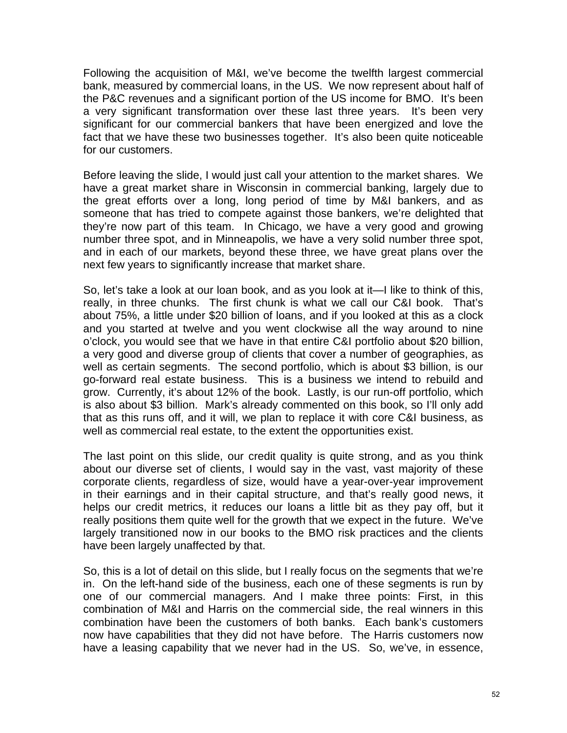Following the acquisition of M&I, we've become the twelfth largest commercial bank, measured by commercial loans, in the US. We now represent about half of the P&C revenues and a significant portion of the US income for BMO. It's been a very significant transformation over these last three years. It's been very significant for our commercial bankers that have been energized and love the fact that we have these two businesses together. It's also been quite noticeable for our customers.

Before leaving the slide, I would just call your attention to the market shares. We have a great market share in Wisconsin in commercial banking, largely due to the great efforts over a long, long period of time by M&I bankers, and as someone that has tried to compete against those bankers, we're delighted that they're now part of this team. In Chicago, we have a very good and growing number three spot, and in Minneapolis, we have a very solid number three spot, and in each of our markets, beyond these three, we have great plans over the next few years to significantly increase that market share.

So, let's take a look at our loan book, and as you look at it—I like to think of this, really, in three chunks. The first chunk is what we call our C&I book. That's about 75%, a little under \$20 billion of loans, and if you looked at this as a clock and you started at twelve and you went clockwise all the way around to nine o'clock, you would see that we have in that entire C&I portfolio about \$20 billion, a very good and diverse group of clients that cover a number of geographies, as well as certain segments. The second portfolio, which is about \$3 billion, is our go-forward real estate business. This is a business we intend to rebuild and grow. Currently, it's about 12% of the book. Lastly, is our run-off portfolio, which is also about \$3 billion. Mark's already commented on this book, so I'll only add that as this runs off, and it will, we plan to replace it with core C&I business, as well as commercial real estate, to the extent the opportunities exist.

The last point on this slide, our credit quality is quite strong, and as you think about our diverse set of clients, I would say in the vast, vast majority of these corporate clients, regardless of size, would have a year-over-year improvement in their earnings and in their capital structure, and that's really good news, it helps our credit metrics, it reduces our loans a little bit as they pay off, but it really positions them quite well for the growth that we expect in the future. We've largely transitioned now in our books to the BMO risk practices and the clients have been largely unaffected by that.

So, this is a lot of detail on this slide, but I really focus on the segments that we're in. On the left-hand side of the business, each one of these segments is run by one of our commercial managers. And I make three points: First, in this combination of M&I and Harris on the commercial side, the real winners in this combination have been the customers of both banks. Each bank's customers now have capabilities that they did not have before. The Harris customers now have a leasing capability that we never had in the US. So, we've, in essence,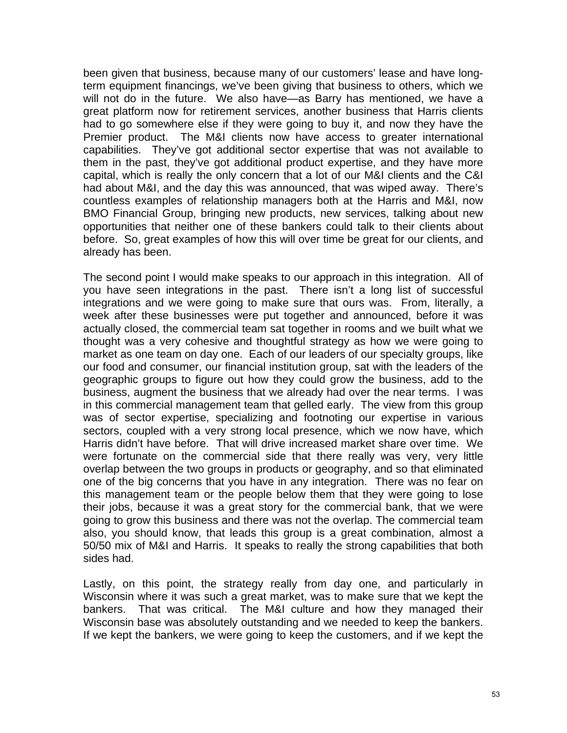been given that business, because many of our customers' lease and have longterm equipment financings, we've been giving that business to others, which we will not do in the future. We also have—as Barry has mentioned, we have a great platform now for retirement services, another business that Harris clients had to go somewhere else if they were going to buy it, and now they have the Premier product. The M&I clients now have access to greater international capabilities. They've got additional sector expertise that was not available to them in the past, they've got additional product expertise, and they have more capital, which is really the only concern that a lot of our M&I clients and the C&I had about M&I, and the day this was announced, that was wiped away. There's countless examples of relationship managers both at the Harris and M&I, now BMO Financial Group, bringing new products, new services, talking about new opportunities that neither one of these bankers could talk to their clients about before. So, great examples of how this will over time be great for our clients, and already has been.

The second point I would make speaks to our approach in this integration. All of you have seen integrations in the past. There isn't a long list of successful integrations and we were going to make sure that ours was. From, literally, a week after these businesses were put together and announced, before it was actually closed, the commercial team sat together in rooms and we built what we thought was a very cohesive and thoughtful strategy as how we were going to market as one team on day one. Each of our leaders of our specialty groups, like our food and consumer, our financial institution group, sat with the leaders of the geographic groups to figure out how they could grow the business, add to the business, augment the business that we already had over the near terms. I was in this commercial management team that gelled early. The view from this group was of sector expertise, specializing and footnoting our expertise in various sectors, coupled with a very strong local presence, which we now have, which Harris didn't have before. That will drive increased market share over time. We were fortunate on the commercial side that there really was very, very little overlap between the two groups in products or geography, and so that eliminated one of the big concerns that you have in any integration. There was no fear on this management team or the people below them that they were going to lose their jobs, because it was a great story for the commercial bank, that we were going to grow this business and there was not the overlap. The commercial team also, you should know, that leads this group is a great combination, almost a 50/50 mix of M&I and Harris. It speaks to really the strong capabilities that both sides had.

Lastly, on this point, the strategy really from day one, and particularly in Wisconsin where it was such a great market, was to make sure that we kept the bankers. That was critical. The M&I culture and how they managed their Wisconsin base was absolutely outstanding and we needed to keep the bankers. If we kept the bankers, we were going to keep the customers, and if we kept the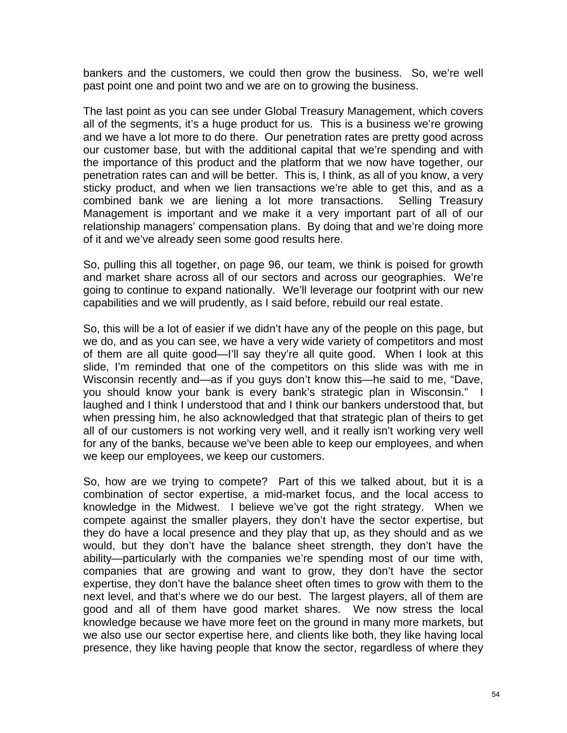bankers and the customers, we could then grow the business. So, we're well past point one and point two and we are on to growing the business.

The last point as you can see under Global Treasury Management, which covers all of the segments, it's a huge product for us. This is a business we're growing and we have a lot more to do there. Our penetration rates are pretty good across our customer base, but with the additional capital that we're spending and with the importance of this product and the platform that we now have together, our penetration rates can and will be better. This is, I think, as all of you know, a very sticky product, and when we lien transactions we're able to get this, and as a combined bank we are liening a lot more transactions. Selling Treasury Management is important and we make it a very important part of all of our relationship managers' compensation plans. By doing that and we're doing more of it and we've already seen some good results here.

So, pulling this all together, on page 96, our team, we think is poised for growth and market share across all of our sectors and across our geographies. We're going to continue to expand nationally. We'll leverage our footprint with our new capabilities and we will prudently, as I said before, rebuild our real estate.

So, this will be a lot of easier if we didn't have any of the people on this page, but we do, and as you can see, we have a very wide variety of competitors and most of them are all quite good—I'll say they're all quite good. When I look at this slide, I'm reminded that one of the competitors on this slide was with me in Wisconsin recently and—as if you guys don't know this—he said to me, "Dave, you should know your bank is every bank's strategic plan in Wisconsin." I laughed and I think I understood that and I think our bankers understood that, but when pressing him, he also acknowledged that that strategic plan of theirs to get all of our customers is not working very well, and it really isn't working very well for any of the banks, because we've been able to keep our employees, and when we keep our employees, we keep our customers.

So, how are we trying to compete? Part of this we talked about, but it is a combination of sector expertise, a mid-market focus, and the local access to knowledge in the Midwest. I believe we've got the right strategy. When we compete against the smaller players, they don't have the sector expertise, but they do have a local presence and they play that up, as they should and as we would, but they don't have the balance sheet strength, they don't have the ability—particularly with the companies we're spending most of our time with, companies that are growing and want to grow, they don't have the sector expertise, they don't have the balance sheet often times to grow with them to the next level, and that's where we do our best. The largest players, all of them are good and all of them have good market shares. We now stress the local knowledge because we have more feet on the ground in many more markets, but we also use our sector expertise here, and clients like both, they like having local presence, they like having people that know the sector, regardless of where they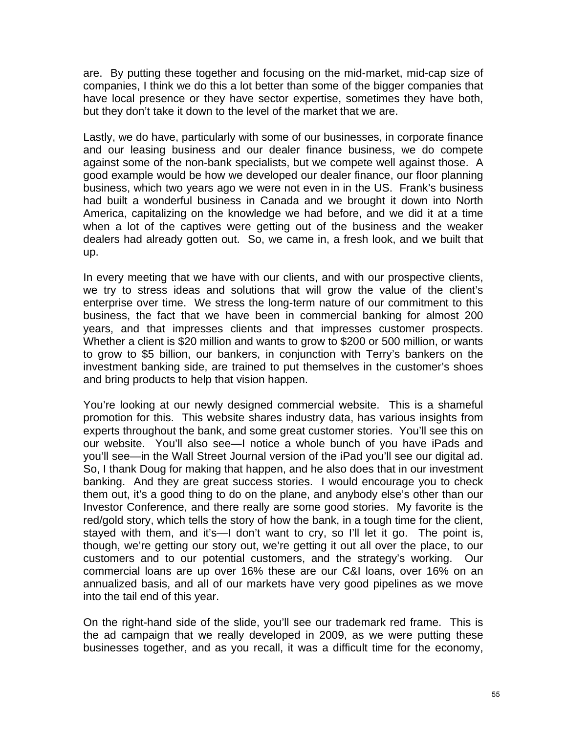are. By putting these together and focusing on the mid-market, mid-cap size of companies, I think we do this a lot better than some of the bigger companies that have local presence or they have sector expertise, sometimes they have both, but they don't take it down to the level of the market that we are.

Lastly, we do have, particularly with some of our businesses, in corporate finance and our leasing business and our dealer finance business, we do compete against some of the non-bank specialists, but we compete well against those. A good example would be how we developed our dealer finance, our floor planning business, which two years ago we were not even in in the US. Frank's business had built a wonderful business in Canada and we brought it down into North America, capitalizing on the knowledge we had before, and we did it at a time when a lot of the captives were getting out of the business and the weaker dealers had already gotten out. So, we came in, a fresh look, and we built that up.

In every meeting that we have with our clients, and with our prospective clients, we try to stress ideas and solutions that will grow the value of the client's enterprise over time. We stress the long-term nature of our commitment to this business, the fact that we have been in commercial banking for almost 200 years, and that impresses clients and that impresses customer prospects. Whether a client is \$20 million and wants to grow to \$200 or 500 million, or wants to grow to \$5 billion, our bankers, in conjunction with Terry's bankers on the investment banking side, are trained to put themselves in the customer's shoes and bring products to help that vision happen.

You're looking at our newly designed commercial website. This is a shameful promotion for this. This website shares industry data, has various insights from experts throughout the bank, and some great customer stories. You'll see this on our website. You'll also see—I notice a whole bunch of you have iPads and you'll see—in the Wall Street Journal version of the iPad you'll see our digital ad. So, I thank Doug for making that happen, and he also does that in our investment banking. And they are great success stories. I would encourage you to check them out, it's a good thing to do on the plane, and anybody else's other than our Investor Conference, and there really are some good stories. My favorite is the red/gold story, which tells the story of how the bank, in a tough time for the client, stayed with them, and it's—I don't want to cry, so I'll let it go. The point is, though, we're getting our story out, we're getting it out all over the place, to our customers and to our potential customers, and the strategy's working. Our commercial loans are up over 16% these are our C&I loans, over 16% on an annualized basis, and all of our markets have very good pipelines as we move into the tail end of this year.

On the right-hand side of the slide, you'll see our trademark red frame. This is the ad campaign that we really developed in 2009, as we were putting these businesses together, and as you recall, it was a difficult time for the economy,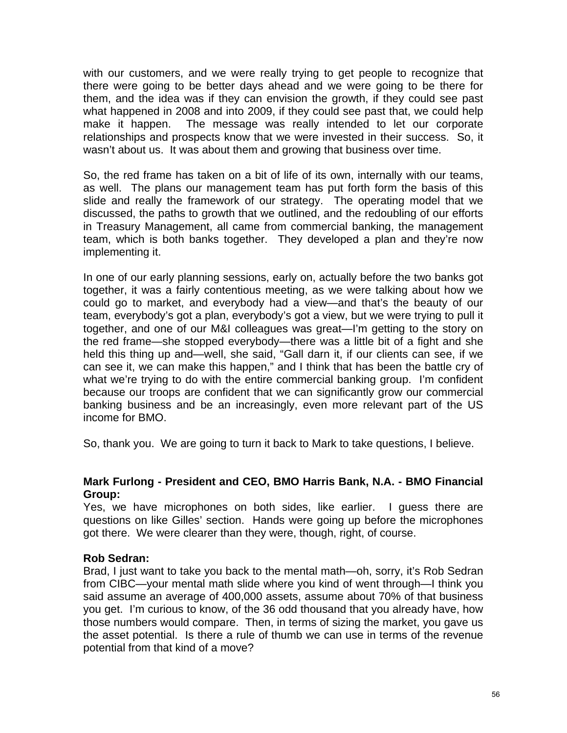with our customers, and we were really trying to get people to recognize that there were going to be better days ahead and we were going to be there for them, and the idea was if they can envision the growth, if they could see past what happened in 2008 and into 2009, if they could see past that, we could help make it happen. The message was really intended to let our corporate relationships and prospects know that we were invested in their success. So, it wasn't about us. It was about them and growing that business over time.

So, the red frame has taken on a bit of life of its own, internally with our teams, as well. The plans our management team has put forth form the basis of this slide and really the framework of our strategy. The operating model that we discussed, the paths to growth that we outlined, and the redoubling of our efforts in Treasury Management, all came from commercial banking, the management team, which is both banks together. They developed a plan and they're now implementing it.

In one of our early planning sessions, early on, actually before the two banks got together, it was a fairly contentious meeting, as we were talking about how we could go to market, and everybody had a view—and that's the beauty of our team, everybody's got a plan, everybody's got a view, but we were trying to pull it together, and one of our M&I colleagues was great—I'm getting to the story on the red frame—she stopped everybody—there was a little bit of a fight and she held this thing up and—well, she said, "Gall darn it, if our clients can see, if we can see it, we can make this happen," and I think that has been the battle cry of what we're trying to do with the entire commercial banking group. I'm confident because our troops are confident that we can significantly grow our commercial banking business and be an increasingly, even more relevant part of the US income for BMO.

So, thank you. We are going to turn it back to Mark to take questions, I believe.

#### **Mark Furlong - President and CEO, BMO Harris Bank, N.A. - BMO Financial Group:**

Yes, we have microphones on both sides, like earlier. I guess there are questions on like Gilles' section. Hands were going up before the microphones got there. We were clearer than they were, though, right, of course.

# **Rob Sedran:**

Brad, I just want to take you back to the mental math—oh, sorry, it's Rob Sedran from CIBC—your mental math slide where you kind of went through—I think you said assume an average of 400,000 assets, assume about 70% of that business you get. I'm curious to know, of the 36 odd thousand that you already have, how those numbers would compare. Then, in terms of sizing the market, you gave us the asset potential. Is there a rule of thumb we can use in terms of the revenue potential from that kind of a move?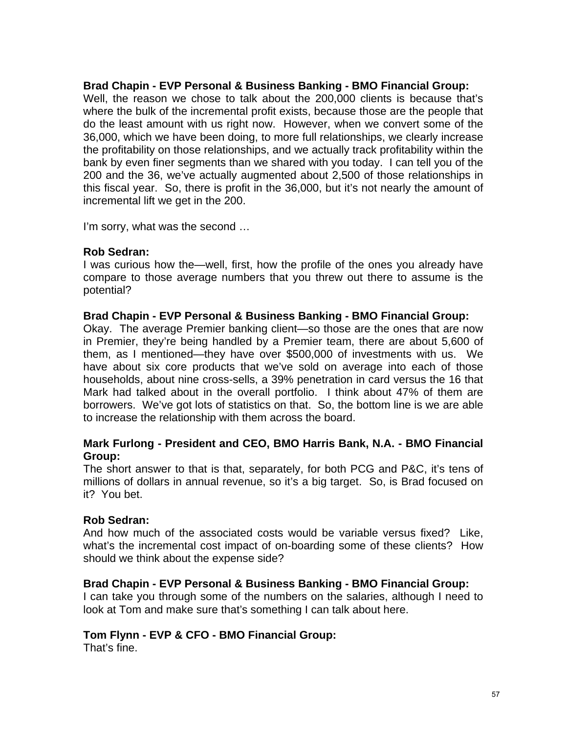# **Brad Chapin - EVP Personal & Business Banking - BMO Financial Group:**

Well, the reason we chose to talk about the 200,000 clients is because that's where the bulk of the incremental profit exists, because those are the people that do the least amount with us right now. However, when we convert some of the 36,000, which we have been doing, to more full relationships, we clearly increase the profitability on those relationships, and we actually track profitability within the bank by even finer segments than we shared with you today. I can tell you of the 200 and the 36, we've actually augmented about 2,500 of those relationships in this fiscal year. So, there is profit in the 36,000, but it's not nearly the amount of incremental lift we get in the 200.

I'm sorry, what was the second …

# **Rob Sedran:**

I was curious how the—well, first, how the profile of the ones you already have compare to those average numbers that you threw out there to assume is the potential?

# **Brad Chapin - EVP Personal & Business Banking - BMO Financial Group:**

Okay. The average Premier banking client—so those are the ones that are now in Premier, they're being handled by a Premier team, there are about 5,600 of them, as I mentioned—they have over \$500,000 of investments with us. We have about six core products that we've sold on average into each of those households, about nine cross-sells, a 39% penetration in card versus the 16 that Mark had talked about in the overall portfolio. I think about 47% of them are borrowers. We've got lots of statistics on that. So, the bottom line is we are able to increase the relationship with them across the board.

# **Mark Furlong - President and CEO, BMO Harris Bank, N.A. - BMO Financial Group:**

The short answer to that is that, separately, for both PCG and P&C, it's tens of millions of dollars in annual revenue, so it's a big target. So, is Brad focused on it? You bet.

# **Rob Sedran:**

And how much of the associated costs would be variable versus fixed? Like, what's the incremental cost impact of on-boarding some of these clients? How should we think about the expense side?

# **Brad Chapin - EVP Personal & Business Banking - BMO Financial Group:**

I can take you through some of the numbers on the salaries, although I need to look at Tom and make sure that's something I can talk about here.

# **Tom Flynn - EVP & CFO - BMO Financial Group:**

That's fine.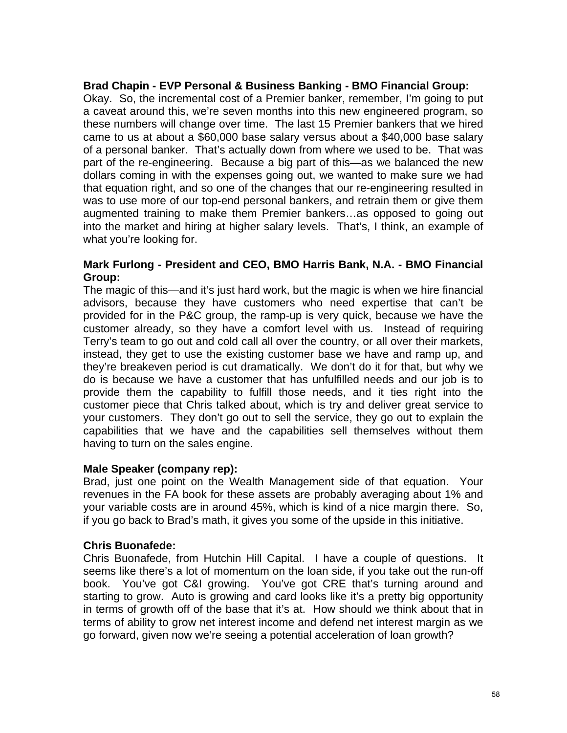# **Brad Chapin - EVP Personal & Business Banking - BMO Financial Group:**

Okay. So, the incremental cost of a Premier banker, remember, I'm going to put a caveat around this, we're seven months into this new engineered program, so these numbers will change over time. The last 15 Premier bankers that we hired came to us at about a \$60,000 base salary versus about a \$40,000 base salary of a personal banker. That's actually down from where we used to be. That was part of the re-engineering. Because a big part of this—as we balanced the new dollars coming in with the expenses going out, we wanted to make sure we had that equation right, and so one of the changes that our re-engineering resulted in was to use more of our top-end personal bankers, and retrain them or give them augmented training to make them Premier bankers…as opposed to going out into the market and hiring at higher salary levels. That's, I think, an example of what you're looking for.

# **Mark Furlong - President and CEO, BMO Harris Bank, N.A. - BMO Financial Group:**

The magic of this—and it's just hard work, but the magic is when we hire financial advisors, because they have customers who need expertise that can't be provided for in the P&C group, the ramp-up is very quick, because we have the customer already, so they have a comfort level with us. Instead of requiring Terry's team to go out and cold call all over the country, or all over their markets, instead, they get to use the existing customer base we have and ramp up, and they're breakeven period is cut dramatically. We don't do it for that, but why we do is because we have a customer that has unfulfilled needs and our job is to provide them the capability to fulfill those needs, and it ties right into the customer piece that Chris talked about, which is try and deliver great service to your customers. They don't go out to sell the service, they go out to explain the capabilities that we have and the capabilities sell themselves without them having to turn on the sales engine.

# **Male Speaker (company rep):**

Brad, just one point on the Wealth Management side of that equation. Your revenues in the FA book for these assets are probably averaging about 1% and your variable costs are in around 45%, which is kind of a nice margin there. So, if you go back to Brad's math, it gives you some of the upside in this initiative.

# **Chris Buonafede:**

Chris Buonafede, from Hutchin Hill Capital. I have a couple of questions. It seems like there's a lot of momentum on the loan side, if you take out the run-off book. You've got C&I growing. You've got CRE that's turning around and starting to grow. Auto is growing and card looks like it's a pretty big opportunity in terms of growth off of the base that it's at. How should we think about that in terms of ability to grow net interest income and defend net interest margin as we go forward, given now we're seeing a potential acceleration of loan growth?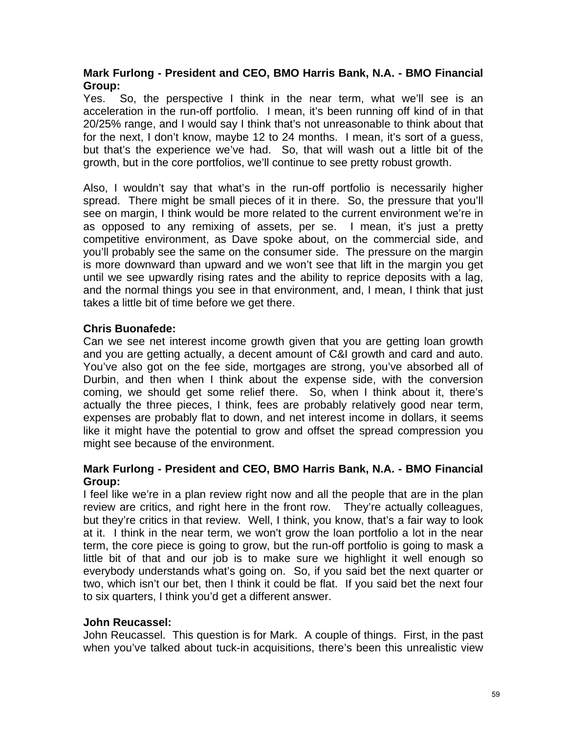# **Mark Furlong - President and CEO, BMO Harris Bank, N.A. - BMO Financial Group:**

Yes. So, the perspective I think in the near term, what we'll see is an acceleration in the run-off portfolio. I mean, it's been running off kind of in that 20/25% range, and I would say I think that's not unreasonable to think about that for the next, I don't know, maybe 12 to 24 months. I mean, it's sort of a guess, but that's the experience we've had. So, that will wash out a little bit of the growth, but in the core portfolios, we'll continue to see pretty robust growth.

Also, I wouldn't say that what's in the run-off portfolio is necessarily higher spread. There might be small pieces of it in there. So, the pressure that you'll see on margin, I think would be more related to the current environment we're in as opposed to any remixing of assets, per se. I mean, it's just a pretty competitive environment, as Dave spoke about, on the commercial side, and you'll probably see the same on the consumer side. The pressure on the margin is more downward than upward and we won't see that lift in the margin you get until we see upwardly rising rates and the ability to reprice deposits with a lag, and the normal things you see in that environment, and, I mean, I think that just takes a little bit of time before we get there.

# **Chris Buonafede:**

Can we see net interest income growth given that you are getting loan growth and you are getting actually, a decent amount of C&I growth and card and auto. You've also got on the fee side, mortgages are strong, you've absorbed all of Durbin, and then when I think about the expense side, with the conversion coming, we should get some relief there. So, when I think about it, there's actually the three pieces, I think, fees are probably relatively good near term, expenses are probably flat to down, and net interest income in dollars, it seems like it might have the potential to grow and offset the spread compression you might see because of the environment.

# **Mark Furlong - President and CEO, BMO Harris Bank, N.A. - BMO Financial Group:**

I feel like we're in a plan review right now and all the people that are in the plan review are critics, and right here in the front row. They're actually colleagues, but they're critics in that review. Well, I think, you know, that's a fair way to look at it. I think in the near term, we won't grow the loan portfolio a lot in the near term, the core piece is going to grow, but the run-off portfolio is going to mask a little bit of that and our job is to make sure we highlight it well enough so everybody understands what's going on. So, if you said bet the next quarter or two, which isn't our bet, then I think it could be flat. If you said bet the next four to six quarters, I think you'd get a different answer.

# **John Reucassel:**

John Reucassel. This question is for Mark. A couple of things. First, in the past when you've talked about tuck-in acquisitions, there's been this unrealistic view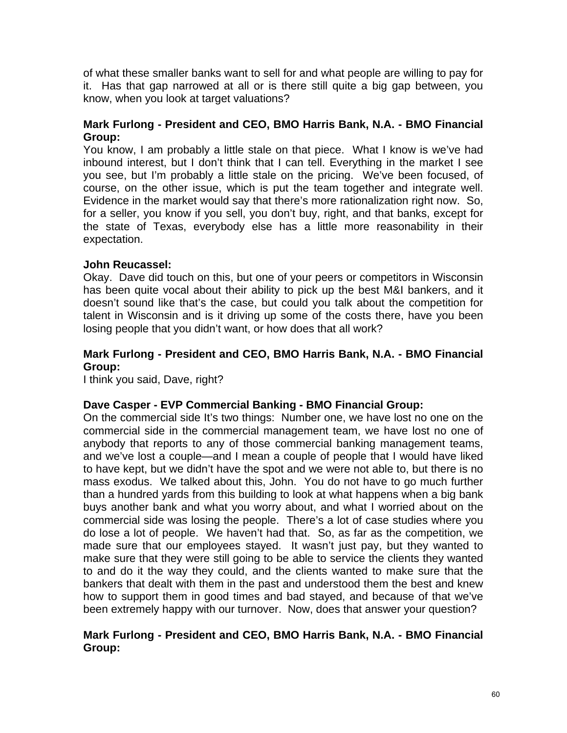of what these smaller banks want to sell for and what people are willing to pay for it. Has that gap narrowed at all or is there still quite a big gap between, you know, when you look at target valuations?

# **Mark Furlong - President and CEO, BMO Harris Bank, N.A. - BMO Financial Group:**

You know, I am probably a little stale on that piece. What I know is we've had inbound interest, but I don't think that I can tell. Everything in the market I see you see, but I'm probably a little stale on the pricing. We've been focused, of course, on the other issue, which is put the team together and integrate well. Evidence in the market would say that there's more rationalization right now. So, for a seller, you know if you sell, you don't buy, right, and that banks, except for the state of Texas, everybody else has a little more reasonability in their expectation.

# **John Reucassel:**

Okay. Dave did touch on this, but one of your peers or competitors in Wisconsin has been quite vocal about their ability to pick up the best M&I bankers, and it doesn't sound like that's the case, but could you talk about the competition for talent in Wisconsin and is it driving up some of the costs there, have you been losing people that you didn't want, or how does that all work?

# **Mark Furlong - President and CEO, BMO Harris Bank, N.A. - BMO Financial Group:**

I think you said, Dave, right?

# **Dave Casper - EVP Commercial Banking - BMO Financial Group:**

On the commercial side It's two things: Number one, we have lost no one on the commercial side in the commercial management team, we have lost no one of anybody that reports to any of those commercial banking management teams, and we've lost a couple—and I mean a couple of people that I would have liked to have kept, but we didn't have the spot and we were not able to, but there is no mass exodus. We talked about this, John. You do not have to go much further than a hundred yards from this building to look at what happens when a big bank buys another bank and what you worry about, and what I worried about on the commercial side was losing the people. There's a lot of case studies where you do lose a lot of people. We haven't had that. So, as far as the competition, we made sure that our employees stayed. It wasn't just pay, but they wanted to make sure that they were still going to be able to service the clients they wanted to and do it the way they could, and the clients wanted to make sure that the bankers that dealt with them in the past and understood them the best and knew how to support them in good times and bad stayed, and because of that we've been extremely happy with our turnover. Now, does that answer your question?

# **Mark Furlong - President and CEO, BMO Harris Bank, N.A. - BMO Financial Group:**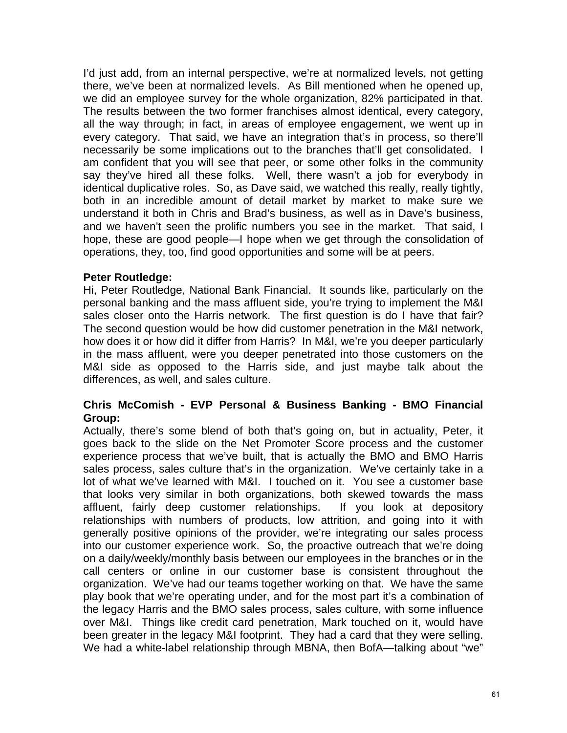I'd just add, from an internal perspective, we're at normalized levels, not getting there, we've been at normalized levels. As Bill mentioned when he opened up, we did an employee survey for the whole organization, 82% participated in that. The results between the two former franchises almost identical, every category, all the way through; in fact, in areas of employee engagement, we went up in every category. That said, we have an integration that's in process, so there'll necessarily be some implications out to the branches that'll get consolidated. I am confident that you will see that peer, or some other folks in the community say they've hired all these folks. Well, there wasn't a job for everybody in identical duplicative roles. So, as Dave said, we watched this really, really tightly, both in an incredible amount of detail market by market to make sure we understand it both in Chris and Brad's business, as well as in Dave's business, and we haven't seen the prolific numbers you see in the market. That said, I hope, these are good people—I hope when we get through the consolidation of operations, they, too, find good opportunities and some will be at peers.

# **Peter Routledge:**

Hi, Peter Routledge, National Bank Financial. It sounds like, particularly on the personal banking and the mass affluent side, you're trying to implement the M&I sales closer onto the Harris network. The first question is do I have that fair? The second question would be how did customer penetration in the M&I network, how does it or how did it differ from Harris? In M&I, we're you deeper particularly in the mass affluent, were you deeper penetrated into those customers on the M&I side as opposed to the Harris side, and just maybe talk about the differences, as well, and sales culture.

# **Chris McComish - EVP Personal & Business Banking - BMO Financial Group:**

Actually, there's some blend of both that's going on, but in actuality, Peter, it goes back to the slide on the Net Promoter Score process and the customer experience process that we've built, that is actually the BMO and BMO Harris sales process, sales culture that's in the organization. We've certainly take in a lot of what we've learned with M&I. I touched on it. You see a customer base that looks very similar in both organizations, both skewed towards the mass affluent, fairly deep customer relationships. If you look at depository relationships with numbers of products, low attrition, and going into it with generally positive opinions of the provider, we're integrating our sales process into our customer experience work. So, the proactive outreach that we're doing on a daily/weekly/monthly basis between our employees in the branches or in the call centers or online in our customer base is consistent throughout the organization. We've had our teams together working on that. We have the same play book that we're operating under, and for the most part it's a combination of the legacy Harris and the BMO sales process, sales culture, with some influence over M&I. Things like credit card penetration, Mark touched on it, would have been greater in the legacy M&I footprint. They had a card that they were selling. We had a white-label relationship through MBNA, then BofA—talking about "we"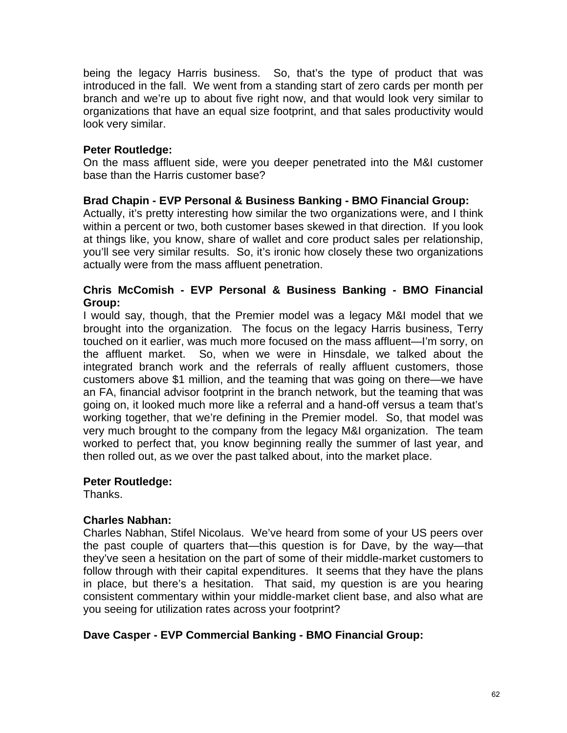being the legacy Harris business. So, that's the type of product that was introduced in the fall. We went from a standing start of zero cards per month per branch and we're up to about five right now, and that would look very similar to organizations that have an equal size footprint, and that sales productivity would look very similar.

# **Peter Routledge:**

On the mass affluent side, were you deeper penetrated into the M&I customer base than the Harris customer base?

# **Brad Chapin - EVP Personal & Business Banking - BMO Financial Group:**

Actually, it's pretty interesting how similar the two organizations were, and I think within a percent or two, both customer bases skewed in that direction. If you look at things like, you know, share of wallet and core product sales per relationship, you'll see very similar results. So, it's ironic how closely these two organizations actually were from the mass affluent penetration.

# **Chris McComish - EVP Personal & Business Banking - BMO Financial Group:**

I would say, though, that the Premier model was a legacy M&I model that we brought into the organization. The focus on the legacy Harris business, Terry touched on it earlier, was much more focused on the mass affluent—I'm sorry, on the affluent market. So, when we were in Hinsdale, we talked about the integrated branch work and the referrals of really affluent customers, those customers above \$1 million, and the teaming that was going on there—we have an FA, financial advisor footprint in the branch network, but the teaming that was going on, it looked much more like a referral and a hand-off versus a team that's working together, that we're defining in the Premier model. So, that model was very much brought to the company from the legacy M&I organization. The team worked to perfect that, you know beginning really the summer of last year, and then rolled out, as we over the past talked about, into the market place.

# **Peter Routledge:**

Thanks.

# **Charles Nabhan:**

Charles Nabhan, Stifel Nicolaus. We've heard from some of your US peers over the past couple of quarters that—this question is for Dave, by the way—that they've seen a hesitation on the part of some of their middle-market customers to follow through with their capital expenditures. It seems that they have the plans in place, but there's a hesitation. That said, my question is are you hearing consistent commentary within your middle-market client base, and also what are you seeing for utilization rates across your footprint?

# **Dave Casper - EVP Commercial Banking - BMO Financial Group:**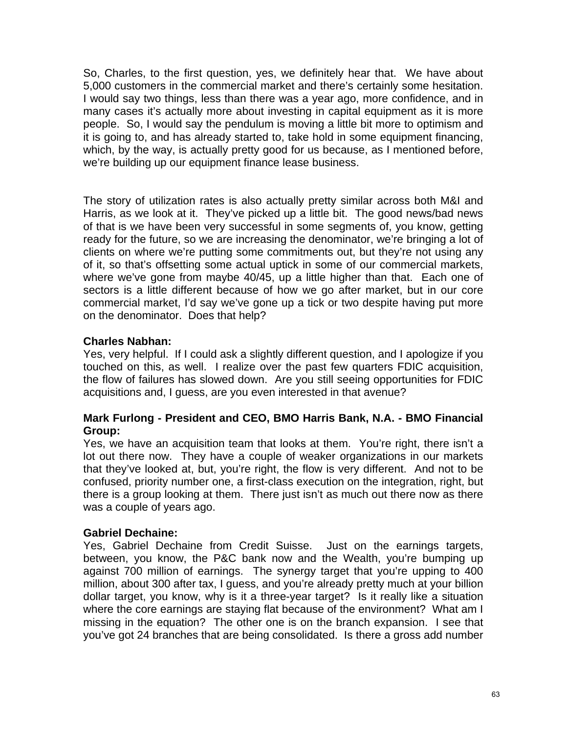So, Charles, to the first question, yes, we definitely hear that. We have about 5,000 customers in the commercial market and there's certainly some hesitation. I would say two things, less than there was a year ago, more confidence, and in many cases it's actually more about investing in capital equipment as it is more people. So, I would say the pendulum is moving a little bit more to optimism and it is going to, and has already started to, take hold in some equipment financing, which, by the way, is actually pretty good for us because, as I mentioned before, we're building up our equipment finance lease business.

The story of utilization rates is also actually pretty similar across both M&I and Harris, as we look at it. They've picked up a little bit. The good news/bad news of that is we have been very successful in some segments of, you know, getting ready for the future, so we are increasing the denominator, we're bringing a lot of clients on where we're putting some commitments out, but they're not using any of it, so that's offsetting some actual uptick in some of our commercial markets, where we've gone from maybe 40/45, up a little higher than that. Each one of sectors is a little different because of how we go after market, but in our core commercial market, I'd say we've gone up a tick or two despite having put more on the denominator. Does that help?

# **Charles Nabhan:**

Yes, very helpful. If I could ask a slightly different question, and I apologize if you touched on this, as well. I realize over the past few quarters FDIC acquisition, the flow of failures has slowed down. Are you still seeing opportunities for FDIC acquisitions and, I guess, are you even interested in that avenue?

# **Mark Furlong - President and CEO, BMO Harris Bank, N.A. - BMO Financial Group:**

Yes, we have an acquisition team that looks at them. You're right, there isn't a lot out there now. They have a couple of weaker organizations in our markets that they've looked at, but, you're right, the flow is very different. And not to be confused, priority number one, a first-class execution on the integration, right, but there is a group looking at them. There just isn't as much out there now as there was a couple of years ago.

# **Gabriel Dechaine:**

Yes, Gabriel Dechaine from Credit Suisse. Just on the earnings targets, between, you know, the P&C bank now and the Wealth, you're bumping up against 700 million of earnings. The synergy target that you're upping to 400 million, about 300 after tax, I guess, and you're already pretty much at your billion dollar target, you know, why is it a three-year target? Is it really like a situation where the core earnings are staying flat because of the environment? What am I missing in the equation? The other one is on the branch expansion. I see that you've got 24 branches that are being consolidated. Is there a gross add number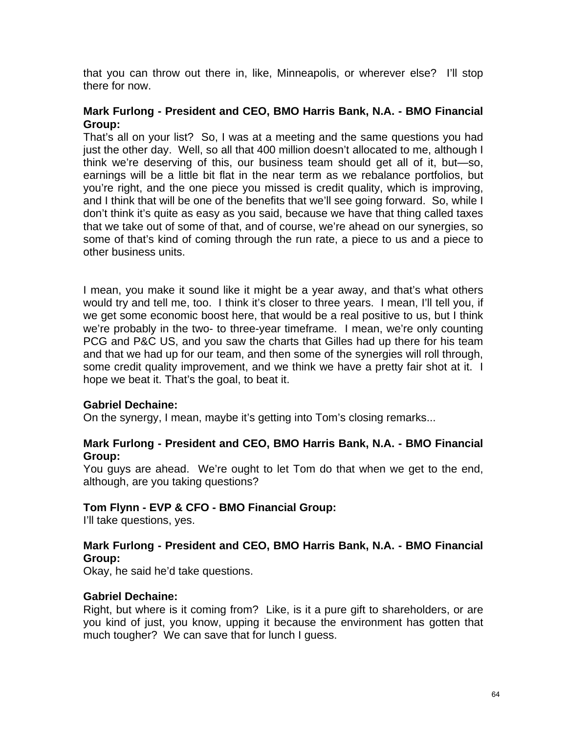that you can throw out there in, like, Minneapolis, or wherever else? I'll stop there for now.

# **Mark Furlong - President and CEO, BMO Harris Bank, N.A. - BMO Financial Group:**

That's all on your list? So, I was at a meeting and the same questions you had just the other day. Well, so all that 400 million doesn't allocated to me, although I think we're deserving of this, our business team should get all of it, but—so, earnings will be a little bit flat in the near term as we rebalance portfolios, but you're right, and the one piece you missed is credit quality, which is improving, and I think that will be one of the benefits that we'll see going forward. So, while I don't think it's quite as easy as you said, because we have that thing called taxes that we take out of some of that, and of course, we're ahead on our synergies, so some of that's kind of coming through the run rate, a piece to us and a piece to other business units.

I mean, you make it sound like it might be a year away, and that's what others would try and tell me, too. I think it's closer to three years. I mean, I'll tell you, if we get some economic boost here, that would be a real positive to us, but I think we're probably in the two- to three-year timeframe. I mean, we're only counting PCG and P&C US, and you saw the charts that Gilles had up there for his team and that we had up for our team, and then some of the synergies will roll through, some credit quality improvement, and we think we have a pretty fair shot at it. I hope we beat it. That's the goal, to beat it.

# **Gabriel Dechaine:**

On the synergy, I mean, maybe it's getting into Tom's closing remarks...

# **Mark Furlong - President and CEO, BMO Harris Bank, N.A. - BMO Financial Group:**

You guys are ahead. We're ought to let Tom do that when we get to the end, although, are you taking questions?

# **Tom Flynn - EVP & CFO - BMO Financial Group:**

I'll take questions, yes.

# **Mark Furlong - President and CEO, BMO Harris Bank, N.A. - BMO Financial Group:**

Okay, he said he'd take questions.

# **Gabriel Dechaine:**

Right, but where is it coming from? Like, is it a pure gift to shareholders, or are you kind of just, you know, upping it because the environment has gotten that much tougher? We can save that for lunch I guess.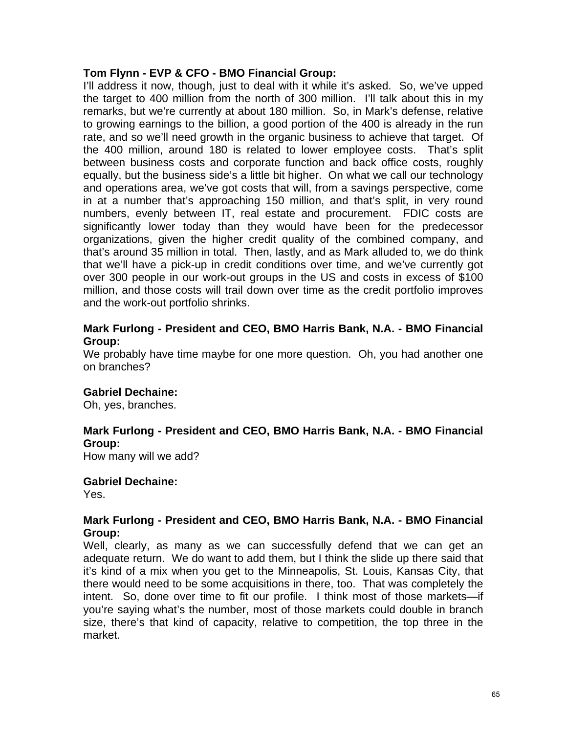# **Tom Flynn - EVP & CFO - BMO Financial Group:**

I'll address it now, though, just to deal with it while it's asked. So, we've upped the target to 400 million from the north of 300 million. I'll talk about this in my remarks, but we're currently at about 180 million. So, in Mark's defense, relative to growing earnings to the billion, a good portion of the 400 is already in the run rate, and so we'll need growth in the organic business to achieve that target. Of the 400 million, around 180 is related to lower employee costs. That's split between business costs and corporate function and back office costs, roughly equally, but the business side's a little bit higher. On what we call our technology and operations area, we've got costs that will, from a savings perspective, come in at a number that's approaching 150 million, and that's split, in very round numbers, evenly between IT, real estate and procurement. FDIC costs are significantly lower today than they would have been for the predecessor organizations, given the higher credit quality of the combined company, and that's around 35 million in total. Then, lastly, and as Mark alluded to, we do think that we'll have a pick-up in credit conditions over time, and we've currently got over 300 people in our work-out groups in the US and costs in excess of \$100 million, and those costs will trail down over time as the credit portfolio improves and the work-out portfolio shrinks.

# **Mark Furlong - President and CEO, BMO Harris Bank, N.A. - BMO Financial Group:**

We probably have time maybe for one more question. Oh, you had another one on branches?

# **Gabriel Dechaine:**

Oh, yes, branches.

# **Mark Furlong - President and CEO, BMO Harris Bank, N.A. - BMO Financial Group:**

How many will we add?

**Gabriel Dechaine:** 

Yes.

#### **Mark Furlong - President and CEO, BMO Harris Bank, N.A. - BMO Financial Group:**

Well, clearly, as many as we can successfully defend that we can get an adequate return. We do want to add them, but I think the slide up there said that it's kind of a mix when you get to the Minneapolis, St. Louis, Kansas City, that there would need to be some acquisitions in there, too. That was completely the intent. So, done over time to fit our profile. I think most of those markets—if you're saying what's the number, most of those markets could double in branch size, there's that kind of capacity, relative to competition, the top three in the market.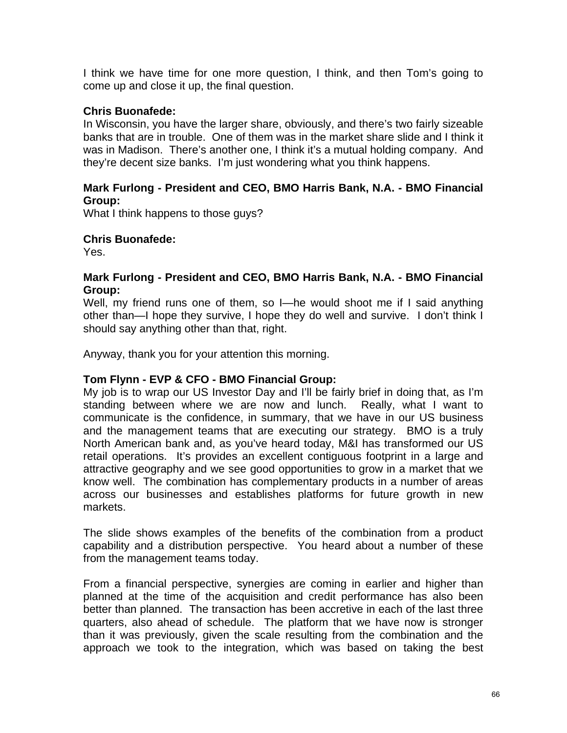I think we have time for one more question, I think, and then Tom's going to come up and close it up, the final question.

# **Chris Buonafede:**

In Wisconsin, you have the larger share, obviously, and there's two fairly sizeable banks that are in trouble. One of them was in the market share slide and I think it was in Madison. There's another one, I think it's a mutual holding company. And they're decent size banks. I'm just wondering what you think happens.

# **Mark Furlong - President and CEO, BMO Harris Bank, N.A. - BMO Financial Group:**

What I think happens to those guys?

#### **Chris Buonafede:**

Yes.

# **Mark Furlong - President and CEO, BMO Harris Bank, N.A. - BMO Financial Group:**

Well, my friend runs one of them, so I-he would shoot me if I said anything other than—I hope they survive, I hope they do well and survive. I don't think I should say anything other than that, right.

Anyway, thank you for your attention this morning.

# **Tom Flynn - EVP & CFO - BMO Financial Group:**

My job is to wrap our US Investor Day and I'll be fairly brief in doing that, as I'm standing between where we are now and lunch. Really, what I want to communicate is the confidence, in summary, that we have in our US business and the management teams that are executing our strategy. BMO is a truly North American bank and, as you've heard today, M&I has transformed our US retail operations. It's provides an excellent contiguous footprint in a large and attractive geography and we see good opportunities to grow in a market that we know well. The combination has complementary products in a number of areas across our businesses and establishes platforms for future growth in new markets.

The slide shows examples of the benefits of the combination from a product capability and a distribution perspective. You heard about a number of these from the management teams today.

From a financial perspective, synergies are coming in earlier and higher than planned at the time of the acquisition and credit performance has also been better than planned. The transaction has been accretive in each of the last three quarters, also ahead of schedule. The platform that we have now is stronger than it was previously, given the scale resulting from the combination and the approach we took to the integration, which was based on taking the best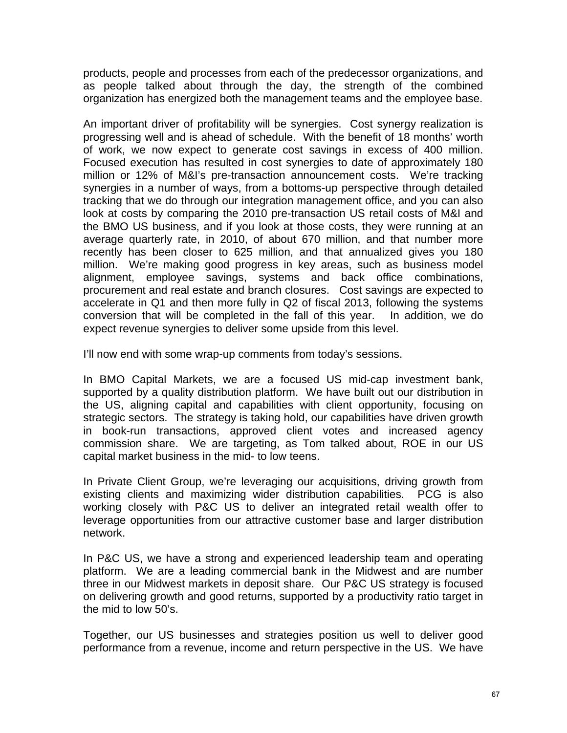products, people and processes from each of the predecessor organizations, and as people talked about through the day, the strength of the combined organization has energized both the management teams and the employee base.

An important driver of profitability will be synergies. Cost synergy realization is progressing well and is ahead of schedule. With the benefit of 18 months' worth of work, we now expect to generate cost savings in excess of 400 million. Focused execution has resulted in cost synergies to date of approximately 180 million or 12% of M&I's pre-transaction announcement costs. We're tracking synergies in a number of ways, from a bottoms-up perspective through detailed tracking that we do through our integration management office, and you can also look at costs by comparing the 2010 pre-transaction US retail costs of M&I and the BMO US business, and if you look at those costs, they were running at an average quarterly rate, in 2010, of about 670 million, and that number more recently has been closer to 625 million, and that annualized gives you 180 million. We're making good progress in key areas, such as business model alignment, employee savings, systems and back office combinations, procurement and real estate and branch closures. Cost savings are expected to accelerate in Q1 and then more fully in Q2 of fiscal 2013, following the systems conversion that will be completed in the fall of this year. In addition, we do expect revenue synergies to deliver some upside from this level.

I'll now end with some wrap-up comments from today's sessions.

In BMO Capital Markets, we are a focused US mid-cap investment bank, supported by a quality distribution platform. We have built out our distribution in the US, aligning capital and capabilities with client opportunity, focusing on strategic sectors. The strategy is taking hold, our capabilities have driven growth in book-run transactions, approved client votes and increased agency commission share. We are targeting, as Tom talked about, ROE in our US capital market business in the mid- to low teens.

In Private Client Group, we're leveraging our acquisitions, driving growth from existing clients and maximizing wider distribution capabilities. PCG is also working closely with P&C US to deliver an integrated retail wealth offer to leverage opportunities from our attractive customer base and larger distribution network.

In P&C US, we have a strong and experienced leadership team and operating platform. We are a leading commercial bank in the Midwest and are number three in our Midwest markets in deposit share. Our P&C US strategy is focused on delivering growth and good returns, supported by a productivity ratio target in the mid to low 50's.

Together, our US businesses and strategies position us well to deliver good performance from a revenue, income and return perspective in the US. We have